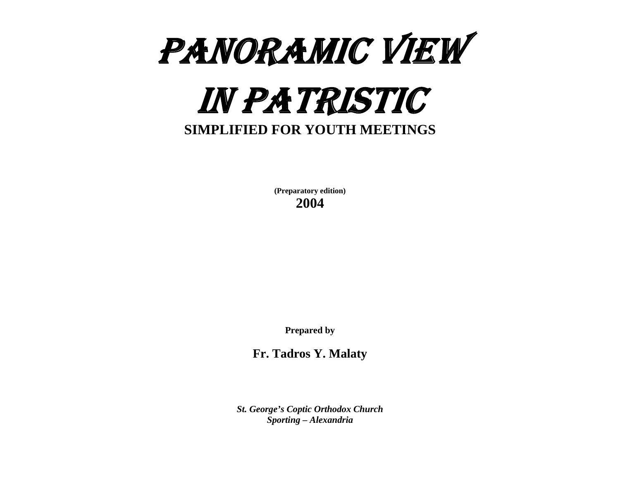# PANORAMIC VIEW IN PATRISTIC **SIMPLIFIED FOR YOUTH MEETINGS**

**(Preparatory edition) 2004** 

**Prepared by** 

**Fr. Tadros Y. Malaty** 

*St. George's Coptic Orthodox Church Sporting – Alexandria*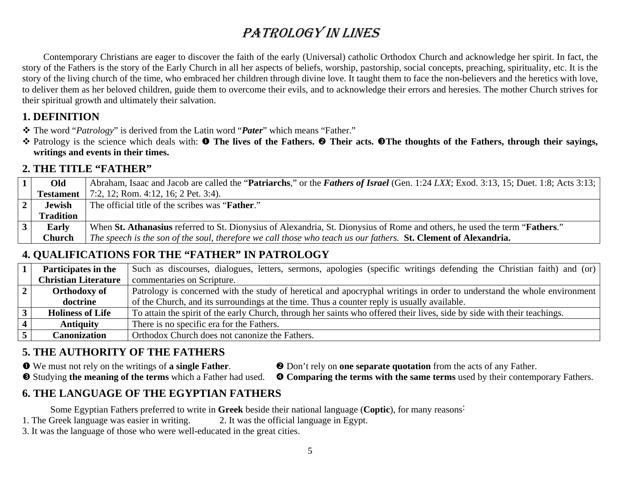# PATROLOGY IN LINES

Contemporary Christians are eager to discover the faith of the early (Universal) catholic Orthodox Church and acknowledge her spirit. In fact, the story of the Fathers is the story of the Early Church in all her aspects of beliefs, worship, pastorship, social concepts, preaching, spirituality, etc. It is the story of the living church of the time, who embraced her children through divine love. It taught them to face the non-believers and the heretics with love, to deliver them as her beloved children, guide them to overcome their evils, and to acknowledge their errors and heresies. The mother Church strives for their spiritual growth and ultimately their salvation.

### **1. DEFINITION**

The word "*Patrology*" is derived from the Latin word "*Pater*" which means "Father."

 $\dagger$  Patrology is the science which deals with: **O** The lives of the Fathers. **⊘** Their acts. **©** The thoughts of the Fathers, through their sayings, **writings and events in their times.** 

### **2. THE TITLE "FATHER"**

|               | Old              | Abraham, Isaac and Jacob are called the " <b>Patriarchs</b> ," or the <i>Fathers of Israel</i> (Gen. 1:24 LXX; Exod. 3:13, 15; Duet. 1:8; Acts 3:13; |
|---------------|------------------|------------------------------------------------------------------------------------------------------------------------------------------------------|
|               | Testament        | 7:2, 12; Rom. 4:12, 16; 2 Pet. 3:4).                                                                                                                 |
|               | <b>Jewish</b>    | The official title of the scribes was " <b>Father.</b> "                                                                                             |
|               | <b>Tradition</b> |                                                                                                                                                      |
| $\mathcal{F}$ | <b>Early</b>     | When St. Athanasius referred to St. Dionysius of Alexandria, St. Dionysius of Rome and others, he used the term " <b>Fathers.</b> "                  |
|               | Church           | The speech is the son of the soul, therefore we call those who teach us our fathers. St. Clement of Alexandria.                                      |

## **4. QUALIFICATIONS FOR THE "FATHER" IN PATROLOGY**

| Participates in the         | Such as discourses, dialogues, letters, sermons, apologies (specific writings defending the Christian faith) and (or)    |
|-----------------------------|--------------------------------------------------------------------------------------------------------------------------|
| <b>Christian Literature</b> | commentaries on Scripture.                                                                                               |
| <b>Orthodoxy of</b>         | Patrology is concerned with the study of heretical and apocryphal writings in order to understand the whole environment  |
| doctrine                    | of the Church, and its surroundings at the time. Thus a counter reply is usually available.                              |
| <b>Holiness of Life</b>     | To attain the spirit of the early Church, through her saints who offered their lives, side by side with their teachings. |
| <b>Antiquity</b>            | There is no specific era for the Fathers.                                                                                |
| <b>Canonization</b>         | Orthodox Church does not canonize the Fathers.                                                                           |

### **5. THE AUTHORITY OF THE FATHERS**

- 
- **O** We must not rely on the writings of **a single Father. e** Don't rely on **one separate quotation** from the acts of any Father.
- $\bullet$  Studying the meaning of the terms which a Father had used.  $\bullet$  Comparing the terms with the same terms used by their contemporary Fathers.

### **6. THE LANGUAGE OF THE EGYPTIAN FATHERS**

Some Egyptian Fathers preferred to write in **Greek** beside their national language (**Coptic**), for many reasons:

- 1. The Greek language was easier in writing. 2. It was the official language in Egypt.
- 3. It was the language of those who were well-educated in the great cities.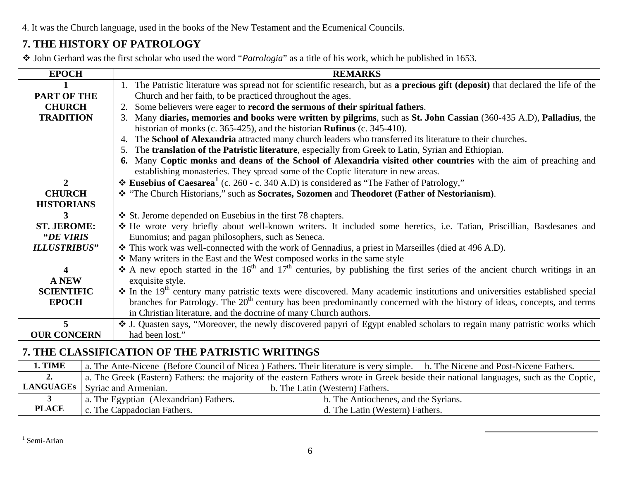4. It was the Church language, used in the books of the New Testament and the Ecumenical Councils.

### **7. THE HISTORY OF PATROLOGY**

John Gerhard was the first scholar who used the word "*Patrologia*" as a title of his work, which he published in 1653.

| <b>EPOCH</b>            | <b>REMARKS</b>                                                                                                                                  |  |
|-------------------------|-------------------------------------------------------------------------------------------------------------------------------------------------|--|
|                         | 1. The Patristic literature was spread not for scientific research, but as a precious gift (deposit) that declared the life of the              |  |
| <b>PART OF THE</b>      | Church and her faith, to be practiced throughout the ages.                                                                                      |  |
| <b>CHURCH</b>           | Some believers were eager to record the sermons of their spiritual fathers.<br>2.                                                               |  |
| <b>TRADITION</b>        | Many diaries, memories and books were written by pilgrims, such as St. John Cassian (360-435 A.D), Palladius, the<br>3.                         |  |
|                         | historian of monks (c. 365-425), and the historian <b>Rufinus</b> (c. 345-410).                                                                 |  |
|                         | The School of Alexandria attracted many church leaders who transferred its literature to their churches.<br>4.                                  |  |
|                         | The translation of the Patristic literature, especially from Greek to Latin, Syrian and Ethiopian.                                              |  |
|                         | 6. Many Coptic monks and deans of the School of Alexandria visited other countries with the aim of preaching and                                |  |
|                         | establishing monasteries. They spread some of the Coptic literature in new areas.                                                               |  |
| $\overline{2}$          | <b> ₺ Eusebius of Caesarea</b> (c. 260 - c. 340 A.D) is considered as "The Father of Patrology,"                                                |  |
| <b>CHURCH</b>           | * "The Church Historians," such as Socrates, Sozomen and Theodoret (Father of Nestorianism).                                                    |  |
| <b>HISTORIANS</b>       |                                                                                                                                                 |  |
| 3                       | St. Jerome depended on Eusebius in the first 78 chapters.                                                                                       |  |
| <b>ST. JEROME:</b>      | * He wrote very briefly about well-known writers. It included some heretics, i.e. Tatian, Priscillian, Basdesanes and                           |  |
| "DE VIRIS               | Eunomius; and pagan philosophers, such as Seneca.                                                                                               |  |
| <b>ILLUSTRIBUS"</b>     | * This work was well-connected with the work of Gennadius, a priest in Marseilles (died at 496 A.D).                                            |  |
|                         | Many writers in the East and the West composed works in the same style                                                                          |  |
| $\overline{\mathbf{4}}$ | A new epoch started in the 16 <sup>th</sup> and 17 <sup>th</sup> centuries, by publishing the first series of the ancient church writings in an |  |
| <b>A NEW</b>            | exquisite style.                                                                                                                                |  |
| <b>SCIENTIFIC</b>       | $\cdot$ In the 19 <sup>th</sup> century many patristic texts were discovered. Many academic institutions and universities established special   |  |
| <b>EPOCH</b>            | branches for Patrology. The 20 <sup>th</sup> century has been predominantly concerned with the history of ideas, concepts, and terms            |  |
|                         | in Christian literature, and the doctrine of many Church authors.                                                                               |  |
| 5                       | ❖ J. Quasten says, "Moreover, the newly discovered papyri of Egypt enabled scholars to regain many patristic works which                        |  |
| <b>OUR CONCERN</b>      | had been lost."                                                                                                                                 |  |

### **7. THE CLASSIFICATION OF THE PATRISTIC WRITINGS**

<span id="page-2-0"></span>

| 1. TIME      |                                                                                                                                         | a. The Ante-Nicene (Before Council of Nicea) Fathers. Their literature is very simple. b. The Nicene and Post-Nicene Fathers. |
|--------------|-----------------------------------------------------------------------------------------------------------------------------------------|-------------------------------------------------------------------------------------------------------------------------------|
| 2.           | a. The Greek (Eastern) Fathers: the majority of the eastern Fathers wrote in Greek beside their national languages, such as the Coptic, |                                                                                                                               |
|              | <b>LANGUAGEs</b>   Syriac and Armenian.                                                                                                 | b. The Latin (Western) Fathers.                                                                                               |
|              | a. The Egyptian (Alexandrian) Fathers.                                                                                                  | b. The Antiochenes, and the Syrians.                                                                                          |
| <b>PLACE</b> | c. The Cappadocian Fathers.                                                                                                             | d. The Latin (Western) Fathers.                                                                                               |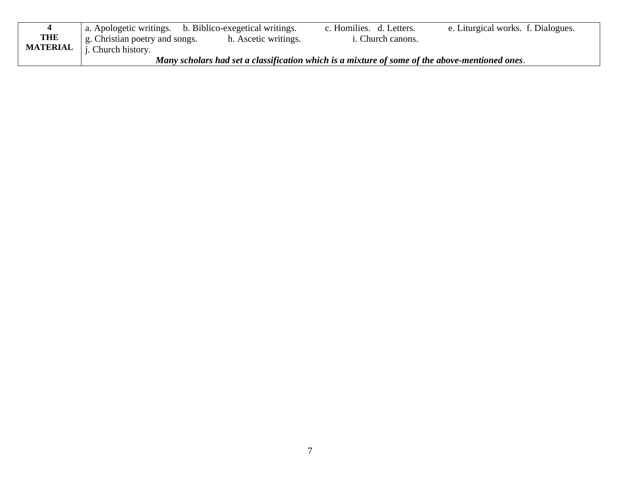|                 | a. Apologetic writings. b. Biblico-exegetical writings. |                      | c. Homilies. d. Letters.                                                                       | e. Liturgical works. f. Dialogues. |
|-----------------|---------------------------------------------------------|----------------------|------------------------------------------------------------------------------------------------|------------------------------------|
| <b>THE</b>      | g. Christian poetry and songs.                          | h. Ascetic writings. | <i>i.</i> Church canons.                                                                       |                                    |
| <b>MATERIAL</b> | <i>i</i> . Church history.                              |                      |                                                                                                |                                    |
|                 |                                                         |                      | Many scholars had set a classification which is a mixture of some of the above-mentioned ones. |                                    |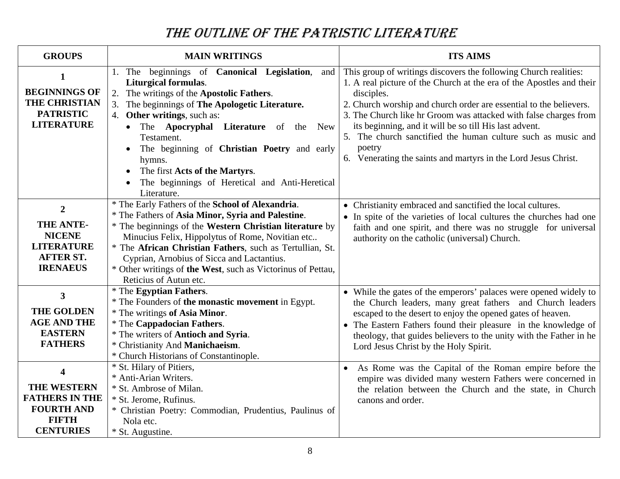# THE OUTLINE OF THE PATRISTIC LITERATURE

| <b>GROUPS</b>                                                                                                                   | <b>MAIN WRITINGS</b>                                                                                                                                                                                                                                                                                                                                                                                                    | <b>ITS AIMS</b>                                                                                                                                                                                                                                                                                                                                                                                                                                                                                        |
|---------------------------------------------------------------------------------------------------------------------------------|-------------------------------------------------------------------------------------------------------------------------------------------------------------------------------------------------------------------------------------------------------------------------------------------------------------------------------------------------------------------------------------------------------------------------|--------------------------------------------------------------------------------------------------------------------------------------------------------------------------------------------------------------------------------------------------------------------------------------------------------------------------------------------------------------------------------------------------------------------------------------------------------------------------------------------------------|
| 1<br><b>BEGINNINGS OF</b><br><b>THE CHRISTIAN</b><br><b>PATRISTIC</b><br><b>LITERATURE</b>                                      | The beginnings of Canonical Legislation,<br>and<br>1.<br><b>Liturgical formulas.</b><br>2.<br>The writings of the Apostolic Fathers.<br>3.<br>The beginnings of The Apologetic Literature.<br>4. Other writings, such as:<br>The <b>Apocryphal Literature</b> of the New<br>Testament.<br>The beginning of Christian Poetry and early<br>hymns.<br>The first Acts of the Martyrs.                                       | This group of writings discovers the following Church realities:<br>1. A real picture of the Church at the era of the Apostles and their<br>disciples.<br>2. Church worship and church order are essential to the believers.<br>3. The Church like hr Groom was attacked with false charges from<br>its beginning, and it will be so till His last advent.<br>5. The church sanctified the human culture such as music and<br>poetry<br>6. Venerating the saints and martyrs in the Lord Jesus Christ. |
|                                                                                                                                 | The beginnings of Heretical and Anti-Heretical<br>Literature.                                                                                                                                                                                                                                                                                                                                                           |                                                                                                                                                                                                                                                                                                                                                                                                                                                                                                        |
| $\overline{2}$<br>THE ANTE-<br><b>NICENE</b><br><b>LITERATURE</b><br><b>AFTER ST.</b><br><b>IRENAEUS</b>                        | * The Early Fathers of the School of Alexandria.<br>* The Fathers of Asia Minor, Syria and Palestine.<br>* The beginnings of the Western Christian literature by<br>Minucius Felix, Hippolytus of Rome, Novitian etc<br>* The African Christian Fathers, such as Tertullian, St.<br>Cyprian, Arnobius of Sicca and Lactantius.<br>* Other writings of the West, such as Victorinus of Pettau,<br>Reticius of Autun etc. | • Christianity embraced and sanctified the local cultures.<br>• In spite of the varieties of local cultures the churches had one<br>faith and one spirit, and there was no struggle for universal<br>authority on the catholic (universal) Church.                                                                                                                                                                                                                                                     |
| $\mathbf{3}$<br><b>THE GOLDEN</b><br><b>AGE AND THE</b><br><b>EASTERN</b><br><b>FATHERS</b>                                     | * The Egyptian Fathers.<br>* The Founders of the monastic movement in Egypt.<br>* The writings of Asia Minor.<br><i>*</i> The Cappadocian Fathers.<br>* The writers of Antioch and Syria.<br>* Christianity And Manichaeism.<br>* Church Historians of Constantinople.                                                                                                                                                  | • While the gates of the emperors' palaces were opened widely to<br>the Church leaders, many great fathers and Church leaders<br>escaped to the desert to enjoy the opened gates of heaven.<br>• The Eastern Fathers found their pleasure in the knowledge of<br>theology, that guides believers to the unity with the Father in he<br>Lord Jesus Christ by the Holy Spirit.                                                                                                                           |
| $\overline{\mathbf{4}}$<br><b>THE WESTERN</b><br><b>FATHERS IN THE</b><br><b>FOURTH AND</b><br><b>FIFTH</b><br><b>CENTURIES</b> | * St. Hilary of Pitiers,<br>* Anti-Arian Writers.<br>* St. Ambrose of Milan.<br>* St. Jerome, Rufinus.<br>* Christian Poetry: Commodian, Prudentius, Paulinus of<br>Nola etc.<br>* St. Augustine.                                                                                                                                                                                                                       | As Rome was the Capital of the Roman empire before the<br>$\bullet$<br>empire was divided many western Fathers were concerned in<br>the relation between the Church and the state, in Church<br>canons and order.                                                                                                                                                                                                                                                                                      |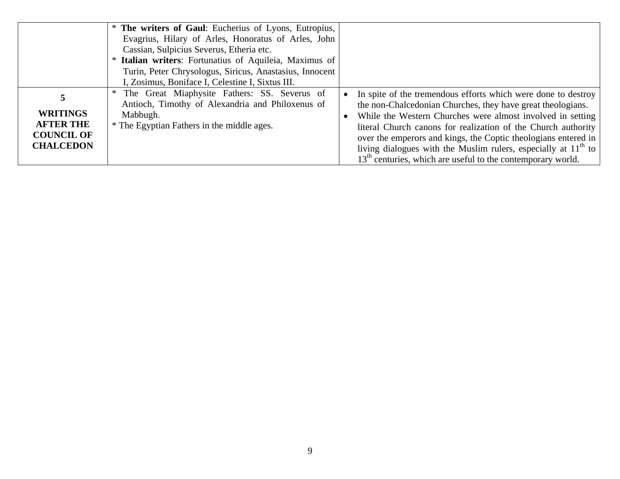|                                                                              | * The writers of Gaul: Eucherius of Lyons, Eutropius,<br>Evagrius, Hilary of Arles, Honoratus of Arles, John<br>Cassian, Sulpicius Severus, Etheria etc.<br>Italian writers: Fortunatius of Aquileia, Maximus of |                                                                                                                                                                                                                                                                                                                                                                                                                                                                    |
|------------------------------------------------------------------------------|------------------------------------------------------------------------------------------------------------------------------------------------------------------------------------------------------------------|--------------------------------------------------------------------------------------------------------------------------------------------------------------------------------------------------------------------------------------------------------------------------------------------------------------------------------------------------------------------------------------------------------------------------------------------------------------------|
|                                                                              | Turin, Peter Chrysologus, Siricus, Anastasius, Innocent<br>I, Zosimus, Boniface I, Celestine I, Sixtus III.                                                                                                      |                                                                                                                                                                                                                                                                                                                                                                                                                                                                    |
| <b>WRITINGS</b><br><b>AFTER THE</b><br><b>COUNCIL OF</b><br><b>CHALCEDON</b> | * The Great Miaphysite Fathers: SS. Severus of<br>Antioch, Timothy of Alexandria and Philoxenus of<br>Mabbugh.<br>* The Egyptian Fathers in the middle ages.                                                     | In spite of the tremendous efforts which were done to destroy<br>the non-Chalcedonian Churches, they have great theologians.<br>While the Western Churches were almost involved in setting<br>literal Church canons for realization of the Church authority<br>over the emperors and kings, the Coptic theologians entered in<br>living dialogues with the Muslim rulers, especially at $11th$ to<br>$13th$ centuries, which are useful to the contemporary world. |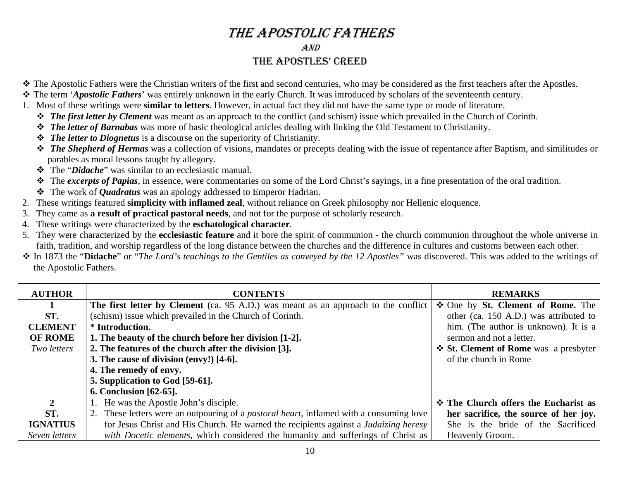### THE APOSTOLIC FATHERS AND THE APOSTLES' CREED

- The Apostolic Fathers were the Christian writers of the first and second centuries, who may be considered as the first teachers after the Apostles.
- The term '*Apostolic Fathers*' was entirely unknown in the early Church. It was introduced by scholars of the seventeenth century.
- 1. Most of these writings were **similar to letters**. However, in actual fact they did not have the same type or mode of literature.
	- *The first letter by Clement* was meant as an approach to the conflict (and schism) issue which prevailed in the Church of Corinth.
	- *The letter of Barnabas* was more of basic theological articles dealing with linking the Old Testament to Christianity.
	- *The letter to Diognetus* is a discourse on the superiority of Christianity.
	- **<sup>◆</sup>** The Shepherd of Hermas was a collection of visions, mandates or precepts dealing with the issue of repentance after Baptism, and similitudes or parables as moral lessons taught by allegory.
	- The "*Didache*" was similar to an ecclesiastic manual.
	- $\cdot$  The *excerpts of Papias*, in essence, were commentaries on some of the Lord Christ's sayings, in a fine presentation of the oral tradition.
	- The work of *Quadratus* was an apology addressed to Emperor Hadrian.
- 2. These writings featured **simplicity with inflamed zeal**, without reliance on Greek philosophy nor Hellenic eloquence.
- 3.They came as **a result of practical pastoral needs**, and not for the purpose of scholarly research.
- 4. These writings were characterized by the **eschatological character**.
- 5. They were characterized by the **ecclesiastic feature** and it bore the spirit of communion the church communion throughout the whole universe in faith, tradition, and worship regardless of the long distance between the churches and the difference in cultures and customs between each other.
- In 1873 the "**Didache**" or "*The Lord's teachings to the Gentiles as conveyed by the 12 Apostles"* was discovered. This was added to the writings of the Apostolic Fathers.

| <b>AUTHOR</b>   | <b>CONTENTS</b>                                                                                 | <b>REMARKS</b>                              |
|-----------------|-------------------------------------------------------------------------------------------------|---------------------------------------------|
|                 | <b>The first letter by Clement</b> (ca. 95 A.D.) was meant as an approach to the conflict       | ❖ One by St. Clement of Rome. The           |
| ST.             | (schism) issue which prevailed in the Church of Corinth.                                        | other (ca. 150 A.D.) was attributed to      |
| <b>CLEMENT</b>  | * Introduction.                                                                                 | him. (The author is unknown). It is a       |
| <b>OF ROME</b>  | 1. The beauty of the church before her division [1-2].                                          | sermon and not a letter.                    |
| Two letters     | 2. The features of the church after the division [3].                                           | ❖ St. Clement of Rome was a presbyter       |
|                 | 3. The cause of division (envy!) [4-6].                                                         | of the church in Rome                       |
|                 | 4. The remedy of envy.                                                                          |                                             |
|                 | 5. Supplication to God [59-61].                                                                 |                                             |
|                 | <b>6. Conclusion</b> [62-65].                                                                   |                                             |
| $\mathbf{2}$    | 1. He was the Apostle John's disciple.                                                          | <b>❖ The Church offers the Eucharist as</b> |
| ST.             | 2. These letters were an outpouring of a <i>pastoral heart</i> , inflamed with a consuming love | her sacrifice, the source of her joy.       |
| <b>IGNATIUS</b> | for Jesus Christ and His Church. He warned the recipients against a <i>Judaizing heresy</i>     | She is the bride of the Sacrificed          |
| Seven letters   | with Docetic elements, which considered the humanity and sufferings of Christ as                | Heavenly Groom.                             |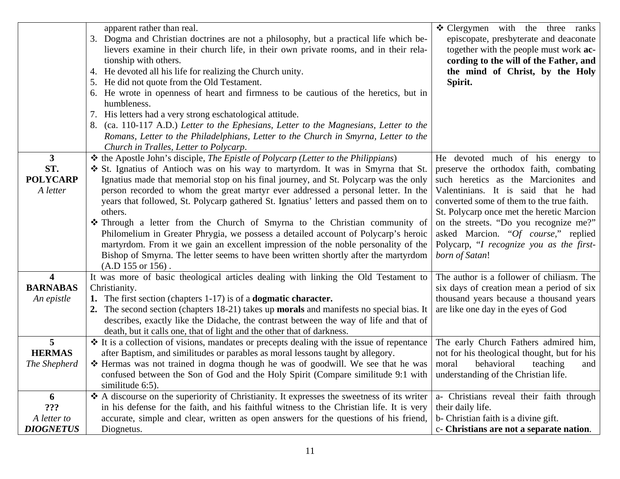|                                                          | apparent rather than real.<br>3. Dogma and Christian doctrines are not a philosophy, but a practical life which be-<br>lievers examine in their church life, in their own private rooms, and in their rela-<br>tionship with others.<br>4. He devoted all his life for realizing the Church unity.<br>5. He did not quote from the Old Testament.<br>6. He wrote in openness of heart and firmness to be cautious of the heretics, but in<br>humbleness.<br>7. His letters had a very strong eschatological attitude.<br>8. (ca. 110-117 A.D.) Letter to the Ephesians, Letter to the Magnesians, Letter to the<br>Romans, Letter to the Philadelphians, Letter to the Church in Smyrna, Letter to the<br>Church in Tralles, Letter to Polycarp.                                                                                  | ❖ Clergymen with the three ranks<br>episcopate, presbyterate and deaconate<br>together with the people must work ac-<br>cording to the will of the Father, and<br>the mind of Christ, by the Holy<br>Spirit.                                                                                                                                                                                        |
|----------------------------------------------------------|-----------------------------------------------------------------------------------------------------------------------------------------------------------------------------------------------------------------------------------------------------------------------------------------------------------------------------------------------------------------------------------------------------------------------------------------------------------------------------------------------------------------------------------------------------------------------------------------------------------------------------------------------------------------------------------------------------------------------------------------------------------------------------------------------------------------------------------|-----------------------------------------------------------------------------------------------------------------------------------------------------------------------------------------------------------------------------------------------------------------------------------------------------------------------------------------------------------------------------------------------------|
| $\mathbf{3}$<br>ST.<br><b>POLYCARP</b><br>A letter       | ❖ the Apostle John's disciple, The Epistle of Polycarp (Letter to the Philippians)<br>❖ St. Ignatius of Antioch was on his way to martyrdom. It was in Smyrna that St.<br>Ignatius made that memorial stop on his final journey, and St. Polycarp was the only<br>person recorded to whom the great martyr ever addressed a personal letter. In the<br>years that followed, St. Polycarp gathered St. Ignatius' letters and passed them on to<br>others.<br>* Through a letter from the Church of Smyrna to the Christian community of<br>Philomelium in Greater Phrygia, we possess a detailed account of Polycarp's heroic<br>martyrdom. From it we gain an excellent impression of the noble personality of the<br>Bishop of Smyrna. The letter seems to have been written shortly after the martyrdom<br>$(A.D 155 or 156)$ . | He devoted much of his energy to<br>preserve the orthodox faith, combating<br>such heretics as the Marcionites and<br>Valentinians. It is said that he had<br>converted some of them to the true faith.<br>St. Polycarp once met the heretic Marcion<br>on the streets. "Do you recognize me?"<br>asked Marcion. "Of course," replied<br>Polycarp, "I recognize you as the first-<br>born of Satan! |
| $\overline{\mathbf{4}}$<br><b>BARNABAS</b><br>An epistle | It was more of basic theological articles dealing with linking the Old Testament to<br>Christianity.<br>1. The first section (chapters 1-17) is of a <b>dogmatic character.</b><br>2. The second section (chapters 18-21) takes up <b>morals</b> and manifests no special bias. It<br>describes, exactly like the Didache, the contrast between the way of life and that of<br>death, but it calls one, that of light and the other that of darkness.                                                                                                                                                                                                                                                                                                                                                                             | The author is a follower of chiliasm. The<br>six days of creation mean a period of six<br>thousand years because a thousand years<br>are like one day in the eyes of God                                                                                                                                                                                                                            |
| 5<br><b>HERMAS</b><br>The Shepherd                       | ❖ It is a collection of visions, mandates or precepts dealing with the issue of repentance<br>after Baptism, and similitudes or parables as moral lessons taught by allegory.<br>* Hermas was not trained in dogma though he was of goodwill. We see that he was<br>confused between the Son of God and the Holy Spirit (Compare similitude 9:1 with<br>similitude 6:5).                                                                                                                                                                                                                                                                                                                                                                                                                                                          | The early Church Fathers admired him,<br>not for his theological thought, but for his<br>behavioral<br>moral<br>teaching<br>and<br>understanding of the Christian life.                                                                                                                                                                                                                             |
| 6<br>???<br>A letter to<br><b>DIOGNETUS</b>              | ❖ A discourse on the superiority of Christianity. It expresses the sweetness of its writer<br>in his defense for the faith, and his faithful witness to the Christian life. It is very<br>accurate, simple and clear, written as open answers for the questions of his friend,<br>Diognetus.                                                                                                                                                                                                                                                                                                                                                                                                                                                                                                                                      | a- Christians reveal their faith through<br>their daily life.<br>b- Christian faith is a divine gift.<br>c- Christians are not a separate nation.                                                                                                                                                                                                                                                   |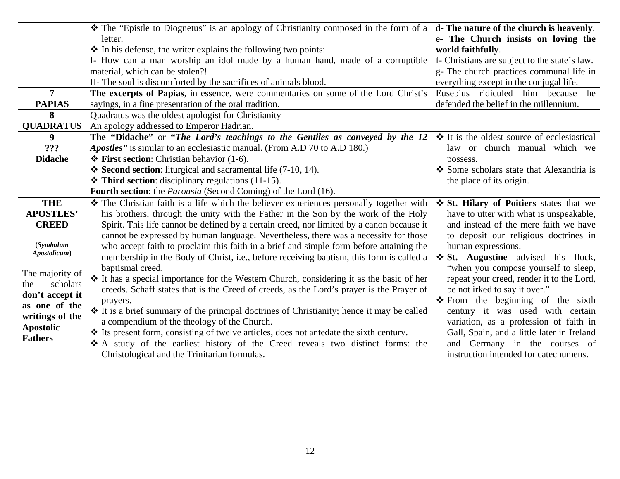|                           | * The "Epistle to Diognetus" is an apology of Christianity composed in the form of a       | d- The nature of the church is heavenly.         |
|---------------------------|--------------------------------------------------------------------------------------------|--------------------------------------------------|
|                           | letter.                                                                                    | e- The Church insists on loving the              |
|                           | $\triangle$ In his defense, the writer explains the following two points:                  | world faithfully.                                |
|                           | I- How can a man worship an idol made by a human hand, made of a corruptible               | f- Christians are subject to the state's law.    |
|                           | material, which can be stolen?!                                                            | g- The church practices communal life in         |
|                           | II- The soul is discomforted by the sacrifices of animals blood.                           | everything except in the conjugal life.          |
| $\overline{7}$            | The excerpts of Papias, in essence, were commentaries on some of the Lord Christ's         | he<br>Eusebius ridiculed him because             |
| <b>PAPIAS</b>             | sayings, in a fine presentation of the oral tradition.                                     | defended the belief in the millennium.           |
| 8                         | Quadratus was the oldest apologist for Christianity                                        |                                                  |
| <b>QUADRATUS</b>          | An apology addressed to Emperor Hadrian.                                                   |                                                  |
| 9                         | The "Didache" or "The Lord's teachings to the Gentiles as conveyed by the 12               | $\div$ It is the oldest source of ecclesiastical |
| ???                       | Apostles" is similar to an ecclesiastic manual. (From A.D 70 to A.D 180.)                  | law or church manual which we                    |
| <b>Didache</b>            | $\div$ First section: Christian behavior (1-6).                                            | possess.                                         |
|                           | $\div$ Second section: liturgical and sacramental life (7-10, 14).                         | Some scholars state that Alexandria is           |
|                           | $\triangle$ Third section: disciplinary regulations (11-15).                               | the place of its origin.                         |
|                           | Fourth section: the Parousia (Second Coming) of the Lord (16).                             |                                                  |
| <b>THE</b>                | * The Christian faith is a life which the believer experiences personally together with    | St. Hilary of Poitiers states that we            |
| <b>APOSTLES'</b>          | his brothers, through the unity with the Father in the Son by the work of the Holy         | have to utter with what is unspeakable,          |
| <b>CREED</b>              | Spirit. This life cannot be defined by a certain creed, nor limited by a canon because it  | and instead of the mere faith we have            |
|                           | cannot be expressed by human language. Nevertheless, there was a necessity for those       | to deposit our religious doctrines in            |
| (Symbolum<br>Apostolicum) | who accept faith to proclaim this faith in a brief and simple form before attaining the    | human expressions.                               |
|                           | membership in the Body of Christ, i.e., before receiving baptism, this form is called a    | ❖ St. Augustine advised his flock,               |
| The majority of           | baptismal creed.                                                                           | "when you compose yourself to sleep,             |
| scholars<br>the           | ❖ It has a special importance for the Western Church, considering it as the basic of her   | repeat your creed, render it to the Lord,        |
| don't accept it           | creeds. Schaff states that is the Creed of creeds, as the Lord's prayer is the Prayer of   | be not irked to say it over."                    |
| as one of the             | prayers.                                                                                   | $\div$ From the beginning of the sixth           |
| writings of the           | ❖ It is a brief summary of the principal doctrines of Christianity; hence it may be called | century it was used with certain                 |
| <b>Apostolic</b>          | a compendium of the theology of the Church.                                                | variation, as a profession of faith in           |
| <b>Fathers</b>            | * Its present form, consisting of twelve articles, does not antedate the sixth century.    | Gall, Spain, and a little later in Ireland       |
|                           | * A study of the earliest history of the Creed reveals two distinct forms: the             | and Germany in the courses of                    |
|                           | Christological and the Trinitarian formulas.                                               | instruction intended for catechumens.            |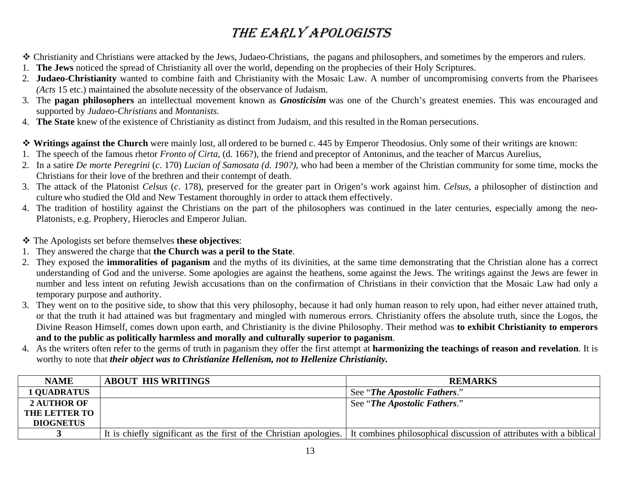# THE EARLY APOLOGISTS

- Christianity and Christians were attacked by the Jews, Judaeo-Christians*,* the pagans and philosophers, and sometimes by the emperors and rulers.
- 1. **The Jews** noticed the spread of Christianity all over the world, depending on the prophecies of their Holy Scriptures.
- 2. **Judaeo-Christianity** wanted to combine faith and Christianity with the Mosaic Law. A number of uncompromising converts from the Pharisees *(Acts* 15 etc.) maintained the absolute necessity of the observance of Judaism.
- 3. The **pagan philosophers** an intellectual movement known as *Gnosticisim* was one of the Church's greatest enemies. This was encouraged and supported by *Judaeo-Christians* and *Montanists.*
- 4. **The State** knew of the existence of Christianity as distinct from Judaism, and this resulted in the Roman persecutions.
- **Writings against the Church** were mainly lost, all ordered to be burned c. 445 by Emperor Theodosius. Only some of their writings are known:
- 1. The speech of the famous rhetor *Fronto of Cirta*, (d. 166?), the friend and preceptor of Antoninus, and the teacher of Marcus Aurelius,
- 2. In a satire *De morte Peregrini* (*c*. 170) *Lucian of Samosata (d. 190?)*, who had been a member of the Christian community for some time, mocks the Christians for their love of the brethren and their contempt of death.
- 3. The attack of the Platonist *Celsus* (*c*. 178), preserved for the greater part in Origen's work against him. *Celsus,* a philosopher of distinction and culture who studied the Old and New Testament thoroughly in order to attack them effectively.
- 4. The tradition of hostility against the Christians on the part of the philosophers was continued in the later centuries, especially among the neo-Platonists, e.g. Prophery, Hierocles and Emperor Julian.
- The Apologists set before themselves **these objectives**:
- 1. They answered the charge that **the Church was a peril to the State**.
- 2. They exposed the **immoralities of paganism** and the myths of its divinities, at the same time demonstrating that the Christian alone has a correct understanding of God and the universe. Some apologies are against the heathens, some against the Jews. The writings against the Jews are fewer in number and less intent on refuting Jewish accusations than on the confirmation of Christians in their conviction that the Mosaic Law had only a temporary purpose and authority.
- 3. They went on to the positive side, to show that this very philosophy, because it had only human reason to rely upon, had either never attained truth, or that the truth it had attained was but fragmentary and mingled with numerous errors. Christianity offers the absolute truth, since the Logos, the Divine Reason Himself, comes down upon earth, and Christianity is the divine Philosophy. Their method was **to exhibit Christianity to emperors and to the public as politically harmless and morally and culturally superior to paganism**.
- 4. As the writers often refer to the germs of truth in paganism they offer the first attempt at **harmonizing the teachings of reason and revelation**. It is worthy to note that *their object was to Christianize Hellenism, not to Hellenize Christianity.*

| <b>NAME</b>          | <b>ABOUT HIS WRITINGS</b> | <b>REMARKS</b>                                                                                                                        |
|----------------------|---------------------------|---------------------------------------------------------------------------------------------------------------------------------------|
| <b>1 QUADRATUS</b>   |                           | See "The Apostolic Fathers."                                                                                                          |
| <b>2 AUTHOR OF</b>   |                           | See "The Apostolic Fathers."                                                                                                          |
| <b>THE LETTER TO</b> |                           |                                                                                                                                       |
| <b>DIOGNETUS</b>     |                           |                                                                                                                                       |
|                      |                           | It is chiefly significant as the first of the Christian apologies. It combines philosophical discussion of attributes with a biblical |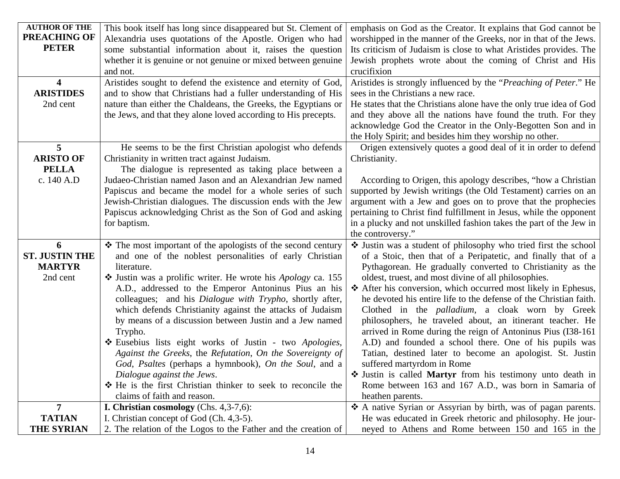| <b>AUTHOR OF THE</b>    | This book itself has long since disappeared but St. Clement of                                                        | emphasis on God as the Creator. It explains that God cannot be                                                                |
|-------------------------|-----------------------------------------------------------------------------------------------------------------------|-------------------------------------------------------------------------------------------------------------------------------|
| <b>PREACHING OF</b>     | Alexandria uses quotations of the Apostle. Origen who had                                                             | worshipped in the manner of the Greeks, nor in that of the Jews.                                                              |
| <b>PETER</b>            | some substantial information about it, raises the question                                                            | Its criticism of Judaism is close to what Aristides provides. The                                                             |
|                         | whether it is genuine or not genuine or mixed between genuine                                                         | Jewish prophets wrote about the coming of Christ and His                                                                      |
|                         | and not.                                                                                                              | crucifixion                                                                                                                   |
| $\overline{\mathbf{4}}$ | Aristides sought to defend the existence and eternity of God,                                                         | Aristides is strongly influenced by the "Preaching of Peter." He                                                              |
| <b>ARISTIDES</b>        | and to show that Christians had a fuller understanding of His                                                         | sees in the Christians a new race.                                                                                            |
| 2nd cent                | nature than either the Chaldeans, the Greeks, the Egyptians or                                                        | He states that the Christians alone have the only true idea of God                                                            |
|                         | the Jews, and that they alone loved according to His precepts.                                                        | and they above all the nations have found the truth. For they                                                                 |
|                         |                                                                                                                       | acknowledge God the Creator in the Only-Begotten Son and in                                                                   |
|                         |                                                                                                                       | the Holy Spirit; and besides him they worship no other.                                                                       |
| 5                       | He seems to be the first Christian apologist who defends                                                              | Origen extensively quotes a good deal of it in order to defend                                                                |
| <b>ARISTO OF</b>        | Christianity in written tract against Judaism.                                                                        | Christianity.                                                                                                                 |
| <b>PELLA</b>            | The dialogue is represented as taking place between a                                                                 |                                                                                                                               |
| c. 140 A.D              | Judaeo-Christian named Jason and an Alexandrian Jew named                                                             | According to Origen, this apology describes, "how a Christian                                                                 |
|                         | Papiscus and became the model for a whole series of such                                                              | supported by Jewish writings (the Old Testament) carries on an                                                                |
|                         | Jewish-Christian dialogues. The discussion ends with the Jew                                                          | argument with a Jew and goes on to prove that the prophecies                                                                  |
|                         | Papiscus acknowledging Christ as the Son of God and asking                                                            | pertaining to Christ find fulfillment in Jesus, while the opponent                                                            |
|                         | for baptism.                                                                                                          | in a plucky and not unskilled fashion takes the part of the Jew in                                                            |
|                         |                                                                                                                       | the controversy."                                                                                                             |
|                         |                                                                                                                       |                                                                                                                               |
| 6                       |                                                                                                                       |                                                                                                                               |
| <b>ST. JUSTIN THE</b>   | The most important of the apologists of the second century<br>and one of the noblest personalities of early Christian | Ustin was a student of philosophy who tried first the school<br>of a Stoic, then that of a Peripatetic, and finally that of a |
| <b>MARTYR</b>           | literature.                                                                                                           | Pythagorean. He gradually converted to Christianity as the                                                                    |
| 2nd cent                |                                                                                                                       | oldest, truest, and most divine of all philosophies.                                                                          |
|                         | Ustin was a prolific writer. He wrote his Apology ca. 155<br>A.D., addressed to the Emperor Antoninus Pius an his     | ❖ After his conversion, which occurred most likely in Ephesus,                                                                |
|                         | colleagues; and his Dialogue with Trypho, shortly after,                                                              | he devoted his entire life to the defense of the Christian faith.                                                             |
|                         | which defends Christianity against the attacks of Judaism                                                             | Clothed in the <i>palladium</i> , a cloak worn by Greek                                                                       |
|                         | by means of a discussion between Justin and a Jew named                                                               | philosophers, he traveled about, an itinerant teacher. He                                                                     |
|                         | Trypho.                                                                                                               | arrived in Rome during the reign of Antoninus Pius (I38-161)                                                                  |
|                         | Eusebius lists eight works of Justin - two Apologies,                                                                 | A.D) and founded a school there. One of his pupils was                                                                        |
|                         | Against the Greeks, the Refutation, On the Sovereignty of                                                             | Tatian, destined later to become an apologist. St. Justin                                                                     |
|                         | God, Psaltes (perhaps a hymnbook), On the Soul, and a                                                                 | suffered martyrdom in Rome                                                                                                    |
|                         | Dialogue against the Jews.                                                                                            | Ustin is called Martyr from his testimony unto death in                                                                       |
|                         | * He is the first Christian thinker to seek to reconcile the                                                          | Rome between 163 and 167 A.D., was born in Samaria of                                                                         |
|                         | claims of faith and reason.                                                                                           | heathen parents.                                                                                                              |
| $\overline{7}$          | <b>I. Christian cosmology</b> (Chs. $4,3-7,6$ ):                                                                      | A native Syrian or Assyrian by birth, was of pagan parents.                                                                   |
| <b>TATIAN</b>           | I. Christian concept of God (Ch. 4,3-5).                                                                              | He was educated in Greek rhetoric and philosophy. He jour-                                                                    |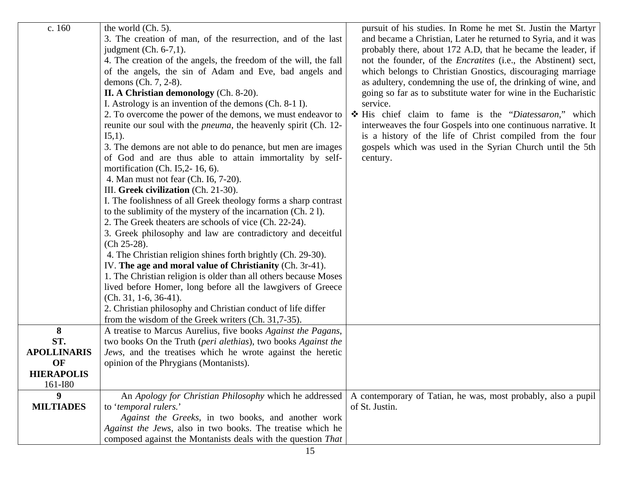| c. 160             | the world (Ch. 5).<br>3. The creation of man, of the resurrection, and of the last<br>judgment $(Ch. 6-7,1)$ .<br>4. The creation of the angels, the freedom of the will, the fall<br>of the angels, the sin of Adam and Eve, bad angels and<br>demons (Ch. 7, 2-8).<br>II. A Christian demonology (Ch. 8-20).<br>I. Astrology is an invention of the demons (Ch. 8-1 I).<br>2. To overcome the power of the demons, we must endeavor to<br>reunite our soul with the <i>pneuma</i> , the heavenly spirit (Ch. 12-<br>$I5,1$ ).<br>3. The demons are not able to do penance, but men are images<br>of God and are thus able to attain immortality by self-<br>mortification (Ch. I5,2- 16, 6).<br>4. Man must not fear (Ch. 16, 7-20).<br>III. Greek civilization (Ch. 21-30).<br>I. The foolishness of all Greek theology forms a sharp contrast<br>to the sublimity of the mystery of the incarnation (Ch. 21).<br>2. The Greek theaters are schools of vice (Ch. 22-24).<br>3. Greek philosophy and law are contradictory and deceitful<br>$(Ch 25-28).$<br>4. The Christian religion shines forth brightly (Ch. 29-30).<br>IV. The age and moral value of Christianity (Ch. 3r-41).<br>1. The Christian religion is older than all others because Moses<br>lived before Homer, long before all the lawgivers of Greece<br>$(Ch. 31, 1-6, 36-41).$<br>2. Christian philosophy and Christian conduct of life differ<br>from the wisdom of the Greek writers (Ch. 31,7-35). | pursuit of his studies. In Rome he met St. Justin the Martyr<br>and became a Christian, Later he returned to Syria, and it was<br>probably there, about 172 A.D, that he became the leader, if<br>not the founder, of the <i>Encratites</i> (i.e., the Abstinent) sect,<br>which belongs to Christian Gnostics, discouraging marriage<br>as adultery, condemning the use of, the drinking of wine, and<br>going so far as to substitute water for wine in the Eucharistic<br>service.<br>His chief claim to fame is the "Diatessaron," which<br>interweaves the four Gospels into one continuous narrative. It<br>is a history of the life of Christ compiled from the four<br>gospels which was used in the Syrian Church until the 5th<br>century. |
|--------------------|------------------------------------------------------------------------------------------------------------------------------------------------------------------------------------------------------------------------------------------------------------------------------------------------------------------------------------------------------------------------------------------------------------------------------------------------------------------------------------------------------------------------------------------------------------------------------------------------------------------------------------------------------------------------------------------------------------------------------------------------------------------------------------------------------------------------------------------------------------------------------------------------------------------------------------------------------------------------------------------------------------------------------------------------------------------------------------------------------------------------------------------------------------------------------------------------------------------------------------------------------------------------------------------------------------------------------------------------------------------------------------------------------------------------------------------------------------------------------|------------------------------------------------------------------------------------------------------------------------------------------------------------------------------------------------------------------------------------------------------------------------------------------------------------------------------------------------------------------------------------------------------------------------------------------------------------------------------------------------------------------------------------------------------------------------------------------------------------------------------------------------------------------------------------------------------------------------------------------------------|
|                    |                                                                                                                                                                                                                                                                                                                                                                                                                                                                                                                                                                                                                                                                                                                                                                                                                                                                                                                                                                                                                                                                                                                                                                                                                                                                                                                                                                                                                                                                              |                                                                                                                                                                                                                                                                                                                                                                                                                                                                                                                                                                                                                                                                                                                                                      |
|                    |                                                                                                                                                                                                                                                                                                                                                                                                                                                                                                                                                                                                                                                                                                                                                                                                                                                                                                                                                                                                                                                                                                                                                                                                                                                                                                                                                                                                                                                                              |                                                                                                                                                                                                                                                                                                                                                                                                                                                                                                                                                                                                                                                                                                                                                      |
|                    |                                                                                                                                                                                                                                                                                                                                                                                                                                                                                                                                                                                                                                                                                                                                                                                                                                                                                                                                                                                                                                                                                                                                                                                                                                                                                                                                                                                                                                                                              |                                                                                                                                                                                                                                                                                                                                                                                                                                                                                                                                                                                                                                                                                                                                                      |
| 8                  | A treatise to Marcus Aurelius, five books Against the Pagans,                                                                                                                                                                                                                                                                                                                                                                                                                                                                                                                                                                                                                                                                                                                                                                                                                                                                                                                                                                                                                                                                                                                                                                                                                                                                                                                                                                                                                |                                                                                                                                                                                                                                                                                                                                                                                                                                                                                                                                                                                                                                                                                                                                                      |
| ST.                | two books On the Truth (peri alethias), two books Against the                                                                                                                                                                                                                                                                                                                                                                                                                                                                                                                                                                                                                                                                                                                                                                                                                                                                                                                                                                                                                                                                                                                                                                                                                                                                                                                                                                                                                |                                                                                                                                                                                                                                                                                                                                                                                                                                                                                                                                                                                                                                                                                                                                                      |
| <b>APOLLINARIS</b> | Jews, and the treatises which he wrote against the heretic                                                                                                                                                                                                                                                                                                                                                                                                                                                                                                                                                                                                                                                                                                                                                                                                                                                                                                                                                                                                                                                                                                                                                                                                                                                                                                                                                                                                                   |                                                                                                                                                                                                                                                                                                                                                                                                                                                                                                                                                                                                                                                                                                                                                      |
| OF                 | opinion of the Phrygians (Montanists).                                                                                                                                                                                                                                                                                                                                                                                                                                                                                                                                                                                                                                                                                                                                                                                                                                                                                                                                                                                                                                                                                                                                                                                                                                                                                                                                                                                                                                       |                                                                                                                                                                                                                                                                                                                                                                                                                                                                                                                                                                                                                                                                                                                                                      |
| <b>HIERAPOLIS</b>  |                                                                                                                                                                                                                                                                                                                                                                                                                                                                                                                                                                                                                                                                                                                                                                                                                                                                                                                                                                                                                                                                                                                                                                                                                                                                                                                                                                                                                                                                              |                                                                                                                                                                                                                                                                                                                                                                                                                                                                                                                                                                                                                                                                                                                                                      |
| 161-I80            |                                                                                                                                                                                                                                                                                                                                                                                                                                                                                                                                                                                                                                                                                                                                                                                                                                                                                                                                                                                                                                                                                                                                                                                                                                                                                                                                                                                                                                                                              |                                                                                                                                                                                                                                                                                                                                                                                                                                                                                                                                                                                                                                                                                                                                                      |
| 9                  | An Apology for Christian Philosophy which he addressed                                                                                                                                                                                                                                                                                                                                                                                                                                                                                                                                                                                                                                                                                                                                                                                                                                                                                                                                                                                                                                                                                                                                                                                                                                                                                                                                                                                                                       | A contemporary of Tatian, he was, most probably, also a pupil                                                                                                                                                                                                                                                                                                                                                                                                                                                                                                                                                                                                                                                                                        |
| <b>MILTIADES</b>   | to 'temporal rulers.'                                                                                                                                                                                                                                                                                                                                                                                                                                                                                                                                                                                                                                                                                                                                                                                                                                                                                                                                                                                                                                                                                                                                                                                                                                                                                                                                                                                                                                                        | of St. Justin.                                                                                                                                                                                                                                                                                                                                                                                                                                                                                                                                                                                                                                                                                                                                       |
|                    | Against the Greeks, in two books, and another work                                                                                                                                                                                                                                                                                                                                                                                                                                                                                                                                                                                                                                                                                                                                                                                                                                                                                                                                                                                                                                                                                                                                                                                                                                                                                                                                                                                                                           |                                                                                                                                                                                                                                                                                                                                                                                                                                                                                                                                                                                                                                                                                                                                                      |
|                    | Against the Jews, also in two books. The treatise which he<br>composed against the Montanists deals with the question That                                                                                                                                                                                                                                                                                                                                                                                                                                                                                                                                                                                                                                                                                                                                                                                                                                                                                                                                                                                                                                                                                                                                                                                                                                                                                                                                                   |                                                                                                                                                                                                                                                                                                                                                                                                                                                                                                                                                                                                                                                                                                                                                      |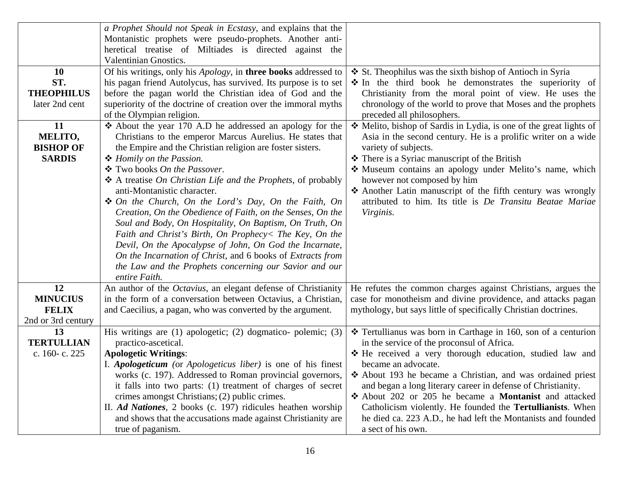| a Prophet Should not Speak in Ecstasy, and explains that the                     |                                                              |                                                                    |
|----------------------------------------------------------------------------------|--------------------------------------------------------------|--------------------------------------------------------------------|
| Montanistic prophets were pseudo-prophets. Another anti-                         |                                                              |                                                                    |
| heretical treatise of Miltiades is directed against the                          |                                                              |                                                                    |
| Valentinian Gnostics.                                                            |                                                              |                                                                    |
| Of his writings, only his Apology, in three books addressed to<br><b>10</b>      |                                                              | St. Theophilus was the sixth bishop of Antioch in Syria            |
| ST.<br>his pagan friend Autolycus, has survived. Its purpose is to set           |                                                              | • In the third book he demonstrates the superiority of             |
| <b>THEOPHILUS</b><br>before the pagan world the Christian idea of God and the    |                                                              | Christianity from the moral point of view. He uses the             |
| superiority of the doctrine of creation over the immoral myths<br>later 2nd cent |                                                              | chronology of the world to prove that Moses and the prophets       |
| of the Olympian religion.                                                        |                                                              | preceded all philosophers.                                         |
| 11<br>$\triangle$ About the year 170 A.D he addressed an apology for the         |                                                              | * Melito, bishop of Sardis in Lydia, is one of the great lights of |
| MELITO,                                                                          | Christians to the emperor Marcus Aurelius. He states that    | Asia in the second century. He is a prolific writer on a wide      |
| <b>BISHOP OF</b><br>the Empire and the Christian religion are foster sisters.    |                                                              | variety of subjects.                                               |
| <b>SARDIS</b><br>❖ Homily on the Passion.                                        |                                                              | There is a Syriac manuscript of the British                        |
| ❖ Two books On the Passover.                                                     |                                                              | * Museum contains an apology under Melito's name, which            |
| A treatise On Christian Life and the Prophets, of probably                       |                                                              | however not composed by him                                        |
| anti-Montanistic character.                                                      |                                                              | * Another Latin manuscript of the fifth century was wrongly        |
| ❖ On the Church, On the Lord's Day, On the Faith, On                             |                                                              | attributed to him. Its title is De Transitu Beatae Mariae          |
|                                                                                  | Creation, On the Obedience of Faith, on the Senses, On the   | Virginis.                                                          |
|                                                                                  | Soul and Body, On Hospitality, On Baptism, On Truth, On      |                                                                    |
|                                                                                  | Faith and Christ's Birth, On Prophecy< The Key, On the       |                                                                    |
|                                                                                  | Devil, On the Apocalypse of John, On God the Incarnate,      |                                                                    |
|                                                                                  | On the Incarnation of Christ, and 6 books of Extracts from   |                                                                    |
|                                                                                  | the Law and the Prophets concerning our Savior and our       |                                                                    |
| entire Faith.                                                                    |                                                              |                                                                    |
| 12<br>An author of the <i>Octavius</i> , an elegant defense of Christianity      |                                                              | He refutes the common charges against Christians, argues the       |
| in the form of a conversation between Octavius, a Christian,<br><b>MINUCIUS</b>  |                                                              | case for monotheism and divine providence, and attacks pagan       |
| <b>FELIX</b><br>and Caecilius, a pagan, who was converted by the argument.       |                                                              | mythology, but says little of specifically Christian doctrines.    |
| 2nd or 3rd century                                                               |                                                              |                                                                    |
| 13<br>His writings are $(1)$ apologetic; $(2)$ dogmatico-polemic; $(3)$          |                                                              | * Tertullianus was born in Carthage in 160, son of a centurion     |
| <b>TERTULLIAN</b><br>practico-ascetical.                                         |                                                              | in the service of the proconsul of Africa.                         |
| c. 160-c. 225<br><b>Apologetic Writings:</b>                                     |                                                              | * He received a very thorough education, studied law and           |
| I. Apologeticum (or Apologeticus liber) is one of his finest                     |                                                              | became an advocate.                                                |
|                                                                                  | works (c. 197). Addressed to Roman provincial governors,     | ❖ About 193 he became a Christian, and was ordained priest         |
|                                                                                  | it falls into two parts: (1) treatment of charges of secret  | and began a long literary career in defense of Christianity.       |
| crimes amongst Christians; (2) public crimes.                                    |                                                              | About 202 or 205 he became a Montanist and attacked                |
| II. Ad Nationes, 2 books (c. 197) ridicules heathen worship                      |                                                              | Catholicism violently. He founded the <b>Tertullianists</b> . When |
|                                                                                  | and shows that the accusations made against Christianity are | he died ca. 223 A.D., he had left the Montanists and founded       |
| true of paganism.                                                                |                                                              | a sect of his own.                                                 |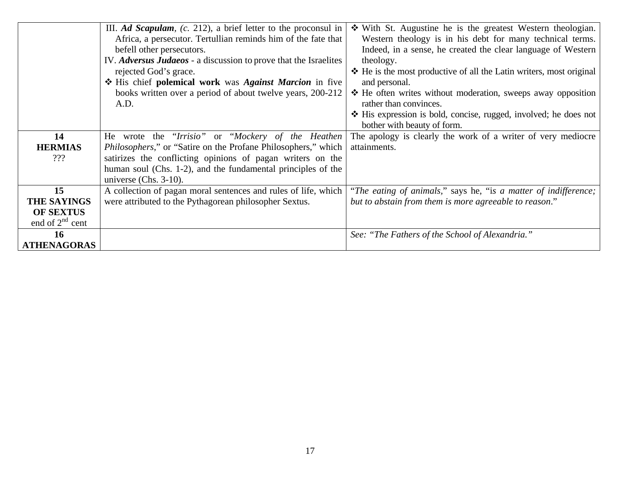|                      | III. Ad Scapulam, $(c. 212)$ , a brief letter to the proconsul in     | With St. Augustine he is the greatest Western theologian.                  |
|----------------------|-----------------------------------------------------------------------|----------------------------------------------------------------------------|
|                      | Africa, a persecutor. Tertullian reminds him of the fate that         | Western theology is in his debt for many technical terms.                  |
|                      | befell other persecutors.                                             | Indeed, in a sense, he created the clear language of Western               |
|                      | IV. Adversus Judaeos - a discussion to prove that the Israelites      | theology.                                                                  |
|                      | rejected God's grace.                                                 | ❖ He is the most productive of all the Latin writers, most original        |
|                      | His chief polemical work was Against Marcion in five                  | and personal.                                                              |
|                      | books written over a period of about twelve years, 200-212            | ❖ He often writes without moderation, sweeps away opposition               |
|                      | A.D.                                                                  | rather than convinces.                                                     |
|                      |                                                                       | $\triangle$ His expression is bold, concise, rugged, involved; he does not |
|                      |                                                                       | bother with beauty of form.                                                |
| 14                   | He wrote the "Irrisio" or "Mockery of the Heathen                     | The apology is clearly the work of a writer of very mediocre               |
| <b>HERMIAS</b>       | <i>Philosophers,</i> " or "Satire on the Profane Philosophers," which | attainments.                                                               |
| 222                  | satirizes the conflicting opinions of pagan writers on the            |                                                                            |
|                      | human soul (Chs. 1-2), and the fundamental principles of the          |                                                                            |
|                      | universe (Chs. $3-10$ ).                                              |                                                                            |
| 15                   | A collection of pagan moral sentences and rules of life, which        | "The eating of animals," says he, "is a matter of indifference;"           |
| <b>THE SAYINGS</b>   | were attributed to the Pythagorean philosopher Sextus.                | but to abstain from them is more agreeable to reason."                     |
| <b>OF SEXTUS</b>     |                                                                       |                                                                            |
| end of $2^{nd}$ cent |                                                                       |                                                                            |
| 16                   |                                                                       | See: "The Fathers of the School of Alexandria."                            |
| <b>ATHENAGORAS</b>   |                                                                       |                                                                            |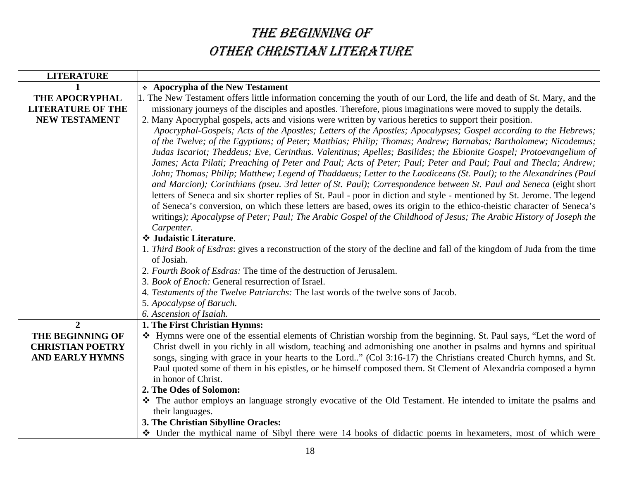# THE BEGINNING OF OTHER CHRISTIAN LITERATURE

| <b>LITERATURE</b>        |                                                                                                                                                                                                                                                                                                                                                                                                                                                                                                                                                                                                                                                                                                                                                                                                                                                                                                                                                                                                                                                                                                                                                                                                                                                                                                                                                                                                                  |
|--------------------------|------------------------------------------------------------------------------------------------------------------------------------------------------------------------------------------------------------------------------------------------------------------------------------------------------------------------------------------------------------------------------------------------------------------------------------------------------------------------------------------------------------------------------------------------------------------------------------------------------------------------------------------------------------------------------------------------------------------------------------------------------------------------------------------------------------------------------------------------------------------------------------------------------------------------------------------------------------------------------------------------------------------------------------------------------------------------------------------------------------------------------------------------------------------------------------------------------------------------------------------------------------------------------------------------------------------------------------------------------------------------------------------------------------------|
|                          | * Apocrypha of the New Testament                                                                                                                                                                                                                                                                                                                                                                                                                                                                                                                                                                                                                                                                                                                                                                                                                                                                                                                                                                                                                                                                                                                                                                                                                                                                                                                                                                                 |
| THE APOCRYPHAL           | 1. The New Testament offers little information concerning the youth of our Lord, the life and death of St. Mary, and the                                                                                                                                                                                                                                                                                                                                                                                                                                                                                                                                                                                                                                                                                                                                                                                                                                                                                                                                                                                                                                                                                                                                                                                                                                                                                         |
| <b>LITERATURE OF THE</b> | missionary journeys of the disciples and apostles. Therefore, pious imaginations were moved to supply the details.                                                                                                                                                                                                                                                                                                                                                                                                                                                                                                                                                                                                                                                                                                                                                                                                                                                                                                                                                                                                                                                                                                                                                                                                                                                                                               |
| <b>NEW TESTAMENT</b>     | 2. Many Apocryphal gospels, acts and visions were written by various heretics to support their position.                                                                                                                                                                                                                                                                                                                                                                                                                                                                                                                                                                                                                                                                                                                                                                                                                                                                                                                                                                                                                                                                                                                                                                                                                                                                                                         |
|                          | Apocryphal-Gospels; Acts of the Apostles; Letters of the Apostles; Apocalypses; Gospel according to the Hebrews;<br>of the Twelve; of the Egyptians; of Peter; Matthias; Philip; Thomas; Andrew; Barnabas; Bartholomew; Nicodemus;<br>Judas Iscariot; Theddeus; Eve, Cerinthus. Valentinus; Apelles; Basilides; the Ebionite Gospel; Protoevangelium of<br>James; Acta Pilati; Preaching of Peter and Paul; Acts of Peter; Paul; Peter and Paul; Paul and Thecla; Andrew;<br>John; Thomas; Philip; Matthew; Legend of Thaddaeus; Letter to the Laodiceans (St. Paul); to the Alexandrines (Paul<br>and Marcion); Corinthians (pseu. 3rd letter of St. Paul); Correspondence between St. Paul and Seneca (eight short<br>letters of Seneca and six shorter replies of St. Paul - poor in diction and style - mentioned by St. Jerome. The legend<br>of Seneca's conversion, on which these letters are based, owes its origin to the ethico-theistic character of Seneca's<br>writings); Apocalypse of Peter; Paul; The Arabic Gospel of the Childhood of Jesus; The Arabic History of Joseph the<br>Carpenter.<br>❖ Judaistic Literature.<br>1. Third Book of Esdras: gives a reconstruction of the story of the decline and fall of the kingdom of Juda from the time<br>of Josiah.<br>2. Fourth Book of Esdras: The time of the destruction of Jerusalem.<br>3. Book of Enoch: General resurrection of Israel. |
|                          | 4. Testaments of the Twelve Patriarchs: The last words of the twelve sons of Jacob.                                                                                                                                                                                                                                                                                                                                                                                                                                                                                                                                                                                                                                                                                                                                                                                                                                                                                                                                                                                                                                                                                                                                                                                                                                                                                                                              |
|                          | 5. Apocalypse of Baruch.                                                                                                                                                                                                                                                                                                                                                                                                                                                                                                                                                                                                                                                                                                                                                                                                                                                                                                                                                                                                                                                                                                                                                                                                                                                                                                                                                                                         |
|                          | 6. Ascension of Isaiah.                                                                                                                                                                                                                                                                                                                                                                                                                                                                                                                                                                                                                                                                                                                                                                                                                                                                                                                                                                                                                                                                                                                                                                                                                                                                                                                                                                                          |
| $\overline{2}$           | 1. The First Christian Hymns:                                                                                                                                                                                                                                                                                                                                                                                                                                                                                                                                                                                                                                                                                                                                                                                                                                                                                                                                                                                                                                                                                                                                                                                                                                                                                                                                                                                    |
| THE BEGINNING OF         | * Hymns were one of the essential elements of Christian worship from the beginning. St. Paul says, "Let the word of                                                                                                                                                                                                                                                                                                                                                                                                                                                                                                                                                                                                                                                                                                                                                                                                                                                                                                                                                                                                                                                                                                                                                                                                                                                                                              |
| <b>CHRISTIAN POETRY</b>  | Christ dwell in you richly in all wisdom, teaching and admonishing one another in psalms and hymns and spiritual                                                                                                                                                                                                                                                                                                                                                                                                                                                                                                                                                                                                                                                                                                                                                                                                                                                                                                                                                                                                                                                                                                                                                                                                                                                                                                 |
| <b>AND EARLY HYMNS</b>   | songs, singing with grace in your hearts to the Lord" (Col 3:16-17) the Christians created Church hymns, and St.                                                                                                                                                                                                                                                                                                                                                                                                                                                                                                                                                                                                                                                                                                                                                                                                                                                                                                                                                                                                                                                                                                                                                                                                                                                                                                 |
|                          | Paul quoted some of them in his epistles, or he himself composed them. St Clement of Alexandria composed a hymn<br>in honor of Christ.                                                                                                                                                                                                                                                                                                                                                                                                                                                                                                                                                                                                                                                                                                                                                                                                                                                                                                                                                                                                                                                                                                                                                                                                                                                                           |
|                          | 2. The Odes of Solomon:                                                                                                                                                                                                                                                                                                                                                                                                                                                                                                                                                                                                                                                                                                                                                                                                                                                                                                                                                                                                                                                                                                                                                                                                                                                                                                                                                                                          |
|                          | The author employs an language strongly evocative of the Old Testament. He intended to imitate the psalms and                                                                                                                                                                                                                                                                                                                                                                                                                                                                                                                                                                                                                                                                                                                                                                                                                                                                                                                                                                                                                                                                                                                                                                                                                                                                                                    |
|                          | their languages.                                                                                                                                                                                                                                                                                                                                                                                                                                                                                                                                                                                                                                                                                                                                                                                                                                                                                                                                                                                                                                                                                                                                                                                                                                                                                                                                                                                                 |
|                          | 3. The Christian Sibylline Oracles:                                                                                                                                                                                                                                                                                                                                                                                                                                                                                                                                                                                                                                                                                                                                                                                                                                                                                                                                                                                                                                                                                                                                                                                                                                                                                                                                                                              |
|                          | • Under the mythical name of Sibyl there were 14 books of didactic poems in hexameters, most of which were                                                                                                                                                                                                                                                                                                                                                                                                                                                                                                                                                                                                                                                                                                                                                                                                                                                                                                                                                                                                                                                                                                                                                                                                                                                                                                       |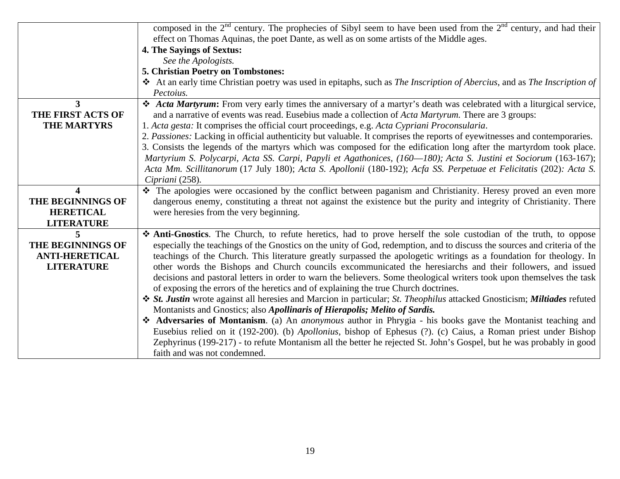|                       | composed in the $2nd$ century. The prophecies of Sibyl seem to have been used from the $2nd$ century, and had their       |  |
|-----------------------|---------------------------------------------------------------------------------------------------------------------------|--|
|                       | effect on Thomas Aquinas, the poet Dante, as well as on some artists of the Middle ages.                                  |  |
|                       | <b>4. The Sayings of Sextus:</b>                                                                                          |  |
|                       | See the Apologists.                                                                                                       |  |
|                       | 5. Christian Poetry on Tombstones:                                                                                        |  |
|                       | At an early time Christian poetry was used in epitaphs, such as The Inscription of Abercius, and as The Inscription of    |  |
|                       | Pectoius.                                                                                                                 |  |
| 3                     | * Acta Martyrum: From very early times the anniversary of a martyr's death was celebrated with a liturgical service,      |  |
| THE FIRST ACTS OF     | and a narrative of events was read. Eusebius made a collection of <i>Acta Martyrum</i> . There are 3 groups:              |  |
| <b>THE MARTYRS</b>    | 1. Acta gesta: It comprises the official court proceedings, e.g. Acta Cypriani Proconsularia.                             |  |
|                       | 2. Passiones: Lacking in official authenticity but valuable. It comprises the reports of eyewitnesses and contemporaries. |  |
|                       | 3. Consists the legends of the martyrs which was composed for the edification long after the martyrdom took place.        |  |
|                       | Martyrium S. Polycarpi, Acta SS. Carpi, Papyli et Agathonices, (160-180); Acta S. Justini et Sociorum (163-167);          |  |
|                       | Acta Mm. Scillitanorum (17 July 180); Acta S. Apollonii (180-192); Acfa SS. Perpetuae et Felicitatis (202): Acta S.       |  |
|                       | Cipriani (258).                                                                                                           |  |
| $\boldsymbol{\Delta}$ | The apologies were occasioned by the conflict between paganism and Christianity. Heresy proved an even more               |  |
| THE BEGINNINGS OF     | dangerous enemy, constituting a threat not against the existence but the purity and integrity of Christianity. There      |  |
| <b>HERETICAL</b>      | were here sies from the very beginning.                                                                                   |  |
| <b>LITERATURE</b>     |                                                                                                                           |  |
| 5                     | Anti-Gnostics. The Church, to refute heretics, had to prove herself the sole custodian of the truth, to oppose            |  |
| THE BEGINNINGS OF     | especially the teachings of the Gnostics on the unity of God, redemption, and to discuss the sources and criteria of the  |  |
| <b>ANTI-HERETICAL</b> | teachings of the Church. This literature greatly surpassed the apologetic writings as a foundation for theology. In       |  |
| <b>LITERATURE</b>     | other words the Bishops and Church councils excommunicated the heresiarchs and their followers, and issued                |  |
|                       | decisions and pastoral letters in order to warn the believers. Some theological writers took upon themselves the task     |  |
|                       | of exposing the errors of the heretics and of explaining the true Church doctrines.                                       |  |
|                       | ❖ St. Justin wrote against all heresies and Marcion in particular; St. Theophilus attacked Gnosticism; Miltiades refuted  |  |
|                       | Montanists and Gnostics; also Apollinaris of Hierapolis; Melito of Sardis.                                                |  |
|                       | Adversaries of Montanism. (a) An anonymous author in Phrygia - his books gave the Montanist teaching and                  |  |
|                       | Eusebius relied on it (192-200). (b) Apollonius, bishop of Ephesus (?). (c) Caius, a Roman priest under Bishop            |  |
|                       | Zephyrinus (199-217) - to refute Montanism all the better he rejected St. John's Gospel, but he was probably in good      |  |
|                       | faith and was not condemned.                                                                                              |  |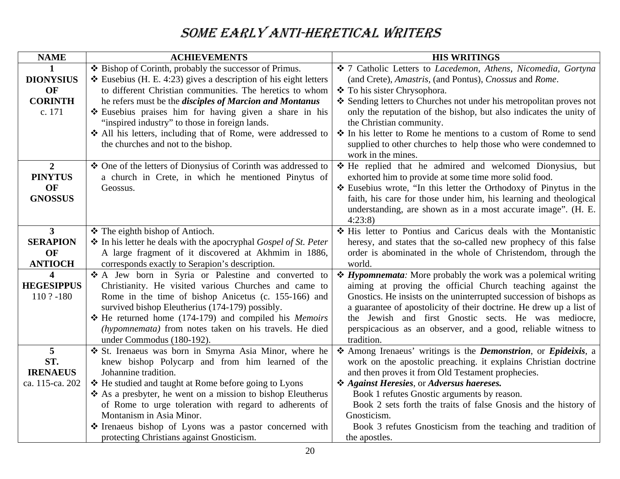# SOME EARLY ANTI-HERETICAL WRITERS

| <b>NAME</b>             | <b>ACHIEVEMENTS</b>                                                                                      | <b>HIS WRITINGS</b>                                                                                                                             |
|-------------------------|----------------------------------------------------------------------------------------------------------|-------------------------------------------------------------------------------------------------------------------------------------------------|
|                         | ❖ Bishop of Corinth, probably the successor of Primus.                                                   | ❖ 7 Catholic Letters to Lacedemon, Athens, Nicomedia, Gortyna                                                                                   |
| <b>DIONYSIUS</b>        | $\triangle$ Eusebius (H. E. 4:23) gives a description of his eight letters                               | (and Crete), Amastris, (and Pontus), Cnossus and Rome.                                                                                          |
| OF                      | to different Christian communities. The heretics to whom                                                 | ❖ To his sister Chrysophora.                                                                                                                    |
| <b>CORINTH</b>          | he refers must be the <i>disciples of Marcion and Montanus</i>                                           | ❖ Sending letters to Churches not under his metropolitan proves not                                                                             |
| c. 171                  | Eusebius praises him for having given a share in his                                                     | only the reputation of the bishop, but also indicates the unity of                                                                              |
|                         | "inspired industry" to those in foreign lands.                                                           | the Christian community.                                                                                                                        |
|                         | All his letters, including that of Rome, were addressed to                                               | ❖ In his letter to Rome he mentions to a custom of Rome to send                                                                                 |
|                         | the churches and not to the bishop.                                                                      | supplied to other churches to help those who were condemned to                                                                                  |
|                         |                                                                                                          | work in the mines.                                                                                                                              |
| $\boldsymbol{2}$        | ❖ One of the letters of Dionysius of Corinth was addressed to                                            | * He replied that he admired and welcomed Dionysius, but                                                                                        |
| <b>PINYTUS</b><br>OF    | a church in Crete, in which he mentioned Pinytus of<br>Geossus.                                          | exhorted him to provide at some time more solid food.<br>❖ Eusebius wrote, "In this letter the Orthodoxy of Pinytus in the                      |
| <b>GNOSSUS</b>          |                                                                                                          | faith, his care for those under him, his learning and theological                                                                               |
|                         |                                                                                                          | understanding, are shown as in a most accurate image". (H. E.                                                                                   |
|                         |                                                                                                          | 4:23:8                                                                                                                                          |
| $\overline{3}$          | ❖ The eighth bishop of Antioch.                                                                          | His letter to Pontius and Caricus deals with the Montanistic                                                                                    |
| <b>SERAPION</b>         | The his letter he deals with the apocryphal Gospel of St. Peter                                          | heresy, and states that the so-called new prophecy of this false                                                                                |
| OF                      | A large fragment of it discovered at Akhmim in 1886,                                                     | order is abominated in the whole of Christendom, through the                                                                                    |
| <b>ANTIOCH</b>          | corresponds exactly to Serapion's description.                                                           | world.                                                                                                                                          |
| $\overline{\mathbf{4}}$ | A Jew born in Syria or Palestine and converted to                                                        | <i><b>❖ Hypomnemata:</b></i> More probably the work was a polemical writing                                                                     |
| <b>HEGESIPPUS</b>       | Christianity. He visited various Churches and came to                                                    | aiming at proving the official Church teaching against the                                                                                      |
| 110 ? -180              | Rome in the time of bishop Anicetus (c. 155-166) and                                                     | Gnostics. He insists on the uninterrupted succession of bishops as                                                                              |
|                         | survived bishop Eleutherius (174-179) possibly.                                                          | a guarantee of apostolicity of their doctrine. He drew up a list of                                                                             |
|                         | * He returned home (174-179) and compiled his Memoirs                                                    | the Jewish and first Gnostic sects. He was mediocre,                                                                                            |
|                         | (hypomnemata) from notes taken on his travels. He died                                                   | perspicacious as an observer, and a good, reliable witness to                                                                                   |
|                         | under Commodus (180-192).                                                                                | tradition.                                                                                                                                      |
| 5<br>ST.                | St. Irenaeus was born in Smyrna Asia Minor, where he<br>knew bishop Polycarp and from him learned of the | Among Irenaeus' writings is the <i>Demonstrion</i> , or <i>Epideixis</i> , a<br>work on the apostolic preaching. it explains Christian doctrine |
| <b>IRENAEUS</b>         | Johannine tradition.                                                                                     | and then proves it from Old Testament prophecies.                                                                                               |
| ca. 115-ca. 202         | ❖ He studied and taught at Rome before going to Lyons                                                    | * Against Heresies, or Adversus haereses.                                                                                                       |
|                         | ❖ As a presbyter, he went on a mission to bishop Eleutherus                                              | Book 1 refutes Gnostic arguments by reason.                                                                                                     |
|                         | of Rome to urge toleration with regard to adherents of                                                   | Book 2 sets forth the traits of false Gnosis and the history of                                                                                 |
|                         | Montanism in Asia Minor.                                                                                 | Gnosticism.                                                                                                                                     |
|                         | The Irenaeus bishop of Lyons was a pastor concerned with                                                 | Book 3 refutes Gnosticism from the teaching and tradition of                                                                                    |
|                         | protecting Christians against Gnosticism.                                                                | the apostles.                                                                                                                                   |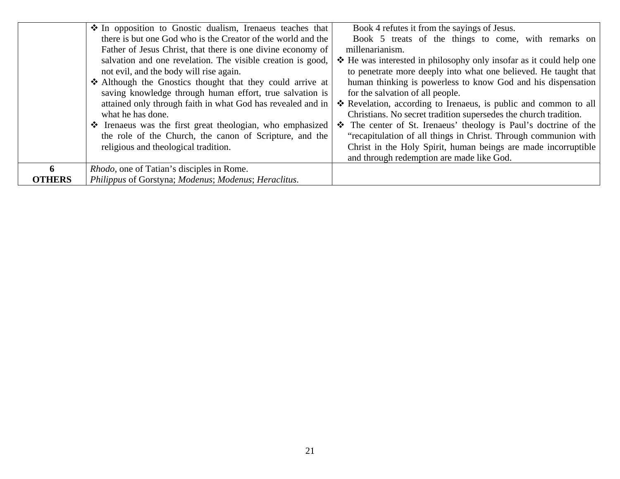|               | • In opposition to Gnostic dualism, Irenaeus teaches that    | Book 4 refutes it from the sayings of Jesus.                        |
|---------------|--------------------------------------------------------------|---------------------------------------------------------------------|
|               | there is but one God who is the Creator of the world and the | Book 5 treats of the things to come, with remarks on                |
|               | Father of Jesus Christ, that there is one divine economy of  | millenarianism.                                                     |
|               | salvation and one revelation. The visible creation is good,  | ❖ He was interested in philosophy only insofar as it could help one |
|               | not evil, and the body will rise again.                      | to penetrate more deeply into what one believed. He taught that     |
|               | Although the Gnostics thought that they could arrive at      | human thinking is powerless to know God and his dispensation        |
|               | saving knowledge through human effort, true salvation is     | for the salvation of all people.                                    |
|               | attained only through faith in what God has revealed and in  | * Revelation, according to Irenaeus, is public and common to all    |
|               | what he has done.                                            | Christians. No secret tradition supersedes the church tradition.    |
|               | The Tenaeus was the first great theologian, who emphasized   | The center of St. Irenaeus' theology is Paul's doctrine of the      |
|               | the role of the Church, the canon of Scripture, and the      | "recapitulation of all things in Christ. Through communion with     |
|               | religious and theological tradition.                         | Christ in the Holy Spirit, human beings are made incorruptible      |
|               |                                                              | and through redemption are made like God.                           |
| 6             | <i>Rhodo</i> , one of Tatian's disciples in Rome.            |                                                                     |
| <b>OTHERS</b> | Philippus of Gorstyna; Modenus; Modenus; Heraclitus.         |                                                                     |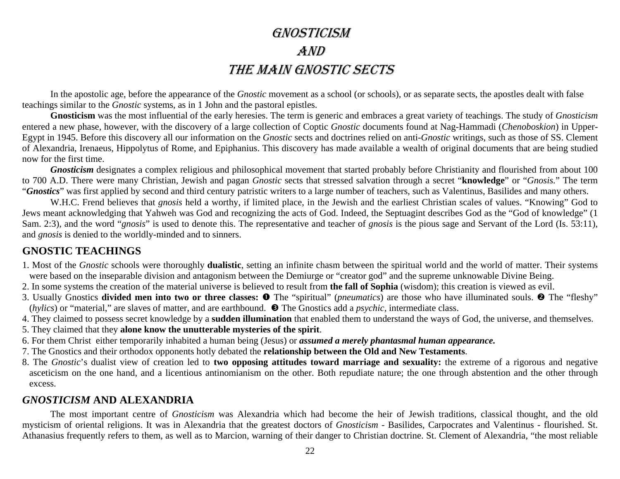# GNOSTICISM AND THE MAIN GNOSTIC SECTS

In the apostolic age, before the appearance of the *Gnostic* movement as a school (or schools), or as separate sects, the apostles dealt with false teachings similar to the *Gnostic* systems, as in 1 John and the pastoral epistles.

**Gnosticism** was the most influential of the early heresies. The term is generic and embraces a great variety of teachings. The study of *Gnosticism* entered a new phase, however, with the discovery of a large collection of Coptic *Gnostic* documents found at Nag-Hammadi (*Chenoboskion*) in Upper-Egypt in 1945. Before this discovery all our information on the *Gnostic* sects and doctrines relied on anti-*Gnostic* writings, such as those of SS. Clement of Alexandria, Irenaeus, Hippolytus of Rome, and Epiphanius. This discovery has made available a wealth of original documents that are being studied now for the first time.

*Gnosticism* designates a complex religious and philosophical movement that started probably before Christianity and flourished from about 100 to 700 A.D. There were many Christian, Jewish and pagan *Gnostic* sects that stressed salvation through a secret "**knowledge**" or "*Gnosis.*" The term "*Gnostics*" was first applied by second and third century patristic writers to a large number of teachers, such as Valentinus, Basilides and many others.

W.H.C. Frend believes that *gnosis* held a worthy, if limited place, in the Jewish and the earliest Christian scales of values. "Knowing" God to Jews meant acknowledging that Yahweh was God and recognizing the acts of God. Indeed, the Septuagint describes God as the "God of knowledge" (1 Sam. 2:3), and the word "*gnosis*" is used to denote this. The representative and teacher of *gnosis* is the pious sage and Servant of the Lord (Is. 53:11), and *gnosis* is denied to the worldly-minded and to sinners.

#### **GNOSTIC TEACHINGS**

- 1. Most of the *Gnostic* schools were thoroughly **dualistic**, setting an infinite chasm between the spiritual world and the world of matter. Their systems were based on the inseparable division and antagonism between the Demiurge or "creator god" and the supreme unknowable Divine Being.
- 2. In some systems the creation of the material universe is believed to result from **the fall of Sophia** (wisdom); this creation is viewed as evil.
- 3. Usually Gnostics **divided men into two or three classes:**  $\bullet$  The "spiritual" (*pneumatics*) are those who have illuminated souls.  $\bullet$  The "fleshy" (*hylics*) or "material," are slaves of matter, and are earthbound.  $\bullet$  The Gnostics add a *psychic*, intermediate class.
- 4. They claimed to possess secret knowledge by a **sudden illumination** that enabled them to understand the ways of God, the universe, and themselves.
- 5. They claimed that they **alone know the unutterable mysteries of the spirit**.
- 6. For them Christ either temporarily inhabited a human being (Jesus) or *assumed a merely phantasmal human appearance.*
- 7. The Gnostics and their orthodox opponents hotly debated the **relationship between the Old and New Testaments**.
- 8. The *Gnostic*'s dualist view of creation led to **two opposing attitudes toward marriage and sexuality:** the extreme of a rigorous and negative asceticism on the one hand, and a licentious antinomianism on the other. Both repudiate nature; the one through abstention and the other through excess.

#### *GNOSTICISM* **AND ALEXANDRIA**

 The most important centre of *Gnosticism* was Alexandria which had become the heir of Jewish traditions, classical thought, and the old mysticism of oriental religions. It was in Alexandria that the greatest doctors of *Gnosticism* - Basilides, Carpocrates and Valentinus - flourished. St. Athanasius frequently refers to them, as well as to Marcion, warning of their danger to Christian doctrine. St. Clement of Alexandria, "the most reliable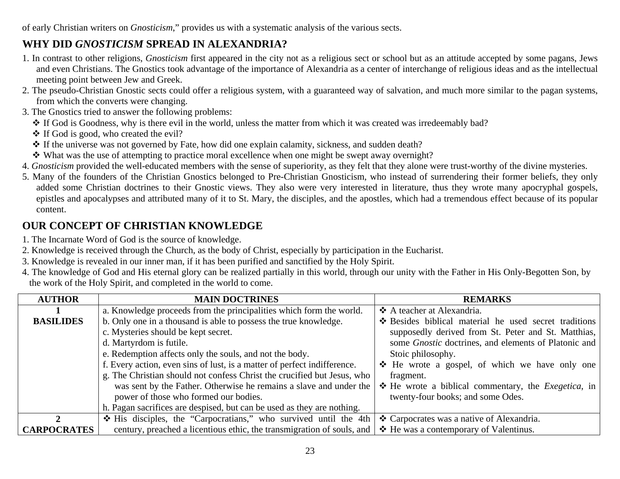of early Christian writers on *Gnosticism*," provides us with a systematic analysis of the various sects.

### **WHY DID** *GNOSTICISM* **SPREAD IN ALEXANDRIA?**

- 1. In contrast to other religions, *Gnosticism* first appeared in the city not as a religious sect or school but as an attitude accepted by some pagans, Jews and even Christians. The Gnostics took advantage of the importance of Alexandria as a center of interchange of religious ideas and as the intellectual meeting point between Jew and Greek.
- 2. The pseudo-Christian Gnostic sects could offer a religious system, with a guaranteed way of salvation, and much more similar to the pagan systems, from which the converts were changing.
- 3. The Gnostics tried to answer the following problems:
	- If God is Goodness, why is there evil in the world, unless the matter from which it was created was irredeemably bad?
	- $\cdot$  If God is good, who created the evil?
	- If the universe was not governed by Fate, how did one explain calamity, sickness, and sudden death?
	- What was the use of attempting to practice moral excellence when one might be swept away overnight?
- 4. *Gnosticism* provided the well-educated members with the sense of superiority, as they felt that they alone were trust-worthy of the divine mysteries.
- 5. Many of the founders of the Christian Gnostics belonged to Pre-Christian Gnosticism, who instead of surrendering their former beliefs, they only added some Christian doctrines to their Gnostic views. They also were very interested in literature, thus they wrote many apocryphal gospels, epistles and apocalypses and attributed many of it to St. Mary, the disciples, and the apostles, which had a tremendous effect because of its popular content.

### **OUR CONCEPT OF CHRISTIAN KNOWLEDGE**

- 1. The Incarnate Word of God is the source of knowledge.
- 2. Knowledge is received through the Church, as the body of Christ, especially by participation in the Eucharist.
- 3. Knowledge is revealed in our inner man, if it has been purified and sanctified by the Holy Spirit.
- 4. The knowledge of God and His eternal glory can be realized partially in this world, through our unity with the Father in His Only-Begotten Son, by the work of the Holy Spirit, and completed in the world to come.

| <b>AUTHOR</b>      | <b>MAIN DOCTRINES</b>                                                    | <b>REMARKS</b>                                                        |
|--------------------|--------------------------------------------------------------------------|-----------------------------------------------------------------------|
|                    | a. Knowledge proceeds from the principalities which form the world.      | ❖ A teacher at Alexandria.                                            |
| <b>BASILIDES</b>   | b. Only one in a thousand is able to possess the true knowledge.         | ❖ Besides biblical material he used secret traditions                 |
|                    | c. Mysteries should be kept secret.                                      | supposedly derived from St. Peter and St. Matthias,                   |
|                    | d. Martyrdom is futile.                                                  | some <i>Gnostic</i> doctrines, and elements of Platonic and           |
|                    | e. Redemption affects only the souls, and not the body.                  | Stoic philosophy.                                                     |
|                    | f. Every action, even sins of lust, is a matter of perfect indifference. | ❖ He wrote a gospel, of which we have only one                        |
|                    | g. The Christian should not confess Christ the crucified but Jesus, who  | fragment.                                                             |
|                    | was sent by the Father. Otherwise he remains a slave and under the       | $\triangle$ He wrote a biblical commentary, the <i>Exegetica</i> , in |
|                    | power of those who formed our bodies.                                    | twenty-four books; and some Odes.                                     |
|                    | h. Pagan sacrifices are despised, but can be used as they are nothing.   |                                                                       |
|                    | * His disciples, the "Carpocratians," who survived until the 4th         | ❖ Carpocrates was a native of Alexandria.                             |
| <b>CARPOCRATES</b> | century, preached a licentious ethic, the transmigration of souls, and   | ❖ He was a contemporary of Valentinus.                                |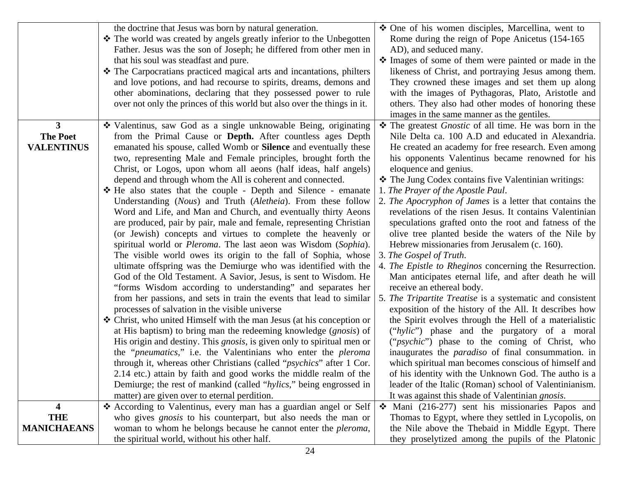|                                | the doctrine that Jesus was born by natural generation.                                                                                      | ❖ One of his women disciples, Marcellina, went to                                                                 |
|--------------------------------|----------------------------------------------------------------------------------------------------------------------------------------------|-------------------------------------------------------------------------------------------------------------------|
|                                | ❖ The world was created by angels greatly inferior to the Unbegotten                                                                         | Rome during the reign of Pope Anicetus (154-165)                                                                  |
|                                | Father. Jesus was the son of Joseph; he differed from other men in                                                                           | AD), and seduced many.                                                                                            |
|                                | that his soul was steadfast and pure.                                                                                                        | • Images of some of them were painted or made in the                                                              |
|                                | The Carpocratians practiced magical arts and incantations, philters                                                                          | likeness of Christ, and portraying Jesus among them.                                                              |
|                                | and love potions, and had recourse to spirits, dreams, demons and                                                                            | They crowned these images and set them up along                                                                   |
|                                | other abominations, declaring that they possessed power to rule                                                                              | with the images of Pythagoras, Plato, Aristotle and                                                               |
|                                | over not only the princes of this world but also over the things in it.                                                                      | others. They also had other modes of honoring these                                                               |
|                                |                                                                                                                                              | images in the same manner as the gentiles.                                                                        |
| $3^{\circ}$<br><b>The Poet</b> | ❖ Valentinus, saw God as a single unknowable Being, originating                                                                              | The greatest <i>Gnostic</i> of all time. He was born in the<br>Nile Delta ca. 100 A.D and educated in Alexandria. |
| <b>VALENTINUS</b>              | from the Primal Cause or <b>Depth.</b> After countless ages Depth<br>emanated his spouse, called Womb or <b>Silence</b> and eventually these | He created an academy for free research. Even among                                                               |
|                                | two, representing Male and Female principles, brought forth the                                                                              | his opponents Valentinus became renowned for his                                                                  |
|                                | Christ, or Logos, upon whom all aeons (half ideas, half angels)                                                                              | eloquence and genius.                                                                                             |
|                                | depend and through whom the All is coherent and connected.                                                                                   | ❖ The Jung Codex contains five Valentinian writings:                                                              |
|                                | ❖ He also states that the couple - Depth and Silence - emanate                                                                               | 1. The Prayer of the Apostle Paul.                                                                                |
|                                | Understanding (Nous) and Truth (Aletheia). From these follow                                                                                 | 2. The Apocryphon of James is a letter that contains the                                                          |
|                                | Word and Life, and Man and Church, and eventually thirty Aeons                                                                               | revelations of the risen Jesus. It contains Valentinian                                                           |
|                                | are produced, pair by pair, male and female, representing Christian                                                                          | speculations grafted onto the root and fatness of the                                                             |
|                                | (or Jewish) concepts and virtues to complete the heavenly or                                                                                 | olive tree planted beside the waters of the Nile by                                                               |
|                                | spiritual world or <i>Pleroma</i> . The last aeon was Wisdom (Sophia).                                                                       | Hebrew missionaries from Jerusalem (c. 160).                                                                      |
|                                | The visible world owes its origin to the fall of Sophia, whose                                                                               | 3. The Gospel of Truth.                                                                                           |
|                                | ultimate offspring was the Demiurge who was identified with the                                                                              | 4. The Epistle to Rheginos concerning the Resurrection.                                                           |
|                                | God of the Old Testament. A Savior, Jesus, is sent to Wisdom. He                                                                             | Man anticipates eternal life, and after death he will                                                             |
|                                | "forms Wisdom according to understanding" and separates her                                                                                  | receive an ethereal body.                                                                                         |
|                                | from her passions, and sets in train the events that lead to similar                                                                         | 5. The Tripartite Treatise is a systematic and consistent                                                         |
|                                | processes of salvation in the visible universe                                                                                               | exposition of the history of the All. It describes how                                                            |
|                                | ❖ Christ, who united Himself with the man Jesus (at his conception or                                                                        | the Spirit evolves through the Hell of a materialistic                                                            |
|                                | at His baptism) to bring man the redeeming knowledge ( <i>gnosis</i> ) of                                                                    | ("hylic") phase and the purgatory of a moral                                                                      |
|                                | His origin and destiny. This <i>gnosis</i> , is given only to spiritual men or                                                               | (" <i>psychic</i> ") phase to the coming of Christ, who                                                           |
|                                | the " <i>pneumatics</i> ," i.e. the Valentinians who enter the <i>pleroma</i>                                                                | inaugurates the <i>paradiso</i> of final consummation. in                                                         |
|                                | through it, whereas other Christians (called " <i>psychics</i> " after 1 Cor.                                                                | which spiritual man becomes conscious of himself and                                                              |
|                                | 2.14 etc.) attain by faith and good works the middle realm of the                                                                            | of his identity with the Unknown God. The autho is a                                                              |
|                                | Demiurge; the rest of mankind (called "hylics," being engrossed in                                                                           | leader of the Italic (Roman) school of Valentinianism.                                                            |
|                                | matter) are given over to eternal perdition.                                                                                                 | It was against this shade of Valentinian <i>gnosis</i> .                                                          |
| 4                              | * According to Valentinus, every man has a guardian angel or Self                                                                            | $\div$ Mani (216-277) sent his missionaries Papos and                                                             |
| <b>THE</b>                     | who gives <i>gnosis</i> to his counterpart, but also needs the man or                                                                        | Thomas to Egypt, where they settled in Lycopolis, on                                                              |
| <b>MANICHAEANS</b>             | woman to whom he belongs because he cannot enter the <i>pleroma</i> ,                                                                        | the Nile above the Thebaid in Middle Egypt. There                                                                 |
|                                | the spiritual world, without his other half.                                                                                                 | they proselytized among the pupils of the Platonic                                                                |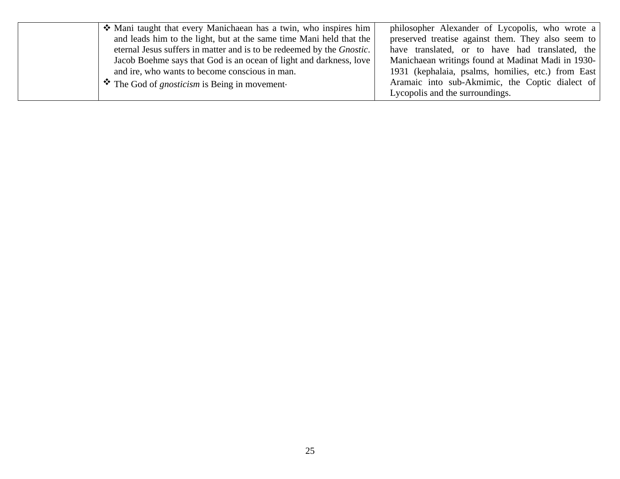| • Mani taught that every Manichaean has a twin, who inspires him              | philosopher Alexander of Lycopolis, who wrote a    |
|-------------------------------------------------------------------------------|----------------------------------------------------|
| and leads him to the light, but at the same time Mani held that the           | preserved treatise against them. They also seem to |
| eternal Jesus suffers in matter and is to be redeemed by the <i>Gnostic</i> . | have translated, or to have had translated, the    |
| Jacob Boehme says that God is an ocean of light and darkness, love            | Manichaean writings found at Madinat Madi in 1930- |
| and ire, who wants to become conscious in man.                                | 1931 (kephalaia, psalms, homilies, etc.) from East |
| $\bullet$ The God of <i>gnosticism</i> is Being in movement                   | Aramaic into sub-Akmimic, the Coptic dialect of    |
|                                                                               | Lycopolis and the surroundings.                    |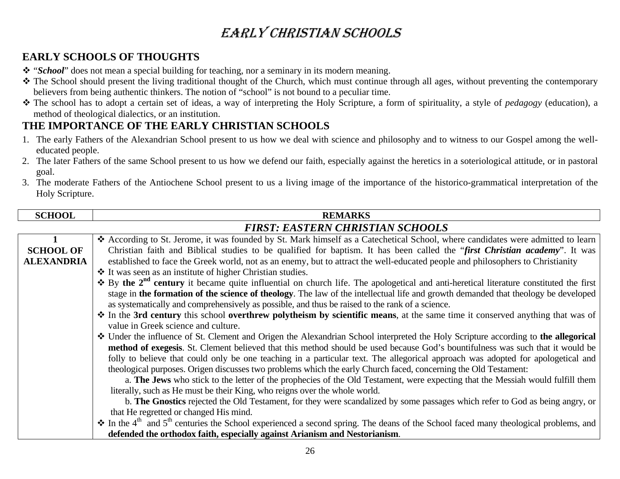# EARLY CHRISTIAN SCHOOLS

### **EARLY SCHOOLS OF THOUGHTS**

- \* "*School*" does not mean a special building for teaching, nor a seminary in its modern meaning.
- \* The School should present the living traditional thought of the Church, which must continue through all ages, without preventing the contemporary believers from being authentic thinkers. The notion of "school" is not bound to a peculiar time.
- The school has to adopt a certain set of ideas, a way of interpreting the Holy Scripture, a form of spirituality, a style of *pedagogy* (education), a method of theological dialectics, or an institution.

### **THE IMPORTANCE OF THE EARLY CHRISTIAN SCHOOLS**

- 1. The early Fathers of the Alexandrian School present to us how we deal with science and philosophy and to witness to our Gospel among the welleducated people.
- 2. The later Fathers of the same School present to us how we defend our faith, especially against the heretics in a soteriological attitude, or in pastoral goal.
- 3. The moderate Fathers of the Antiochene School present to us a living image of the importance of the historico-grammatical interpretation of the Holy Scripture.

| <b>SCHOOL</b>     | <b>REMARKS</b>                                                                                                                                                    |
|-------------------|-------------------------------------------------------------------------------------------------------------------------------------------------------------------|
|                   | <b>FIRST: EASTERN CHRISTIAN SCHOOLS</b>                                                                                                                           |
|                   | ❖ According to St. Jerome, it was founded by St. Mark himself as a Catechetical School, where candidates were admitted to learn                                   |
| <b>SCHOOL OF</b>  | Christian faith and Biblical studies to be qualified for baptism. It has been called the "first Christian academy". It was                                        |
| <b>ALEXANDRIA</b> | established to face the Greek world, not as an enemy, but to attract the well-educated people and philosophers to Christianity                                    |
|                   | ❖ It was seen as an institute of higher Christian studies.                                                                                                        |
|                   | $\cdot$ By the $2nd$ century it became quite influential on church life. The apologetical and anti-heretical literature constituted the first                     |
|                   | stage in the formation of the science of theology. The law of the intellectual life and growth demanded that theology be developed                                |
|                   | as systematically and comprehensively as possible, and thus be raised to the rank of a science.                                                                   |
|                   | * In the 3rd century this school overthrew polytheism by scientific means, at the same time it conserved anything that was of                                     |
|                   | value in Greek science and culture.                                                                                                                               |
|                   | ❖ Under the influence of St. Clement and Origen the Alexandrian School interpreted the Holy Scripture according to the allegorical                                |
|                   | method of exegesis. St. Clement believed that this method should be used because God's bountifulness was such that it would be                                    |
|                   | folly to believe that could only be one teaching in a particular text. The allegorical approach was adopted for apologetical and                                  |
|                   | theological purposes. Origen discusses two problems which the early Church faced, concerning the Old Testament:                                                   |
|                   | a. The Jews who stick to the letter of the prophecies of the Old Testament, were expecting that the Messiah would fulfill them                                    |
|                   | literally, such as He must be their King, who reigns over the whole world.                                                                                        |
|                   | b. The Gnostics rejected the Old Testament, for they were scandalized by some passages which refer to God as being angry, or                                      |
|                   | that He regretted or changed His mind.                                                                                                                            |
|                   | $\cdot$ In the 4 <sup>th</sup> and 5 <sup>th</sup> centuries the School experienced a second spring. The deans of the School faced many theological problems, and |
|                   | defended the orthodox faith, especially against Arianism and Nestorianism.                                                                                        |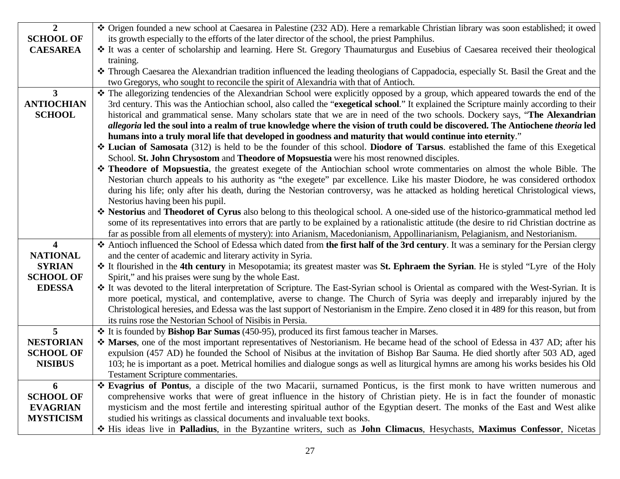| $\overline{2}$    | ❖ Origen founded a new school at Caesarea in Palestine (232 AD). Here a remarkable Christian library was soon established; it owed                                                                   |
|-------------------|------------------------------------------------------------------------------------------------------------------------------------------------------------------------------------------------------|
| <b>SCHOOL OF</b>  | its growth especially to the efforts of the later director of the school, the priest Pamphilus.                                                                                                      |
| <b>CAESAREA</b>   | * It was a center of scholarship and learning. Here St. Gregory Thaumaturgus and Eusebius of Caesarea received their theological                                                                     |
|                   | training.                                                                                                                                                                                            |
|                   | * Through Caesarea the Alexandrian tradition influenced the leading theologians of Cappadocia, especially St. Basil the Great and the                                                                |
|                   | two Gregorys, who sought to reconcile the spirit of Alexandria with that of Antioch.                                                                                                                 |
| $\mathbf{3}$      | * The allegorizing tendencies of the Alexandrian School were explicitly opposed by a group, which appeared towards the end of the                                                                    |
| <b>ANTIOCHIAN</b> | 3rd century. This was the Antiochian school, also called the "exegetical school." It explained the Scripture mainly according to their                                                               |
| <b>SCHOOL</b>     | historical and grammatical sense. Many scholars state that we are in need of the two schools. Dockery says, "The Alexandrian                                                                         |
|                   | allegoria led the soul into a realm of true knowledge where the vision of truth could be discovered. The Antiochene theoria led                                                                      |
|                   | humans into a truly moral life that developed in goodness and maturity that would continue into eternity."                                                                                           |
|                   | Lucian of Samosata (312) is held to be the founder of this school. Diodore of Tarsus. established the fame of this Exegetical                                                                        |
|                   | School. St. John Chrysostom and Theodore of Mopsuestia were his most renowned disciples.                                                                                                             |
|                   | * Theodore of Mopsuestia, the greatest exegete of the Antiochian school wrote commentaries on almost the whole Bible. The                                                                            |
|                   | Nestorian church appeals to his authority as "the exegete" par excellence. Like his master Diodore, he was considered orthodox                                                                       |
|                   | during his life; only after his death, during the Nestorian controversy, was he attacked as holding heretical Christological views,                                                                  |
|                   | Nestorius having been his pupil.                                                                                                                                                                     |
|                   | ❖ Nestorius and Theodoret of Cyrus also belong to this theological school. A one-sided use of the historico-grammatical method led                                                                   |
|                   | some of its representatives into errors that are partly to be explained by a rationalistic attitude (the desire to rid Christian doctrine as                                                         |
|                   | far as possible from all elements of mystery): into Arianism, Macedonianism, Appollinarianism, Pelagianism, and Nestorianism.                                                                        |
| $\overline{4}$    | Antioch influenced the School of Edessa which dated from the first half of the 3rd century. It was a seminary for the Persian clergy                                                                 |
| <b>NATIONAL</b>   | and the center of academic and literary activity in Syria.                                                                                                                                           |
| <b>SYRIAN</b>     | * It flourished in the 4th century in Mesopotamia; its greatest master was St. Ephraem the Syrian. He is styled "Lyre of the Holy                                                                    |
| <b>SCHOOL OF</b>  | Spirit," and his praises were sung by the whole East.                                                                                                                                                |
| <b>EDESSA</b>     | It was devoted to the literal interpretation of Scripture. The East-Syrian school is Oriental as compared with the West-Syrian. It is                                                                |
|                   | more poetical, mystical, and contemplative, averse to change. The Church of Syria was deeply and irreparably injured by the                                                                          |
|                   | Christological heresies, and Edessa was the last support of Nestorianism in the Empire. Zeno closed it in 489 for this reason, but from<br>its ruins rose the Nestorian School of Nisibis in Persia. |
| $5\overline{)}$   | * It is founded by Bishop Bar Sumas (450-95), produced its first famous teacher in Marses.                                                                                                           |
| <b>NESTORIAN</b>  | * Marses, one of the most important representatives of Nestorianism. He became head of the school of Edessa in 437 AD; after his                                                                     |
| <b>SCHOOL OF</b>  | expulsion (457 AD) he founded the School of Nisibus at the invitation of Bishop Bar Sauma. He died shortly after 503 AD, aged                                                                        |
| <b>NISIBUS</b>    | 103; he is important as a poet. Metrical homilies and dialogue songs as well as liturgical hymns are among his works besides his Old                                                                 |
|                   | Testament Scripture commentaries.                                                                                                                                                                    |
| 6                 | * Evagrius of Pontus, a disciple of the two Macarii, surnamed Ponticus, is the first monk to have written numerous and                                                                               |
| <b>SCHOOL OF</b>  | comprehensive works that were of great influence in the history of Christian piety. He is in fact the founder of monastic                                                                            |
| <b>EVAGRIAN</b>   | mysticism and the most fertile and interesting spiritual author of the Egyptian desert. The monks of the East and West alike                                                                         |
| <b>MYSTICISM</b>  | studied his writings as classical documents and invaluable text books.                                                                                                                               |
|                   | * His ideas live in Palladius, in the Byzantine writers, such as John Climacus, Hesychasts, Maximus Confessor, Nicetas                                                                               |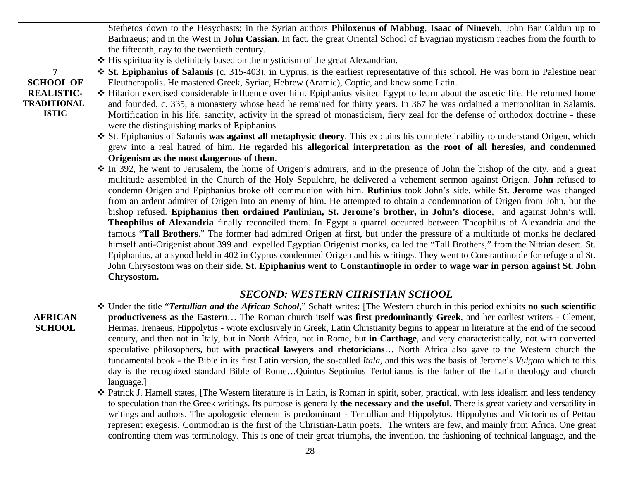|                     | Stethetos down to the Hesychasts; in the Syrian authors Philoxenus of Mabbug, Isaac of Nineveh, John Bar Caldun up to                   |  |
|---------------------|-----------------------------------------------------------------------------------------------------------------------------------------|--|
|                     | Barhraeus; and in the West in <b>John Cassian</b> . In fact, the great Oriental School of Evagrian mysticism reaches from the fourth to |  |
|                     | the fifteenth, nay to the twentieth century.                                                                                            |  |
|                     | ❖ His spirituality is definitely based on the mysticism of the great Alexandrian.                                                       |  |
| $\overline{7}$      | $\div$ St. Epiphanius of Salamis (c. 315-403), in Cyprus, is the earliest representative of this school. He was born in Palestine near  |  |
| <b>SCHOOL OF</b>    | Eleutheropolis. He mastered Greek, Syriac, Hebrew (Aramic), Coptic, and knew some Latin.                                                |  |
| <b>REALISTIC-</b>   | * Hilarion exercised considerable influence over him. Epiphanius visited Egypt to learn about the ascetic life. He returned home        |  |
| <b>TRADITIONAL-</b> | and founded, c. 335, a monastery whose head he remained for thirty years. In 367 he was ordained a metropolitan in Salamis.             |  |
| <b>ISTIC</b>        | Mortification in his life, sanctity, activity in the spread of monasticism, fiery zeal for the defense of orthodox doctrine - these     |  |
|                     | were the distinguishing marks of Epiphanius.                                                                                            |  |
|                     | ❖ St. Epiphanius of Salamis was against all metaphysic theory. This explains his complete inability to understand Origen, which         |  |
|                     | grew into a real hatred of him. He regarded his allegorical interpretation as the root of all heresies, and condemned                   |  |
|                     | Origenism as the most dangerous of them.                                                                                                |  |
|                     | ❖ In 392, he went to Jerusalem, the home of Origen's admirers, and in the presence of John the bishop of the city, and a great          |  |
|                     | multitude assembled in the Church of the Holy Sepulchre, he delivered a vehement sermon against Origen. John refused to                 |  |
|                     | condemn Origen and Epiphanius broke off communion with him. Rufinius took John's side, while St. Jerome was changed                     |  |
|                     | from an ardent admirer of Origen into an enemy of him. He attempted to obtain a condemnation of Origen from John, but the               |  |
|                     | bishop refused. Epiphanius then ordained Paulinian, St. Jerome's brother, in John's diocese, and against John's will.                   |  |
|                     | Theophilus of Alexandria finally reconciled them. In Egypt a quarrel occurred between Theophilus of Alexandria and the                  |  |
|                     | famous "Tall Brothers." The former had admired Origen at first, but under the pressure of a multitude of monks he declared              |  |
|                     | himself anti-Origenist about 399 and expelled Egyptian Origenist monks, called the "Tall Brothers," from the Nitrian desert. St.        |  |
|                     | Epiphanius, at a synod held in 402 in Cyprus condemned Origen and his writings. They went to Constantinople for refuge and St.          |  |
|                     | John Chrysostom was on their side. St. Epiphanius went to Constantinople in order to wage war in person against St. John                |  |
|                     | Chrysostom.                                                                                                                             |  |

#### *SECOND: WESTERN CHRISTIAN SCHOOL*

|                | * Under the title "Tertullian and the African School," Schaff writes: [The Western church in this period exhibits no such scientific             |
|----------------|--------------------------------------------------------------------------------------------------------------------------------------------------|
| <b>AFRICAN</b> | productiveness as the Eastern The Roman church itself was first predominantly Greek, and her earliest writers - Clement,                         |
| <b>SCHOOL</b>  | Hermas, Irenaeus, Hippolytus - wrote exclusively in Greek, Latin Christianity begins to appear in literature at the end of the second            |
|                | century, and then not in Italy, but in North Africa, not in Rome, but in Carthage, and very characteristically, not with converted               |
|                | speculative philosophers, but with practical lawyers and rhetoricians North Africa also gave to the Western church the                           |
|                | fundamental book - the Bible in its first Latin version, the so-called Itala, and this was the basis of Jerome's Vulgata which to this           |
|                | day is the recognized standard Bible of RomeQuintus Septimius Tertullianus is the father of the Latin theology and church                        |
|                | language.                                                                                                                                        |
|                | ❖ Patrick J. Hamell states, [The Western literature is in Latin, is Roman in spirit, sober, practical, with less idealism and less tendency      |
|                | to speculation than the Greek writings. Its purpose is generally <b>the necessary and the useful</b> . There is great variety and versatility in |
|                | writings and authors. The apologetic element is predominant - Tertullian and Hippolytus. Hippolytus and Victorinus of Pettau                     |
|                | represent exegesis. Commodian is the first of the Christian-Latin poets. The writers are few, and mainly from Africa. One great                  |
|                | confronting them was terminology. This is one of their great triumphs, the invention, the fashioning of technical language, and the              |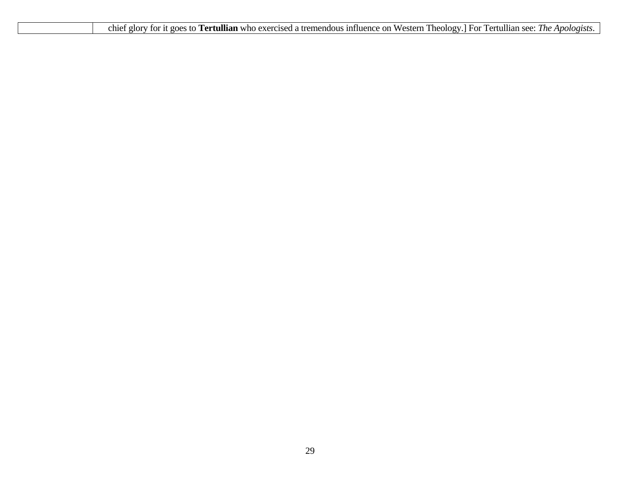| ry for it goes to Tertullian who exercised a tremendous influence on Western Theology.] For Tertullian see: The Apologists.<br>chief<br>glory |
|-----------------------------------------------------------------------------------------------------------------------------------------------|
|-----------------------------------------------------------------------------------------------------------------------------------------------|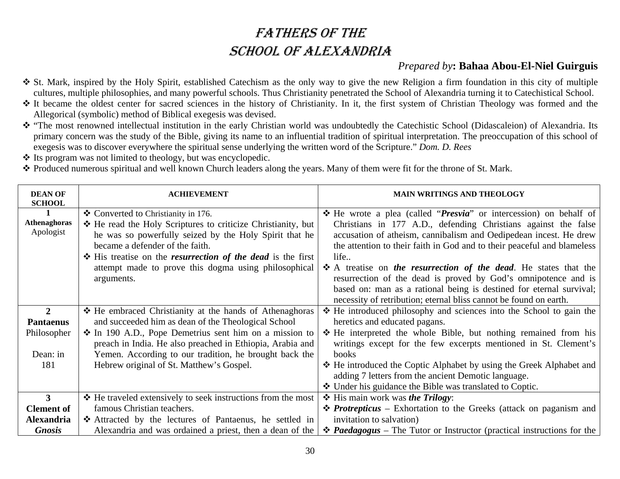# FATHERS OF THE SCHOOL OF ALEXANDRIA

### *Prepared by***: Bahaa Abou-El-Niel Guirguis**

- St. Mark, inspired by the Holy Spirit, established Catechism as the only way to give the new Religion a firm foundation in this city of multiple cultures, multiple philosophies, and many powerful schools. Thus Christianity penetrated the School of Alexandria turning it to Catechistical School.
- It became the oldest center for sacred sciences in the history of Christianity. In it, the first system of Christian Theology was formed and the Allegorical (symbolic) method of Biblical exegesis was devised.
- "The most renowned intellectual institution in the early Christian world was undoubtedly the Catechistic School (Didascaleion) of Alexandria. Its primary concern was the study of the Bible, giving its name to an influential tradition of spiritual interpretation. The preoccupation of this school of exegesis was to discover everywhere the spiritual sense underlying the written word of the Scripture." *Dom. D. Rees*
- Its program was not limited to theology, but was encyclopedic.
- Produced numerous spiritual and well known Church leaders along the years. Many of them were fit for the throne of St. Mark.

| <b>DEAN OF</b><br><b>SCHOOL</b>                  | <b>ACHIEVEMENT</b>                                                                                                                                                                                                                                                                                                                                  | <b>MAIN WRITINGS AND THEOLOGY</b>                                                                                                                                                                                                                                                                                                                                                                                                                             |
|--------------------------------------------------|-----------------------------------------------------------------------------------------------------------------------------------------------------------------------------------------------------------------------------------------------------------------------------------------------------------------------------------------------------|---------------------------------------------------------------------------------------------------------------------------------------------------------------------------------------------------------------------------------------------------------------------------------------------------------------------------------------------------------------------------------------------------------------------------------------------------------------|
| $\mathbf{1}$<br><b>Athenaghoras</b><br>Apologist | ❖ Converted to Christianity in 176.<br>* He read the Holy Scriptures to criticize Christianity, but<br>he was so powerfully seized by the Holy Spirit that he<br>became a defender of the faith.<br><b>☆</b> His treatise on the <i>resurrection of the dead</i> is the first<br>attempt made to prove this dogma using philosophical<br>arguments. | He wrote a plea (called " <i>Presvia</i> " or intercession) on behalf of<br>Christians in 177 A.D., defending Christians against the false<br>accusation of atheism, cannibalism and Oedipedean incest. He drew<br>the attention to their faith in God and to their peaceful and blameless<br>life<br>$\hat{\mathbf{\cdot}}$ A treatise on the resurrection of the dead. He states that the<br>resurrection of the dead is proved by God's omnipotence and is |
|                                                  |                                                                                                                                                                                                                                                                                                                                                     | based on: man as a rational being is destined for eternal survival;<br>necessity of retribution; eternal bliss cannot be found on earth.                                                                                                                                                                                                                                                                                                                      |
| 2<br><b>Pantaenus</b>                            | ❖ He embraced Christianity at the hands of Athenaghoras<br>and succeeded him as dean of the Theological School                                                                                                                                                                                                                                      | ❖ He introduced philosophy and sciences into the School to gain the<br>heretics and educated pagans.                                                                                                                                                                                                                                                                                                                                                          |
| Philosopher<br>Dean: in                          | ❖ In 190 A.D., Pope Demetrius sent him on a mission to<br>preach in India. He also preached in Ethiopia, Arabia and<br>Yemen. According to our tradition, he brought back the                                                                                                                                                                       | ❖ He interpreted the whole Bible, but nothing remained from his<br>writings except for the few excerpts mentioned in St. Clement's<br>books                                                                                                                                                                                                                                                                                                                   |
| 181                                              | Hebrew original of St. Matthew's Gospel.                                                                                                                                                                                                                                                                                                            | ❖ He introduced the Coptic Alphabet by using the Greek Alphabet and<br>adding 7 letters from the ancient Demotic language.<br>❖ Under his guidance the Bible was translated to Coptic.                                                                                                                                                                                                                                                                        |
| $\mathbf{3}$                                     | ❖ He traveled extensively to seek instructions from the most                                                                                                                                                                                                                                                                                        | His main work was the Trilogy:                                                                                                                                                                                                                                                                                                                                                                                                                                |
| <b>Clement of</b>                                | famous Christian teachers.                                                                                                                                                                                                                                                                                                                          | • <i>Protrepticus</i> – Exhortation to the Greeks (attack on paganism and                                                                                                                                                                                                                                                                                                                                                                                     |
| <b>Alexandria</b>                                | * Attracted by the lectures of Pantaenus, he settled in                                                                                                                                                                                                                                                                                             | invitation to salvation)                                                                                                                                                                                                                                                                                                                                                                                                                                      |
| <b>Gnosis</b>                                    | Alexandria and was ordained a priest, then a dean of the                                                                                                                                                                                                                                                                                            | $\triangle$ <b>Paedagogus</b> – The Tutor or Instructor (practical instructions for the                                                                                                                                                                                                                                                                                                                                                                       |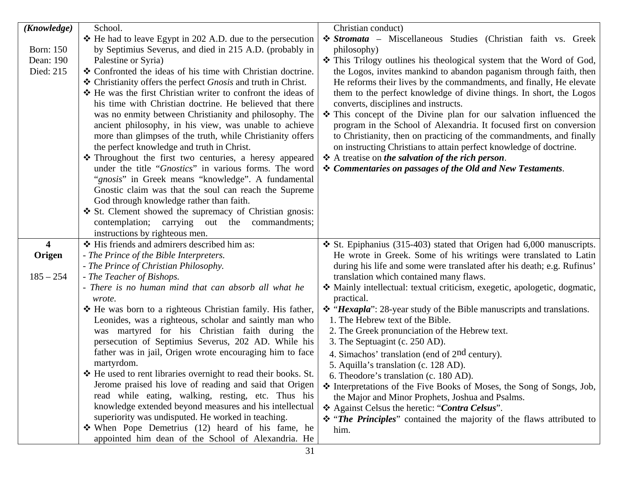| (Knowledge)                | School.                                                                                                                                                                                                                                                                                                                                                                                                                                                                                                                                                                                                                                                                                                                                                                                                                                                                                                                                                                                                                                           | Christian conduct)                                                                                                                                                                                                                                                                                                                                                                                                                                                                                                                                                                                                                                                                                                                                                                                                                                                                                                                                                         |
|----------------------------|---------------------------------------------------------------------------------------------------------------------------------------------------------------------------------------------------------------------------------------------------------------------------------------------------------------------------------------------------------------------------------------------------------------------------------------------------------------------------------------------------------------------------------------------------------------------------------------------------------------------------------------------------------------------------------------------------------------------------------------------------------------------------------------------------------------------------------------------------------------------------------------------------------------------------------------------------------------------------------------------------------------------------------------------------|----------------------------------------------------------------------------------------------------------------------------------------------------------------------------------------------------------------------------------------------------------------------------------------------------------------------------------------------------------------------------------------------------------------------------------------------------------------------------------------------------------------------------------------------------------------------------------------------------------------------------------------------------------------------------------------------------------------------------------------------------------------------------------------------------------------------------------------------------------------------------------------------------------------------------------------------------------------------------|
|                            | $\div$ He had to leave Egypt in 202 A.D. due to the persecution                                                                                                                                                                                                                                                                                                                                                                                                                                                                                                                                                                                                                                                                                                                                                                                                                                                                                                                                                                                   | <i><b>❖ Stromata</b></i> – Miscellaneous Studies (Christian faith vs. Greek                                                                                                                                                                                                                                                                                                                                                                                                                                                                                                                                                                                                                                                                                                                                                                                                                                                                                                |
| <b>Born: 150</b>           | by Septimius Severus, and died in 215 A.D. (probably in                                                                                                                                                                                                                                                                                                                                                                                                                                                                                                                                                                                                                                                                                                                                                                                                                                                                                                                                                                                           | philosophy)                                                                                                                                                                                                                                                                                                                                                                                                                                                                                                                                                                                                                                                                                                                                                                                                                                                                                                                                                                |
| Dean: 190                  | Palestine or Syria)                                                                                                                                                                                                                                                                                                                                                                                                                                                                                                                                                                                                                                                                                                                                                                                                                                                                                                                                                                                                                               | This Trilogy outlines his theological system that the Word of God,                                                                                                                                                                                                                                                                                                                                                                                                                                                                                                                                                                                                                                                                                                                                                                                                                                                                                                         |
| Died: 215                  | ❖ Confronted the ideas of his time with Christian doctrine.                                                                                                                                                                                                                                                                                                                                                                                                                                                                                                                                                                                                                                                                                                                                                                                                                                                                                                                                                                                       | the Logos, invites mankind to abandon paganism through faith, then                                                                                                                                                                                                                                                                                                                                                                                                                                                                                                                                                                                                                                                                                                                                                                                                                                                                                                         |
|                            | ❖ Christianity offers the perfect <i>Gnosis</i> and truth in Christ.                                                                                                                                                                                                                                                                                                                                                                                                                                                                                                                                                                                                                                                                                                                                                                                                                                                                                                                                                                              | He reforms their lives by the commandments, and finally, He elevate                                                                                                                                                                                                                                                                                                                                                                                                                                                                                                                                                                                                                                                                                                                                                                                                                                                                                                        |
|                            | ❖ He was the first Christian writer to confront the ideas of                                                                                                                                                                                                                                                                                                                                                                                                                                                                                                                                                                                                                                                                                                                                                                                                                                                                                                                                                                                      | them to the perfect knowledge of divine things. In short, the Logos                                                                                                                                                                                                                                                                                                                                                                                                                                                                                                                                                                                                                                                                                                                                                                                                                                                                                                        |
|                            | his time with Christian doctrine. He believed that there                                                                                                                                                                                                                                                                                                                                                                                                                                                                                                                                                                                                                                                                                                                                                                                                                                                                                                                                                                                          | converts, disciplines and instructs.                                                                                                                                                                                                                                                                                                                                                                                                                                                                                                                                                                                                                                                                                                                                                                                                                                                                                                                                       |
|                            | was no enmity between Christianity and philosophy. The                                                                                                                                                                                                                                                                                                                                                                                                                                                                                                                                                                                                                                                                                                                                                                                                                                                                                                                                                                                            | This concept of the Divine plan for our salvation influenced the                                                                                                                                                                                                                                                                                                                                                                                                                                                                                                                                                                                                                                                                                                                                                                                                                                                                                                           |
|                            | ancient philosophy, in his view, was unable to achieve                                                                                                                                                                                                                                                                                                                                                                                                                                                                                                                                                                                                                                                                                                                                                                                                                                                                                                                                                                                            | program in the School of Alexandria. It focused first on conversion                                                                                                                                                                                                                                                                                                                                                                                                                                                                                                                                                                                                                                                                                                                                                                                                                                                                                                        |
|                            | more than glimpses of the truth, while Christianity offers                                                                                                                                                                                                                                                                                                                                                                                                                                                                                                                                                                                                                                                                                                                                                                                                                                                                                                                                                                                        | to Christianity, then on practicing of the commandments, and finally                                                                                                                                                                                                                                                                                                                                                                                                                                                                                                                                                                                                                                                                                                                                                                                                                                                                                                       |
|                            | the perfect knowledge and truth in Christ.                                                                                                                                                                                                                                                                                                                                                                                                                                                                                                                                                                                                                                                                                                                                                                                                                                                                                                                                                                                                        | on instructing Christians to attain perfect knowledge of doctrine.                                                                                                                                                                                                                                                                                                                                                                                                                                                                                                                                                                                                                                                                                                                                                                                                                                                                                                         |
|                            | * Throughout the first two centuries, a heresy appeared                                                                                                                                                                                                                                                                                                                                                                                                                                                                                                                                                                                                                                                                                                                                                                                                                                                                                                                                                                                           | $\triangle$ A treatise on the salvation of the rich person.                                                                                                                                                                                                                                                                                                                                                                                                                                                                                                                                                                                                                                                                                                                                                                                                                                                                                                                |
|                            | under the title "Gnostics" in various forms. The word                                                                                                                                                                                                                                                                                                                                                                                                                                                                                                                                                                                                                                                                                                                                                                                                                                                                                                                                                                                             | * Commentaries on passages of the Old and New Testaments.                                                                                                                                                                                                                                                                                                                                                                                                                                                                                                                                                                                                                                                                                                                                                                                                                                                                                                                  |
|                            | "gnosis" in Greek means "knowledge". A fundamental                                                                                                                                                                                                                                                                                                                                                                                                                                                                                                                                                                                                                                                                                                                                                                                                                                                                                                                                                                                                |                                                                                                                                                                                                                                                                                                                                                                                                                                                                                                                                                                                                                                                                                                                                                                                                                                                                                                                                                                            |
|                            | Gnostic claim was that the soul can reach the Supreme                                                                                                                                                                                                                                                                                                                                                                                                                                                                                                                                                                                                                                                                                                                                                                                                                                                                                                                                                                                             |                                                                                                                                                                                                                                                                                                                                                                                                                                                                                                                                                                                                                                                                                                                                                                                                                                                                                                                                                                            |
|                            | God through knowledge rather than faith.                                                                                                                                                                                                                                                                                                                                                                                                                                                                                                                                                                                                                                                                                                                                                                                                                                                                                                                                                                                                          |                                                                                                                                                                                                                                                                                                                                                                                                                                                                                                                                                                                                                                                                                                                                                                                                                                                                                                                                                                            |
|                            | ❖ St. Clement showed the supremacy of Christian gnosis:                                                                                                                                                                                                                                                                                                                                                                                                                                                                                                                                                                                                                                                                                                                                                                                                                                                                                                                                                                                           |                                                                                                                                                                                                                                                                                                                                                                                                                                                                                                                                                                                                                                                                                                                                                                                                                                                                                                                                                                            |
|                            |                                                                                                                                                                                                                                                                                                                                                                                                                                                                                                                                                                                                                                                                                                                                                                                                                                                                                                                                                                                                                                                   |                                                                                                                                                                                                                                                                                                                                                                                                                                                                                                                                                                                                                                                                                                                                                                                                                                                                                                                                                                            |
|                            |                                                                                                                                                                                                                                                                                                                                                                                                                                                                                                                                                                                                                                                                                                                                                                                                                                                                                                                                                                                                                                                   |                                                                                                                                                                                                                                                                                                                                                                                                                                                                                                                                                                                                                                                                                                                                                                                                                                                                                                                                                                            |
|                            |                                                                                                                                                                                                                                                                                                                                                                                                                                                                                                                                                                                                                                                                                                                                                                                                                                                                                                                                                                                                                                                   |                                                                                                                                                                                                                                                                                                                                                                                                                                                                                                                                                                                                                                                                                                                                                                                                                                                                                                                                                                            |
|                            |                                                                                                                                                                                                                                                                                                                                                                                                                                                                                                                                                                                                                                                                                                                                                                                                                                                                                                                                                                                                                                                   |                                                                                                                                                                                                                                                                                                                                                                                                                                                                                                                                                                                                                                                                                                                                                                                                                                                                                                                                                                            |
|                            |                                                                                                                                                                                                                                                                                                                                                                                                                                                                                                                                                                                                                                                                                                                                                                                                                                                                                                                                                                                                                                                   |                                                                                                                                                                                                                                                                                                                                                                                                                                                                                                                                                                                                                                                                                                                                                                                                                                                                                                                                                                            |
|                            |                                                                                                                                                                                                                                                                                                                                                                                                                                                                                                                                                                                                                                                                                                                                                                                                                                                                                                                                                                                                                                                   |                                                                                                                                                                                                                                                                                                                                                                                                                                                                                                                                                                                                                                                                                                                                                                                                                                                                                                                                                                            |
|                            |                                                                                                                                                                                                                                                                                                                                                                                                                                                                                                                                                                                                                                                                                                                                                                                                                                                                                                                                                                                                                                                   |                                                                                                                                                                                                                                                                                                                                                                                                                                                                                                                                                                                                                                                                                                                                                                                                                                                                                                                                                                            |
|                            |                                                                                                                                                                                                                                                                                                                                                                                                                                                                                                                                                                                                                                                                                                                                                                                                                                                                                                                                                                                                                                                   |                                                                                                                                                                                                                                                                                                                                                                                                                                                                                                                                                                                                                                                                                                                                                                                                                                                                                                                                                                            |
|                            |                                                                                                                                                                                                                                                                                                                                                                                                                                                                                                                                                                                                                                                                                                                                                                                                                                                                                                                                                                                                                                                   |                                                                                                                                                                                                                                                                                                                                                                                                                                                                                                                                                                                                                                                                                                                                                                                                                                                                                                                                                                            |
|                            |                                                                                                                                                                                                                                                                                                                                                                                                                                                                                                                                                                                                                                                                                                                                                                                                                                                                                                                                                                                                                                                   |                                                                                                                                                                                                                                                                                                                                                                                                                                                                                                                                                                                                                                                                                                                                                                                                                                                                                                                                                                            |
|                            |                                                                                                                                                                                                                                                                                                                                                                                                                                                                                                                                                                                                                                                                                                                                                                                                                                                                                                                                                                                                                                                   |                                                                                                                                                                                                                                                                                                                                                                                                                                                                                                                                                                                                                                                                                                                                                                                                                                                                                                                                                                            |
|                            |                                                                                                                                                                                                                                                                                                                                                                                                                                                                                                                                                                                                                                                                                                                                                                                                                                                                                                                                                                                                                                                   |                                                                                                                                                                                                                                                                                                                                                                                                                                                                                                                                                                                                                                                                                                                                                                                                                                                                                                                                                                            |
|                            |                                                                                                                                                                                                                                                                                                                                                                                                                                                                                                                                                                                                                                                                                                                                                                                                                                                                                                                                                                                                                                                   |                                                                                                                                                                                                                                                                                                                                                                                                                                                                                                                                                                                                                                                                                                                                                                                                                                                                                                                                                                            |
|                            |                                                                                                                                                                                                                                                                                                                                                                                                                                                                                                                                                                                                                                                                                                                                                                                                                                                                                                                                                                                                                                                   |                                                                                                                                                                                                                                                                                                                                                                                                                                                                                                                                                                                                                                                                                                                                                                                                                                                                                                                                                                            |
|                            |                                                                                                                                                                                                                                                                                                                                                                                                                                                                                                                                                                                                                                                                                                                                                                                                                                                                                                                                                                                                                                                   |                                                                                                                                                                                                                                                                                                                                                                                                                                                                                                                                                                                                                                                                                                                                                                                                                                                                                                                                                                            |
|                            |                                                                                                                                                                                                                                                                                                                                                                                                                                                                                                                                                                                                                                                                                                                                                                                                                                                                                                                                                                                                                                                   |                                                                                                                                                                                                                                                                                                                                                                                                                                                                                                                                                                                                                                                                                                                                                                                                                                                                                                                                                                            |
|                            |                                                                                                                                                                                                                                                                                                                                                                                                                                                                                                                                                                                                                                                                                                                                                                                                                                                                                                                                                                                                                                                   |                                                                                                                                                                                                                                                                                                                                                                                                                                                                                                                                                                                                                                                                                                                                                                                                                                                                                                                                                                            |
|                            |                                                                                                                                                                                                                                                                                                                                                                                                                                                                                                                                                                                                                                                                                                                                                                                                                                                                                                                                                                                                                                                   |                                                                                                                                                                                                                                                                                                                                                                                                                                                                                                                                                                                                                                                                                                                                                                                                                                                                                                                                                                            |
|                            |                                                                                                                                                                                                                                                                                                                                                                                                                                                                                                                                                                                                                                                                                                                                                                                                                                                                                                                                                                                                                                                   |                                                                                                                                                                                                                                                                                                                                                                                                                                                                                                                                                                                                                                                                                                                                                                                                                                                                                                                                                                            |
|                            |                                                                                                                                                                                                                                                                                                                                                                                                                                                                                                                                                                                                                                                                                                                                                                                                                                                                                                                                                                                                                                                   |                                                                                                                                                                                                                                                                                                                                                                                                                                                                                                                                                                                                                                                                                                                                                                                                                                                                                                                                                                            |
| 4<br>Origen<br>$185 - 254$ | contemplation; carrying out the commandments;<br>instructions by righteous men.<br>❖ His friends and admirers described him as:<br>- The Prince of the Bible Interpreters.<br>- The Prince of Christian Philosophy.<br>- The Teacher of Bishops.<br>- There is no human mind that can absorb all what he<br>wrote.<br>❖ He was born to a righteous Christian family. His father,<br>Leonides, was a righteous, scholar and saintly man who<br>was martyred for his Christian faith during the<br>persecution of Septimius Severus, 202 AD. While his<br>father was in jail, Origen wrote encouraging him to face<br>martyrdom.<br>❖ He used to rent libraries overnight to read their books. St.<br>Jerome praised his love of reading and said that Origen<br>read while eating, walking, resting, etc. Thus his<br>knowledge extended beyond measures and his intellectual<br>superiority was undisputed. He worked in teaching.<br>$\div$ When Pope Demetrius (12) heard of his fame, he<br>appointed him dean of the School of Alexandria. He | St. Epiphanius (315-403) stated that Origen had 6,000 manuscripts.<br>He wrote in Greek. Some of his writings were translated to Latin<br>during his life and some were translated after his death; e.g. Rufinus'<br>translation which contained many flaws.<br>* Mainly intellectual: textual criticism, exegetic, apologetic, dogmatic,<br>practical.<br>* "Hexapla": 28-year study of the Bible manuscripts and translations.<br>1. The Hebrew text of the Bible.<br>2. The Greek pronunciation of the Hebrew text.<br>3. The Septuagint (c. 250 AD).<br>4. Simachos' translation (end of 2nd century).<br>5. Aquilla's translation (c. 128 AD).<br>6. Theodore's translation (c. 180 AD).<br>❖ Interpretations of the Five Books of Moses, the Song of Songs, Job,<br>the Major and Minor Prophets, Joshua and Psalms.<br>* Against Celsus the heretic: "Contra Celsus".<br><i><b>❖ "The Principles"</b></i> contained the majority of the flaws attributed to<br>him. |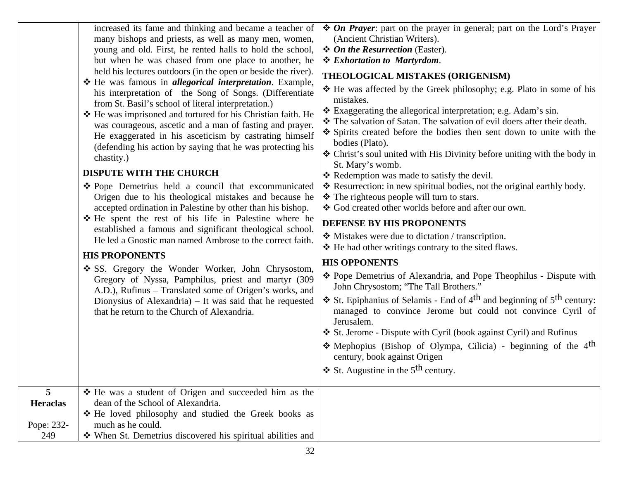|                      | increased its fame and thinking and became a teacher of<br>many bishops and priests, as well as many men, women,<br>young and old. First, he rented halls to hold the school,<br>but when he was chased from one place to another, he<br>held his lectures outdoors (in the open or beside the river).<br>He was famous in <i>allegorical interpretation</i> . Example,<br>his interpretation of the Song of Songs. (Differentiate<br>from St. Basil's school of literal interpretation.)<br>❖ He was imprisoned and tortured for his Christian faith. He<br>was courageous, ascetic and a man of fasting and prayer.<br>He exaggerated in his asceticism by castrating himself<br>(defending his action by saying that he was protecting his<br>chastity.)<br><b>DISPUTE WITH THE CHURCH</b><br>❖ Pope Demetrius held a council that excommunicated<br>Origen due to his theological mistakes and because he<br>accepted ordination in Palestine by other than his bishop.<br>He spent the rest of his life in Palestine where he<br>established a famous and significant theological school.<br>He led a Gnostic man named Ambrose to the correct faith.<br><b>HIS PROPONENTS</b><br>❖ SS. Gregory the Wonder Worker, John Chrysostom,<br>Gregory of Nyssa, Pamphilus, priest and martyr (309<br>A.D.), Rufinus – Translated some of Origen's works, and<br>Dionysius of Alexandria) $-$ It was said that he requested<br>that he return to the Church of Alexandria. | $\triangle$ On Prayer: part on the prayer in general; part on the Lord's Prayer<br>(Ancient Christian Writers).<br>❖ On the Resurrection (Easter).<br>* Exhortation to Martyrdom.<br>THEOLOGICAL MISTAKES (ORIGENISM)<br>❖ He was affected by the Greek philosophy; e.g. Plato in some of his<br>mistakes.<br>❖ Exaggerating the allegorical interpretation; e.g. Adam's sin.<br>❖ The salvation of Satan. The salvation of evil doers after their death.<br>❖ Spirits created before the bodies then sent down to unite with the<br>bodies (Plato).<br>❖ Christ's soul united with His Divinity before uniting with the body in<br>St. Mary's womb.<br>❖ Redemption was made to satisfy the devil.<br>* Resurrection: in new spiritual bodies, not the original earthly body.<br>❖ The righteous people will turn to stars.<br>❖ God created other worlds before and after our own.<br>DEFENSE BY HIS PROPONENTS<br>❖ Mistakes were due to dictation / transcription.<br>❖ He had other writings contrary to the sited flaws.<br><b>HIS OPPONENTS</b><br>❖ Pope Demetrius of Alexandria, and Pope Theophilus - Dispute with<br>John Chrysostom; "The Tall Brothers."<br><b>❖</b> St. Epiphanius of Selamis - End of $4th$ and beginning of $5th$ century:<br>managed to convince Jerome but could not convince Cyril of<br>Jerusalem.<br>❖ St. Jerome - Dispute with Cyril (book against Cyril) and Rufinus<br>• Mephopius (Bishop of Olympa, Cilicia) - beginning of the $4th$ |
|----------------------|-------------------------------------------------------------------------------------------------------------------------------------------------------------------------------------------------------------------------------------------------------------------------------------------------------------------------------------------------------------------------------------------------------------------------------------------------------------------------------------------------------------------------------------------------------------------------------------------------------------------------------------------------------------------------------------------------------------------------------------------------------------------------------------------------------------------------------------------------------------------------------------------------------------------------------------------------------------------------------------------------------------------------------------------------------------------------------------------------------------------------------------------------------------------------------------------------------------------------------------------------------------------------------------------------------------------------------------------------------------------------------------------------------------------------------------------------------------------------|----------------------------------------------------------------------------------------------------------------------------------------------------------------------------------------------------------------------------------------------------------------------------------------------------------------------------------------------------------------------------------------------------------------------------------------------------------------------------------------------------------------------------------------------------------------------------------------------------------------------------------------------------------------------------------------------------------------------------------------------------------------------------------------------------------------------------------------------------------------------------------------------------------------------------------------------------------------------------------------------------------------------------------------------------------------------------------------------------------------------------------------------------------------------------------------------------------------------------------------------------------------------------------------------------------------------------------------------------------------------------------------------------------------------------------------------------------------------------------|
|                      |                                                                                                                                                                                                                                                                                                                                                                                                                                                                                                                                                                                                                                                                                                                                                                                                                                                                                                                                                                                                                                                                                                                                                                                                                                                                                                                                                                                                                                                                         | century, book against Origen                                                                                                                                                                                                                                                                                                                                                                                                                                                                                                                                                                                                                                                                                                                                                                                                                                                                                                                                                                                                                                                                                                                                                                                                                                                                                                                                                                                                                                                     |
|                      |                                                                                                                                                                                                                                                                                                                                                                                                                                                                                                                                                                                                                                                                                                                                                                                                                                                                                                                                                                                                                                                                                                                                                                                                                                                                                                                                                                                                                                                                         | $\div$ St. Augustine in the 5 <sup>th</sup> century.                                                                                                                                                                                                                                                                                                                                                                                                                                                                                                                                                                                                                                                                                                                                                                                                                                                                                                                                                                                                                                                                                                                                                                                                                                                                                                                                                                                                                             |
| 5<br><b>Heraclas</b> | ❖ He was a student of Origen and succeeded him as the<br>dean of the School of Alexandria.<br>* He loved philosophy and studied the Greek books as                                                                                                                                                                                                                                                                                                                                                                                                                                                                                                                                                                                                                                                                                                                                                                                                                                                                                                                                                                                                                                                                                                                                                                                                                                                                                                                      |                                                                                                                                                                                                                                                                                                                                                                                                                                                                                                                                                                                                                                                                                                                                                                                                                                                                                                                                                                                                                                                                                                                                                                                                                                                                                                                                                                                                                                                                                  |
| Pope: 232-           | much as he could.                                                                                                                                                                                                                                                                                                                                                                                                                                                                                                                                                                                                                                                                                                                                                                                                                                                                                                                                                                                                                                                                                                                                                                                                                                                                                                                                                                                                                                                       |                                                                                                                                                                                                                                                                                                                                                                                                                                                                                                                                                                                                                                                                                                                                                                                                                                                                                                                                                                                                                                                                                                                                                                                                                                                                                                                                                                                                                                                                                  |
| 249                  | When St. Demetrius discovered his spiritual abilities and                                                                                                                                                                                                                                                                                                                                                                                                                                                                                                                                                                                                                                                                                                                                                                                                                                                                                                                                                                                                                                                                                                                                                                                                                                                                                                                                                                                                               |                                                                                                                                                                                                                                                                                                                                                                                                                                                                                                                                                                                                                                                                                                                                                                                                                                                                                                                                                                                                                                                                                                                                                                                                                                                                                                                                                                                                                                                                                  |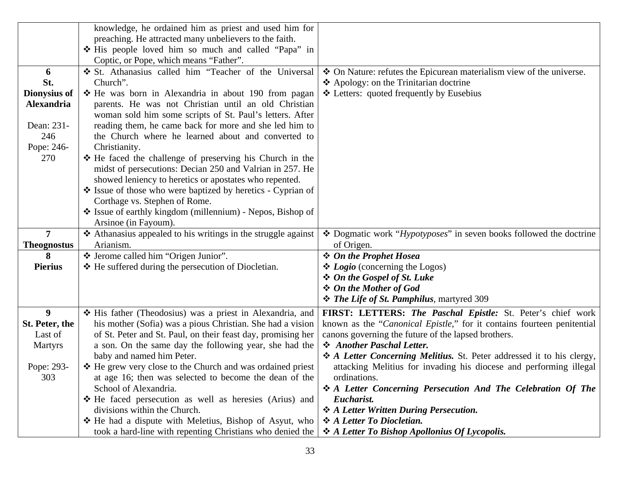|                    | knowledge, he ordained him as priest and used him for              |                                                                             |
|--------------------|--------------------------------------------------------------------|-----------------------------------------------------------------------------|
|                    | preaching. He attracted many unbelievers to the faith.             |                                                                             |
|                    | * His people loved him so much and called "Papa" in                |                                                                             |
|                    | Coptic, or Pope, which means "Father".                             |                                                                             |
| 6                  | St. Athanasius called him "Teacher of the Universal                | ❖ On Nature: refutes the Epicurean materialism view of the universe.        |
| St.                | Church".                                                           | ❖ Apology: on the Trinitarian doctrine                                      |
| Dionysius of       | ❖ He was born in Alexandria in about 190 from pagan                | ❖ Letters: quoted frequently by Eusebius                                    |
| Alexandria         | parents. He was not Christian until an old Christian               |                                                                             |
|                    | woman sold him some scripts of St. Paul's letters. After           |                                                                             |
| Dean: 231-         | reading them, he came back for more and she led him to             |                                                                             |
| 246                | the Church where he learned about and converted to                 |                                                                             |
| Pope: 246-         | Christianity.                                                      |                                                                             |
| 270                |                                                                    |                                                                             |
|                    | ❖ He faced the challenge of preserving his Church in the           |                                                                             |
|                    | midst of persecutions: Decian 250 and Valrian in 257. He           |                                                                             |
|                    | showed leniency to heretics or apostates who repented.             |                                                                             |
|                    | Solution State of those who were baptized by heretics - Cyprian of |                                                                             |
|                    | Corthage vs. Stephen of Rome.                                      |                                                                             |
|                    | State of earthly kingdom (millennium) - Nepos, Bishop of           |                                                                             |
|                    | Arsinoe (in Fayoum).                                               |                                                                             |
| 7                  | ❖ Athanasius appealed to his writings in the struggle against      | ❖ Dogmatic work " <i>Hypotyposes</i> " in seven books followed the doctrine |
| <b>Theognostus</b> | Arianism.                                                          | of Origen.                                                                  |
| 8                  | * Jerome called him "Origen Junior".                               | <b>❖</b> On the Prophet Hosea                                               |
| <b>Pierius</b>     | ❖ He suffered during the persecution of Diocletian.                | $\triangle$ <i>Logio</i> (concerning the Logos)                             |
|                    |                                                                    | ❖ On the Gospel of St. Luke                                                 |
|                    |                                                                    | ❖ On the Mother of God                                                      |
|                    |                                                                    | <b>❖</b> The Life of St. Pamphilus, martyred 309                            |
| 9 <sup>°</sup>     | His father (Theodosius) was a priest in Alexandria, and            | FIRST: LETTERS: The Paschal Epistle: St. Peter's chief work                 |
| St. Peter, the     | his mother (Sofia) was a pious Christian. She had a vision         | known as the "Canonical Epistle," for it contains fourteen penitential      |
| Last of            | of St. Peter and St. Paul, on their feast day, promising her       | canons governing the future of the lapsed brothers.                         |
| <b>Martyrs</b>     | a son. On the same day the following year, she had the             | Another Paschal Letter.                                                     |
|                    | baby and named him Peter.                                          | ❖ A Letter Concerning Melitius. St. Peter addressed it to his clergy,       |
| Pope: 293-         | ❖ He grew very close to the Church and was ordained priest         | attacking Melitius for invading his diocese and performing illegal          |
| 303                | at age 16; then was selected to become the dean of the             | ordinations.                                                                |
|                    | School of Alexandria.                                              | ❖ A Letter Concerning Persecution And The Celebration Of The                |
|                    | * He faced persecution as well as heresies (Arius) and             | Eucharist.                                                                  |
|                    | divisions within the Church.                                       | * A Letter Written During Persecution.                                      |
|                    | ❖ He had a dispute with Meletius, Bishop of Asyut, who             | ❖ A Letter To Diocletian.                                                   |
|                    | took a hard-line with repenting Christians who denied the          | ❖ A Letter To Bishop Apollonius Of Lycopolis.                               |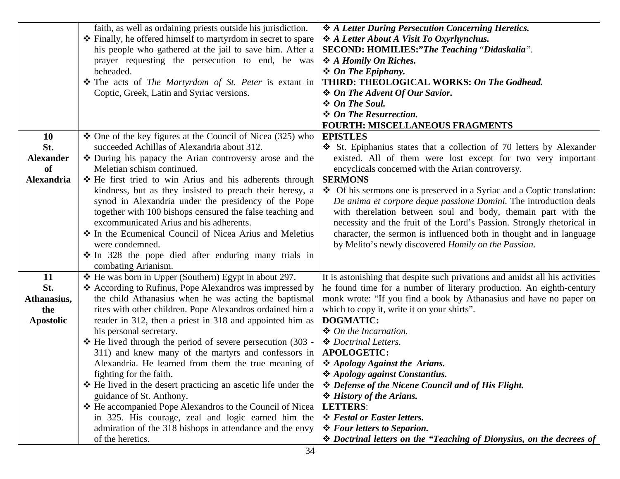|                   | faith, as well as ordaining priests outside his jurisdiction.   | ❖ A Letter During Persecution Concerning Heretics.                           |
|-------------------|-----------------------------------------------------------------|------------------------------------------------------------------------------|
|                   | ❖ Finally, he offered himself to martyrdom in secret to spare   | ❖ A Letter About A Visit To Oxyrhynchus.                                     |
|                   |                                                                 | SECOND: HOMILIES:"The Teaching "Didaskalia".                                 |
|                   | his people who gathered at the jail to save him. After a        |                                                                              |
|                   | prayer requesting the persecution to end, he was                | ❖ A Homily On Riches.                                                        |
|                   | beheaded.                                                       | $\div$ On The Epiphany.                                                      |
|                   | The acts of The Martyrdom of St. Peter is extant in             | THIRD: THEOLOGICAL WORKS: On The Godhead.                                    |
|                   | Coptic, Greek, Latin and Syriac versions.                       | ❖ On The Advent Of Our Savior.                                               |
|                   |                                                                 | ❖ On The Soul.                                                               |
|                   |                                                                 | ❖ On The Resurrection.                                                       |
|                   |                                                                 | <b>FOURTH: MISCELLANEOUS FRAGMENTS</b>                                       |
| <b>10</b>         | $\div$ One of the key figures at the Council of Nicea (325) who | <b>EPISTLES</b>                                                              |
| St.               | succeeded Achillas of Alexandria about 312.                     | St. Epiphanius states that a collection of 70 letters by Alexander           |
| <b>Alexander</b>  | ❖ During his papacy the Arian controversy arose and the         | existed. All of them were lost except for two very important                 |
| of                | Meletian schism continued.                                      | encyclicals concerned with the Arian controversy.                            |
| <b>Alexandria</b> | ❖ He first tried to win Arius and his adherents through         | <b>SERMONS</b>                                                               |
|                   | kindness, but as they insisted to preach their heresy, a        | ❖ Of his sermons one is preserved in a Syriac and a Coptic translation:      |
|                   | synod in Alexandria under the presidency of the Pope            | De anima et corpore deque passione Domini. The introduction deals            |
|                   | together with 100 bishops censured the false teaching and       | with the relation between soul and body, the main part with the              |
|                   | excommunicated Arius and his adherents.                         | necessity and the fruit of the Lord's Passion. Strongly rhetorical in        |
|                   | ❖ In the Ecumenical Council of Nicea Arius and Meletius         | character, the sermon is influenced both in thought and in language          |
|                   | were condemned.                                                 | by Melito's newly discovered Homily on the Passion.                          |
|                   | * In 328 the pope died after enduring many trials in            |                                                                              |
|                   | combating Arianism.                                             |                                                                              |
| 11                | ❖ He was born in Upper (Southern) Egypt in about 297.           |                                                                              |
| St.               |                                                                 | It is astonishing that despite such privations and amidst all his activities |
|                   | ❖ According to Rufinus, Pope Alexandros was impressed by        | he found time for a number of literary production. An eighth-century         |
| Athanasius,       | the child Athanasius when he was acting the baptismal           | monk wrote: "If you find a book by Athanasius and have no paper on           |
| the               | rites with other children. Pope Alexandros ordained him a       | which to copy it, write it on your shirts".                                  |
| <b>Apostolic</b>  | reader in 312, then a priest in 318 and appointed him as        | <b>DOGMATIC:</b>                                                             |
|                   | his personal secretary.                                         | ❖ On the Incarnation.                                                        |
|                   | $\div$ He lived through the period of severe persecution (303 - | ❖ Doctrinal Letters.                                                         |
|                   | 311) and knew many of the martyrs and confessors in             | <b>APOLOGETIC:</b>                                                           |
|                   | Alexandria. He learned from them the true meaning of            | ❖ Apology Against the Arians.                                                |
|                   | fighting for the faith.                                         | ❖ Apology against Constantius.                                               |
|                   | * He lived in the desert practicing an ascetic life under the   | * Defense of the Nicene Council and of His Flight.                           |
|                   | guidance of St. Anthony.                                        | ❖ History of the Arians.                                                     |
|                   | * He accompanied Pope Alexandros to the Council of Nicea        | <b>LETTERS:</b>                                                              |
|                   | in 325. His courage, zeal and logic earned him the              | ❖ Festal or Easter letters.                                                  |
|                   | admiration of the 318 bishops in attendance and the envy        | <i><b>❖ Four letters to Separion.</b></i>                                    |
|                   | of the heretics.                                                | ❖ Doctrinal letters on the "Teaching of Dionysius, on the decrees of         |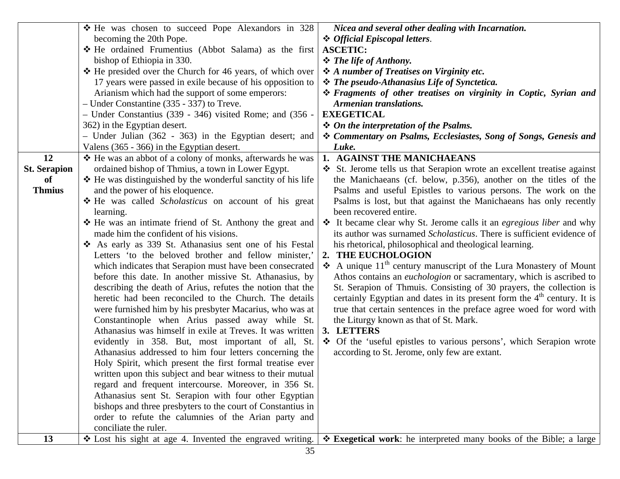|                     | ❖ He was chosen to succeed Pope Alexandors in 328            | Nicea and several other dealing with Incarnation.                               |
|---------------------|--------------------------------------------------------------|---------------------------------------------------------------------------------|
|                     | becoming the 20th Pope.                                      | ❖ Official Episcopal letters.                                                   |
|                     | * He ordained Frumentius (Abbot Salama) as the first         | <b>ASCETIC:</b>                                                                 |
|                     | bishop of Ethiopia in 330.                                   | $\div$ The life of Anthony.                                                     |
|                     | ❖ He presided over the Church for 46 years, of which over    | ❖ A number of Treatises on Virginity etc.                                       |
|                     | 17 years were passed in exile because of his opposition to   | <b>❖</b> The pseudo-Athanasius Life of Synctetica.                              |
|                     | Arianism which had the support of some emperors:             | <i><b>❖ Fragments of other treatises on virginity in Coptic, Syrian and</b></i> |
|                     | - Under Constantine (335 - 337) to Treve.                    | Armenian translations.                                                          |
|                     | - Under Constantius (339 - 346) visited Rome; and (356 -     | <b>EXEGETICAL</b>                                                               |
|                     | 362) in the Egyptian desert.                                 | $\div$ On the interpretation of the Psalms.                                     |
|                     | - Under Julian $(362 - 363)$ in the Egyptian desert; and     | * Commentary on Psalms, Ecclesiastes, Song of Songs, Genesis and                |
|                     | Valens (365 - 366) in the Egyptian desert.                   | Luke.                                                                           |
| 12                  | ❖ He was an abbot of a colony of monks, afterwards he was    | 1. AGAINST THE MANICHAEANS                                                      |
| <b>St. Serapion</b> | ordained bishop of Thmius, a town in Lower Egypt.            | St. Jerome tells us that Serapion wrote an excellent treatise against           |
| of                  | ❖ He was distinguished by the wonderful sanctity of his life | the Manichaeans (cf. below, p.356), another on the titles of the                |
| <b>Thmius</b>       | and the power of his eloquence.                              | Psalms and useful Epistles to various persons. The work on the                  |
|                     | He was called <i>Scholasticus</i> on account of his great    | Psalms is lost, but that against the Manichaeans has only recently              |
|                     | learning.                                                    | been recovered entire.                                                          |
|                     | ❖ He was an intimate friend of St. Anthony the great and     | ❖ It became clear why St. Jerome calls it an <i>egregious liber</i> and why     |
|                     | made him the confident of his visions.                       | its author was surnamed <i>Scholasticus</i> . There is sufficient evidence of   |
|                     | As early as 339 St. Athanasius sent one of his Festal        | his rhetorical, philosophical and theological learning.                         |
|                     | Letters 'to the beloved brother and fellow minister,'        | THE EUCHOLOGION<br>2.                                                           |
|                     | which indicates that Serapion must have been consecrated     | A unique $11th$ century manuscript of the Lura Monastery of Mount               |
|                     | before this date. In another missive St. Athanasius, by      | Athos contains an <i>euchologion</i> or sacramentary, which is ascribed to      |
|                     | describing the death of Arius, refutes the notion that the   | St. Serapion of Thmuis. Consisting of 30 prayers, the collection is             |
|                     | heretic had been reconciled to the Church. The details       | certainly Egyptian and dates in its present form the $4th$ century. It is       |
|                     | were furnished him by his presbyter Macarius, who was at     | true that certain sentences in the preface agree woed for word with             |
|                     | Constantinople when Arius passed away while St.              | the Liturgy known as that of St. Mark.                                          |
|                     | Athanasius was himself in exile at Treves. It was written    | 3. LETTERS                                                                      |
|                     | evidently in 358. But, most important of all, St.            | ❖ Of the 'useful epistles to various persons', which Serapion wrote             |
|                     | Athanasius addressed to him four letters concerning the      | according to St. Jerome, only few are extant.                                   |
|                     | Holy Spirit, which present the first formal treatise ever    |                                                                                 |
|                     | written upon this subject and bear witness to their mutual   |                                                                                 |
|                     | regard and frequent intercourse. Moreover, in 356 St.        |                                                                                 |
|                     | Athanasius sent St. Serapion with four other Egyptian        |                                                                                 |
|                     | bishops and three presbyters to the court of Constantius in  |                                                                                 |
|                     | order to refute the calumnies of the Arian party and         |                                                                                 |
|                     | conciliate the ruler.                                        |                                                                                 |
| 13                  | ❖ Lost his sight at age 4. Invented the engraved writing.    | $\div$ Exegetical work: he interpreted many books of the Bible; a large         |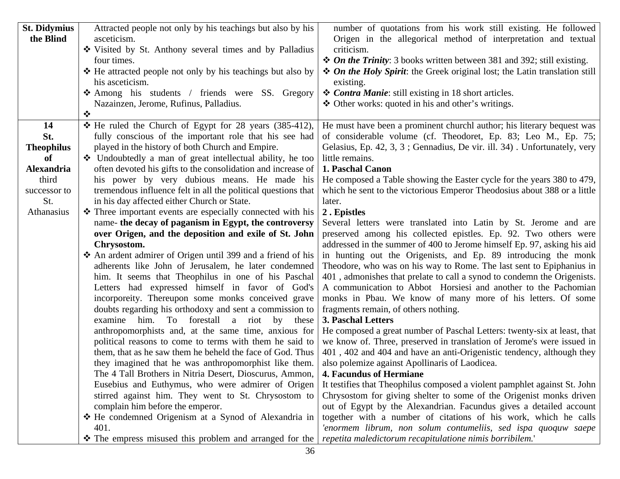| <b>St. Didymius</b> | Attracted people not only by his teachings but also by his    | number of quotations from his work still existing. He followed                    |
|---------------------|---------------------------------------------------------------|-----------------------------------------------------------------------------------|
| the Blind           | asceticism.                                                   | Origen in the allegorical method of interpretation and textual                    |
|                     | ❖ Visited by St. Anthony several times and by Palladius       | criticism.                                                                        |
|                     | four times.                                                   | $\triangle$ On the Trinity: 3 books written between 381 and 392; still existing.  |
|                     | ❖ He attracted people not only by his teachings but also by   | <i>❖ On the Holy Spirit:</i> the Greek original lost; the Latin translation still |
|                     | his asceticism.                                               | existing.                                                                         |
|                     | Among his students / friends were SS. Gregory                 | ❖ Contra Manie: still existing in 18 short articles.                              |
|                     | Nazainzen, Jerome, Rufinus, Palladius.                        | ❖ Other works: quoted in his and other's writings.                                |
|                     | $\bullet^{\bullet}_{\bullet} \bullet$                         |                                                                                   |
| 14                  | * He ruled the Church of Egypt for 28 years (385-412),        | He must have been a prominent churchl author; his literary bequest was            |
| St.                 | fully conscious of the important role that his see had        | of considerable volume (cf. Theodoret, Ep. 83; Leo M., Ep. 75;                    |
| <b>Theophilus</b>   | played in the history of both Church and Empire.              | Gelasius, Ep. 42, 3, 3; Gennadius, De vir. ill. 34). Unfortunately, very          |
| of                  | • Undoubtedly a man of great intellectual ability, he too     | little remains.                                                                   |
| <b>Alexandria</b>   | often devoted his gifts to the consolidation and increase of  | 1. Paschal Canon                                                                  |
| third               | his power by very dubious means. He made his                  | He composed a Table showing the Easter cycle for the years 380 to 479,            |
| successor to        | tremendous influence felt in all the political questions that | which he sent to the victorious Emperor Theodosius about 388 or a little          |
| St.                 | in his day affected either Church or State.                   | later.                                                                            |
| Athanasius          | Three important events are especially connected with his      | 2. Epistles                                                                       |
|                     | name- the decay of paganism in Egypt, the controversy         | Several letters were translated into Latin by St. Jerome and are                  |
|                     | over Origen, and the deposition and exile of St. John         | preserved among his collected epistles. Ep. 92. Two others were                   |
|                     | Chrysostom.                                                   | addressed in the summer of 400 to Jerome himself Ep. 97, asking his aid           |
|                     | An ardent admirer of Origen until 399 and a friend of his     | in hunting out the Origenists, and Ep. 89 introducing the monk                    |
|                     | adherents like John of Jerusalem, he later condemned          | Theodore, who was on his way to Rome. The last sent to Epiphanius in              |
|                     | him. It seems that Theophilus in one of his Paschal           | 401, admonishes that prelate to call a synod to condemn the Origenists.           |
|                     | Letters had expressed himself in favor of God's               | A communication to Abbot Horsiesi and another to the Pachomian                    |
|                     | incorporeity. Thereupon some monks conceived grave            | monks in Pbau. We know of many more of his letters. Of some                       |
|                     | doubts regarding his orthodoxy and sent a commission to       | fragments remain, of others nothing.                                              |
|                     | examine him. To forestall a riot<br>by<br>these               | <b>3. Paschal Letters</b>                                                         |
|                     | anthropomorphists and, at the same time, anxious for          | He composed a great number of Paschal Letters: twenty-six at least, that          |
|                     | political reasons to come to terms with them he said to       | we know of. Three, preserved in translation of Jerome's were issued in            |
|                     | them, that as he saw them he beheld the face of God. Thus     | 401, 402 and 404 and have an anti-Origenistic tendency, although they             |
|                     | they imagined that he was anthropomorphist like them.         | also polemize against Apollinaris of Laodicea.                                    |
|                     | The 4 Tall Brothers in Nitria Desert, Dioscurus, Ammon,       | <b>4. Facundus of Hermiane</b>                                                    |
|                     | Eusebius and Euthymus, who were admirer of Origen             | It testifies that Theophilus composed a violent pamphlet against St. John         |
|                     | stirred against him. They went to St. Chrysostom to           | Chrysostom for giving shelter to some of the Origenist monks driven               |
|                     | complain him before the emperor.                              | out of Egypt by the Alexandrian. Facundus gives a detailed account                |
|                     | * He condemned Origenism at a Synod of Alexandria in          | together with a number of citations of his work, which he calls                   |
|                     | 401.                                                          | 'enormem librum, non solum contumeliis, sed ispa quoquw saepe                     |
|                     | • The empress misused this problem and arranged for the       | repetita maledictorum recapitulatione nimis borribilem.'                          |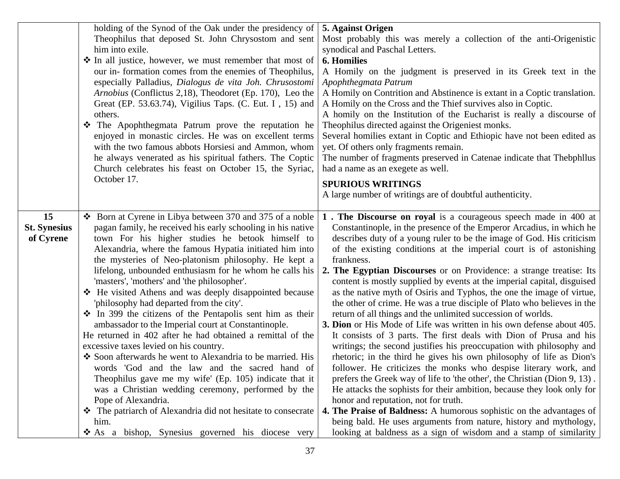|                                        | holding of the Synod of the Oak under the presidency of<br>Theophilus that deposed St. John Chrysostom and sent<br>him into exile.<br>❖ In all justice, however, we must remember that most of<br>our in-formation comes from the enemies of Theophilus,<br>especially Palladius, Dialogus de vita Joh. Chrusostomi<br>Arnobius (Conflictus 2,18), Theodoret (Ep. 170), Leo the<br>Great (EP. 53.63.74), Vigilius Taps. (C. Eut. I, 15) and<br>others.<br>The Apophthegmata Patrum prove the reputation he<br>enjoyed in monastic circles. He was on excellent terms<br>with the two famous abbots Horsiesi and Ammon, whom<br>he always venerated as his spiritual fathers. The Coptic<br>Church celebrates his feast on October 15, the Syriac,<br>October 17.                                                                                                                                                                                                                                                                                                                                                                     | 5. Against Origen<br>Most probably this was merely a collection of the anti-Origenistic<br>synodical and Paschal Letters.<br><b>6. Homilies</b><br>A Homily on the judgment is preserved in its Greek text in the<br>Apophthegmata Patrum<br>A Homily on Contrition and Abstinence is extant in a Coptic translation.<br>A Homily on the Cross and the Thief survives also in Coptic.<br>A homily on the Institution of the Eucharist is really a discourse of<br>Theophilus directed against the Origeniest monks.<br>Several homilies extant in Coptic and Ethiopic have not been edited as<br>yet. Of others only fragments remain.<br>The number of fragments preserved in Catenae indicate that Thebphllus<br>had a name as an exegete as well.<br><b>SPURIOUS WRITINGS</b><br>A large number of writings are of doubtful authenticity.                                                                                                                                                                                                                                                                                                                                                                                                                                                                                                                                                                                                                    |
|----------------------------------------|--------------------------------------------------------------------------------------------------------------------------------------------------------------------------------------------------------------------------------------------------------------------------------------------------------------------------------------------------------------------------------------------------------------------------------------------------------------------------------------------------------------------------------------------------------------------------------------------------------------------------------------------------------------------------------------------------------------------------------------------------------------------------------------------------------------------------------------------------------------------------------------------------------------------------------------------------------------------------------------------------------------------------------------------------------------------------------------------------------------------------------------|-----------------------------------------------------------------------------------------------------------------------------------------------------------------------------------------------------------------------------------------------------------------------------------------------------------------------------------------------------------------------------------------------------------------------------------------------------------------------------------------------------------------------------------------------------------------------------------------------------------------------------------------------------------------------------------------------------------------------------------------------------------------------------------------------------------------------------------------------------------------------------------------------------------------------------------------------------------------------------------------------------------------------------------------------------------------------------------------------------------------------------------------------------------------------------------------------------------------------------------------------------------------------------------------------------------------------------------------------------------------------------------------------------------------------------------------------------------------|
| 15<br><b>St. Synesius</b><br>of Cyrene | ❖ Born at Cyrene in Libya between 370 and 375 of a noble<br>pagan family, he received his early schooling in his native<br>town For his higher studies he betook himself to<br>Alexandria, where the famous Hypatia initiated him into<br>the mysteries of Neo-platonism philosophy. He kept a<br>lifelong, unbounded enthusiasm for he whom he calls his<br>'masters', 'mothers' and 'the philosopher'.<br>❖ He visited Athens and was deeply disappointed because<br>'philosophy had departed from the city'.<br>$\cdot \cdot$ In 399 the citizens of the Pentapolis sent him as their<br>ambassador to the Imperial court at Constantinople.<br>He returned in 402 after he had obtained a remittal of the<br>excessive taxes levied on his country.<br>Soon afterwards he went to Alexandria to be married. His<br>words 'God and the law and the sacred hand of<br>Theophilus gave me my wife' (Ep. 105) indicate that it<br>was a Christian wedding ceremony, performed by the<br>Pope of Alexandria.<br>The patriarch of Alexandria did not hesitate to consecrate<br>him.<br>As a bishop, Synesius governed his diocese very | 1. The Discourse on royal is a courageous speech made in 400 at<br>Constantinople, in the presence of the Emperor Arcadius, in which he<br>describes duty of a young ruler to be the image of God. His criticism<br>of the existing conditions at the imperial court is of astonishing<br>frankness.<br>2. The Egyptian Discourses or on Providence: a strange treatise: Its<br>content is mostly supplied by events at the imperial capital, disguised<br>as the native myth of Osiris and Typhos, the one the image of virtue,<br>the other of crime. He was a true disciple of Plato who believes in the<br>return of all things and the unlimited succession of worlds.<br>3. Dion or His Mode of Life was written in his own defense about 405.<br>It consists of 3 parts. The first deals with Dion of Prusa and his<br>writings; the second justifies his preoccupation with philosophy and<br>rhetoric; in the third he gives his own philosophy of life as Dion's<br>follower. He criticizes the monks who despise literary work, and<br>prefers the Greek way of life to 'the other', the Christian (Dion 9, 13).<br>He attacks the sophists for their ambition, because they look only for<br>honor and reputation, not for truth.<br>4. The Praise of Baldness: A humorous sophistic on the advantages of<br>being bald. He uses arguments from nature, history and mythology,<br>looking at baldness as a sign of wisdom and a stamp of similarity |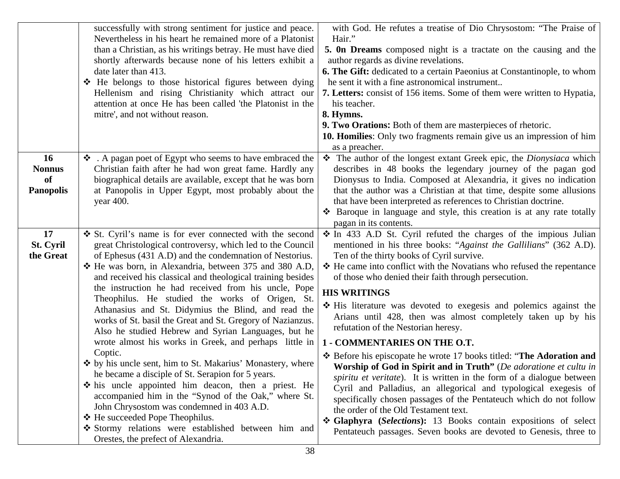|                              | successfully with strong sentiment for justice and peace.<br>Nevertheless in his heart he remained more of a Platonist<br>than a Christian, as his writings betray. He must have died<br>shortly afterwards because none of his letters exhibit a<br>date later than 413.<br>❖ He belongs to those historical figures between dying<br>Hellenism and rising Christianity which attract our<br>attention at once He has been called 'the Platonist in the<br>mitre', and not without reason. | with God. He refutes a treatise of Dio Chrysostom: "The Praise of<br>Hair."<br>5. On Dreams composed night is a tractate on the causing and the<br>author regards as divine revelations.<br><b>6. The Gift:</b> dedicated to a certain Paeonius at Constantinople, to whom<br>he sent it with a fine astronomical instrument<br><b>7. Letters:</b> consist of 156 items. Some of them were written to Hypatia,<br>his teacher.<br>8. Hymns.<br>9. Two Orations: Both of them are masterpieces of rhetoric.<br>10. Homilies: Only two fragments remain give us an impression of him<br>as a preacher. |
|------------------------------|---------------------------------------------------------------------------------------------------------------------------------------------------------------------------------------------------------------------------------------------------------------------------------------------------------------------------------------------------------------------------------------------------------------------------------------------------------------------------------------------|------------------------------------------------------------------------------------------------------------------------------------------------------------------------------------------------------------------------------------------------------------------------------------------------------------------------------------------------------------------------------------------------------------------------------------------------------------------------------------------------------------------------------------------------------------------------------------------------------|
| <b>16</b>                    | A pagan poet of Egypt who seems to have embraced the                                                                                                                                                                                                                                                                                                                                                                                                                                        | The author of the longest extant Greek epic, the Dionysiaca which                                                                                                                                                                                                                                                                                                                                                                                                                                                                                                                                    |
| <b>Nonnus</b>                | Christian faith after he had won great fame. Hardly any                                                                                                                                                                                                                                                                                                                                                                                                                                     | describes in 48 books the legendary journey of the pagan god                                                                                                                                                                                                                                                                                                                                                                                                                                                                                                                                         |
| <sub>of</sub>                | biographical details are available, except that he was born                                                                                                                                                                                                                                                                                                                                                                                                                                 | Dionysus to India. Composed at Alexandria, it gives no indication                                                                                                                                                                                                                                                                                                                                                                                                                                                                                                                                    |
| <b>Panopolis</b>             | at Panopolis in Upper Egypt, most probably about the                                                                                                                                                                                                                                                                                                                                                                                                                                        | that the author was a Christian at that time, despite some allusions                                                                                                                                                                                                                                                                                                                                                                                                                                                                                                                                 |
|                              | year 400.                                                                                                                                                                                                                                                                                                                                                                                                                                                                                   | that have been interpreted as references to Christian doctrine.<br>❖ Baroque in language and style, this creation is at any rate totally                                                                                                                                                                                                                                                                                                                                                                                                                                                             |
|                              |                                                                                                                                                                                                                                                                                                                                                                                                                                                                                             | pagan in its contents.                                                                                                                                                                                                                                                                                                                                                                                                                                                                                                                                                                               |
| 17<br>St. Cyril<br>the Great | St. Cyril's name is for ever connected with the second<br>great Christological controversy, which led to the Council<br>of Ephesus (431 A.D) and the condemnation of Nestorius.<br>❖ He was born, in Alexandria, between 375 and 380 A.D,<br>and received his classical and theological training besides                                                                                                                                                                                    | * In 433 A.D St. Cyril refuted the charges of the impious Julian<br>mentioned in his three books: "Against the Gallilians" (362 A.D).<br>Ten of the thirty books of Cyril survive.<br>❖ He came into conflict with the Novatians who refused the repentance<br>of those who denied their faith through persecution.                                                                                                                                                                                                                                                                                  |
|                              | the instruction he had received from his uncle, Pope<br>Theophilus. He studied the works of Origen, St.<br>Athanasius and St. Didymius the Blind, and read the<br>works of St. basil the Great and St. Gregory of Nazianzus.<br>Also he studied Hebrew and Syrian Languages, but he                                                                                                                                                                                                         | <b>HIS WRITINGS</b><br>* His literature was devoted to exegesis and polemics against the<br>Arians until 428, then was almost completely taken up by his<br>refutation of the Nestorian heresy.                                                                                                                                                                                                                                                                                                                                                                                                      |
|                              | wrote almost his works in Greek, and perhaps little in<br>Coptic.                                                                                                                                                                                                                                                                                                                                                                                                                           | 1 - COMMENTARIES ON THE O.T.                                                                                                                                                                                                                                                                                                                                                                                                                                                                                                                                                                         |
|                              | ❖ by his uncle sent, him to St. Makarius' Monastery, where<br>he became a disciple of St. Serapion for 5 years.<br>$\div$ his uncle appointed him deacon, then a priest. He<br>accompanied him in the "Synod of the Oak," where St.<br>John Chrysostom was condemned in 403 A.D.<br>❖ He succeeded Pope Theophilus.<br>Stormy relations were established between him and<br>Orestes, the prefect of Alexandria.                                                                             | ❖ Before his episcopate he wrote 17 books titled: "The Adoration and<br>Worship of God in Spirit and in Truth" (De adoratione et cultu in<br><i>spiritu et veritate</i> ). It is written in the form of a dialogue between<br>Cyril and Palladius, an allegorical and typological exegesis of<br>specifically chosen passages of the Pentateuch which do not follow<br>the order of the Old Testament text.<br>* Glaphyra (Selections): 13 Books contain expositions of select<br>Pentateuch passages. Seven books are devoted to Genesis, three to                                                  |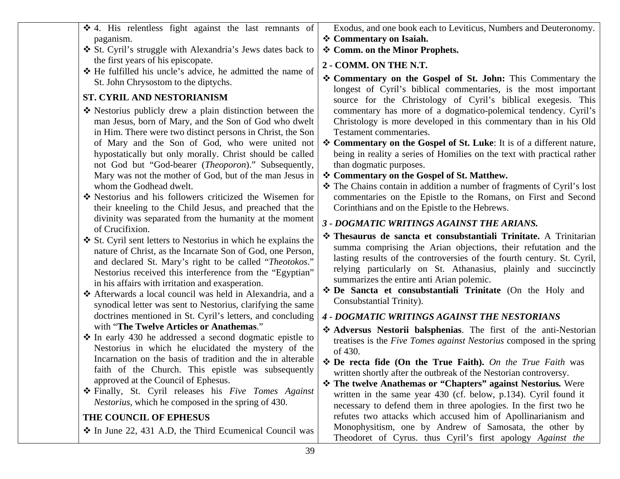| the first years of his episcopate.<br>❖ He fulfilled his uncle's advice, he admitted the name of<br>St. John Chrysostom to the diptychs.<br>ST. CYRIL AND NESTORIANISM<br>❖ Nestorius publicly drew a plain distinction between the<br>man Jesus, born of Mary, and the Son of God who dwelt<br>in Him. There were two distinct persons in Christ, the Son<br>of Mary and the Son of God, who were united not<br>hypostatically but only morally. Christ should be called<br>not God but "God-bearer (Theoporon)." Subsequently,<br>Mary was not the mother of God, but of the man Jesus in<br>whom the Godhead dwelt.<br>* Nestorius and his followers criticized the Wisemen for<br>their kneeling to the Child Jesus, and preached that the<br>divinity was separated from the humanity at the moment<br>of Crucifixion.<br>St. Cyril sent letters to Nestorius in which he explains the<br>nature of Christ, as the Incarnate Son of God, one Person,<br>and declared St. Mary's right to be called "Theotokos."<br>Nestorius received this interference from the "Egyptian"<br>in his affairs with irritation and exasperation.<br>❖ Afterwards a local council was held in Alexandria, and a<br>synodical letter was sent to Nestorius, clarifying the same<br>doctrines mentioned in St. Cyril's letters, and concluding<br>with "The Twelve Articles or Anathemas."<br>$\div$ In early 430 he addressed a second dogmatic epistle to<br>Nestorius in which he elucidated the mystery of the<br>Incarnation on the basis of tradition and the in alterable<br>faith of the Church. This epistle was subsequently<br>approved at the Council of Ephesus.<br>❖ Finally, St. Cyril releases his Five Tomes Against<br><i>Nestorius</i> , which he composed in the spring of 430. | * Commentary on the Gospel of St. John: This Commentary the<br>longest of Cyril's biblical commentaries, is the most important<br>source for the Christology of Cyril's biblical exegesis. This<br>commentary has more of a dogmatico-polemical tendency. Cyril's<br>Christology is more developed in this commentary than in his Old<br>Testament commentaries.<br>❖ Commentary on the Gospel of St. Luke: It is of a different nature,<br>being in reality a series of Homilies on the text with practical rather<br>than dogmatic purposes.<br>❖ Commentary on the Gospel of St. Matthew.<br>* The Chains contain in addition a number of fragments of Cyril's lost<br>commentaries on the Epistle to the Romans, on First and Second<br>Corinthians and on the Epistle to the Hebrews.<br>3 - DOGMATIC WRITINGS AGAINST THE ARIANS.<br>* Thesaurus de sancta et consubstantiali Trinitate. A Trinitarian<br>summa comprising the Arian objections, their refutation and the<br>lasting results of the controversies of the fourth century. St. Cyril,<br>relying particularly on St. Athanasius, plainly and succinctly<br>summarizes the entire anti Arian polemic.<br>❖ De Sancta et consubstantiali Trinitate (On the Holy and<br>Consubstantial Trinity).<br><b>4 - DOGMATIC WRITINGS AGAINST THE NESTORIANS</b><br>Adversus Nestorii balsphenias. The first of the anti-Nestorian<br>treatises is the Five Tomes against Nestorius composed in the spring<br>of 430.<br>❖ De recta fide (On the True Faith). On the True Faith was<br>written shortly after the outbreak of the Nestorian controversy.<br>❖ The twelve Anathemas or "Chapters" against Nestorius. Were<br>written in the same year 430 (cf. below, p.134). Cyril found it |
|--------------------------------------------------------------------------------------------------------------------------------------------------------------------------------------------------------------------------------------------------------------------------------------------------------------------------------------------------------------------------------------------------------------------------------------------------------------------------------------------------------------------------------------------------------------------------------------------------------------------------------------------------------------------------------------------------------------------------------------------------------------------------------------------------------------------------------------------------------------------------------------------------------------------------------------------------------------------------------------------------------------------------------------------------------------------------------------------------------------------------------------------------------------------------------------------------------------------------------------------------------------------------------------------------------------------------------------------------------------------------------------------------------------------------------------------------------------------------------------------------------------------------------------------------------------------------------------------------------------------------------------------------------------------------------------------------------------------------------------------------------------------------------------|----------------------------------------------------------------------------------------------------------------------------------------------------------------------------------------------------------------------------------------------------------------------------------------------------------------------------------------------------------------------------------------------------------------------------------------------------------------------------------------------------------------------------------------------------------------------------------------------------------------------------------------------------------------------------------------------------------------------------------------------------------------------------------------------------------------------------------------------------------------------------------------------------------------------------------------------------------------------------------------------------------------------------------------------------------------------------------------------------------------------------------------------------------------------------------------------------------------------------------------------------------------------------------------------------------------------------------------------------------------------------------------------------------------------------------------------------------------------------------------------------------------------------------------------------------------------------------------------------------------------------------------------------------------------------------------------------------------------------------------------------|
| THE COUNCIL OF EPHESUS                                                                                                                                                                                                                                                                                                                                                                                                                                                                                                                                                                                                                                                                                                                                                                                                                                                                                                                                                                                                                                                                                                                                                                                                                                                                                                                                                                                                                                                                                                                                                                                                                                                                                                                                                               | necessary to defend them in three apologies. In the first two he<br>refutes two attacks which accused him of Apollinarianism and                                                                                                                                                                                                                                                                                                                                                                                                                                                                                                                                                                                                                                                                                                                                                                                                                                                                                                                                                                                                                                                                                                                                                                                                                                                                                                                                                                                                                                                                                                                                                                                                                   |
| ❖ In June 22, 431 A.D, the Third Ecumenical Council was<br>39                                                                                                                                                                                                                                                                                                                                                                                                                                                                                                                                                                                                                                                                                                                                                                                                                                                                                                                                                                                                                                                                                                                                                                                                                                                                                                                                                                                                                                                                                                                                                                                                                                                                                                                        | Monophysitism, one by Andrew of Samosata, the other by<br>Theodoret of Cyrus. thus Cyril's first apology Against the                                                                                                                                                                                                                                                                                                                                                                                                                                                                                                                                                                                                                                                                                                                                                                                                                                                                                                                                                                                                                                                                                                                                                                                                                                                                                                                                                                                                                                                                                                                                                                                                                               |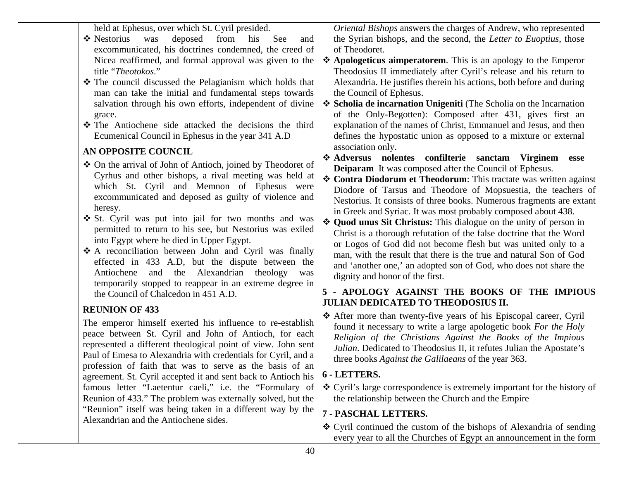held at Ephesus, over which St. Cyril presided. ❖ Nestorius was deposed from his See and excommunicated, his doctrines condemned, the creed of Nicea reaffirmed, and formal approval was given to the title "*Theotokos*." The council discussed the Pelagianism which holds that man can take the initial and fundamental steps towards salvation through his own efforts, independent of divine grace. The Antiochene side attacked the decisions the third Ecumenical Council in Ephesus in the year 341 A.D **AN OPPOSITE COUNCIL**  On the arrival of John of Antioch, joined by Theodoret of Cyrhus and other bishops, a rival meeting was held at which St. Cyril and Memnon of Ephesus were excommunicated and deposed as guilty of violence and heresy.  $\triangle$  St. Cyril was put into jail for two months and was *Oriental Bishops* answers the charges of Andrew, who represented the Syrian bishops, and the second, the *Letter to Euoptius*, those of Theodoret. **Apologeticus aimperatorem**. This is an apology to the Emperor Theodosius II immediately after Cyril's release and his return to Alexandria. He justifies therein his actions, both before and during the Council of Ephesus. **Scholia de incarnation Unigeniti** (The Scholia on the Incarnation of the Only-Begotten): Composed after 431, gives first an explanation of the names of Christ, Emmanuel and Jesus, and then defines the hypostatic union as opposed to a mixture or external association only. **Adversus nolentes confilterie sanctam Virginem esse Deiparam** It was composed after the Council of Ephesus. **Contra Diodorum et Theodorum**: This tractate was written against Diodore of Tarsus and Theodore of Mopsuestia, the teachers of Nestorius. It consists of three books. Numerous fragments are extant in Greek and Syriac. It was most probably composed about 438.

into Egypt where he died in Upper Egypt.

the Council of Chalcedon in 451 A.D.

Alexandrian and the Antiochene sides.

The emperor himself exerted his influence to re-establish peace between St. Cyril and John of Antioch, for each represented a different theological point of view. John sent Paul of Emesa to Alexandria with credentials for Cyril, and a profession of faith that was to serve as the basis of an agreement. St. Cyril accepted it and sent back to Antioch his famous letter "Laetentur caeli," i.e. the "Formulary of Reunion of 433." The problem was externally solved, but the "Reunion" itself was being taken in a different way by the

**REUNION OF 433** 

permitted to return to his see, but Nestorius was exiled A reconciliation between John and Cyril was finally effected in 433 A.D, but the dispute between the Antiochene and the Alexandrian theology was temporarily stopped to reappear in an extreme degree in **Quod unus Sit Christus:** This dialogue on the unity of person in Christ is a thorough refutation of the false doctrine that the Word or Logos of God did not become flesh but was united only to a man, with the result that there is the true and natural Son of God and 'another one,' an adopted son of God, who does not share the dignity and honor of the first.

#### **5 - APOLOGY AGAINST THE BOOKS OF THE IMPIOUS JULIAN DEDICATED TO THEODOSIUS II.**

 After more than twenty-five years of his Episcopal career, Cyril found it necessary to write a large apologetic book *For the Holy Religion of the Christians Against the Books of the Impious Julian*. Dedicated to Theodosius II, it refutes Julian the Apostate's three books *Against the Galilaeans* of the year 363.

#### **6 - LETTERS.**

 Cyril's large correspondence is extremely important for the history of the relationship between the Church and the Empire

#### **7 - PASCHAL LETTERS.**

 Cyril continued the custom of the bishops of Alexandria of sending every year to all the Churches of Egypt an announcement in the form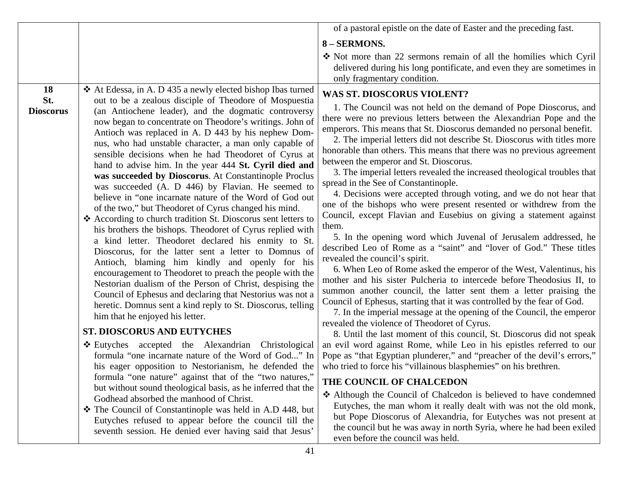|                                      |                                                                                                                                                                                                                                                                                                                                                                                                                                                                                                                                                                                                                                                                                                                                                                                                                                                                                                                                                                                                                                                                                                                                                                                                                                                                                                                                           | of a pastoral epistle on the date of Easter and the preceding fast.                                                                                                                                                                                                                                                                                                                                                                                                                                                                                                                                                                                                                                                                                                                                                                                                                                                                                                                                                                                                                                                                                                                                                                                                                                                                                                                                                                                                              |
|--------------------------------------|-------------------------------------------------------------------------------------------------------------------------------------------------------------------------------------------------------------------------------------------------------------------------------------------------------------------------------------------------------------------------------------------------------------------------------------------------------------------------------------------------------------------------------------------------------------------------------------------------------------------------------------------------------------------------------------------------------------------------------------------------------------------------------------------------------------------------------------------------------------------------------------------------------------------------------------------------------------------------------------------------------------------------------------------------------------------------------------------------------------------------------------------------------------------------------------------------------------------------------------------------------------------------------------------------------------------------------------------|----------------------------------------------------------------------------------------------------------------------------------------------------------------------------------------------------------------------------------------------------------------------------------------------------------------------------------------------------------------------------------------------------------------------------------------------------------------------------------------------------------------------------------------------------------------------------------------------------------------------------------------------------------------------------------------------------------------------------------------------------------------------------------------------------------------------------------------------------------------------------------------------------------------------------------------------------------------------------------------------------------------------------------------------------------------------------------------------------------------------------------------------------------------------------------------------------------------------------------------------------------------------------------------------------------------------------------------------------------------------------------------------------------------------------------------------------------------------------------|
|                                      |                                                                                                                                                                                                                                                                                                                                                                                                                                                                                                                                                                                                                                                                                                                                                                                                                                                                                                                                                                                                                                                                                                                                                                                                                                                                                                                                           | 8 - SERMONS.                                                                                                                                                                                                                                                                                                                                                                                                                                                                                                                                                                                                                                                                                                                                                                                                                                                                                                                                                                                                                                                                                                                                                                                                                                                                                                                                                                                                                                                                     |
|                                      |                                                                                                                                                                                                                                                                                                                                                                                                                                                                                                                                                                                                                                                                                                                                                                                                                                                                                                                                                                                                                                                                                                                                                                                                                                                                                                                                           | • Not more than 22 sermons remain of all the homilies which Cyril<br>delivered during his long pontificate, and even they are sometimes in<br>only fragmentary condition.                                                                                                                                                                                                                                                                                                                                                                                                                                                                                                                                                                                                                                                                                                                                                                                                                                                                                                                                                                                                                                                                                                                                                                                                                                                                                                        |
| <b>18</b><br>St.<br><b>Dioscorus</b> | ❖ At Edessa, in A. D 435 a newly elected bishop Ibas turned<br>out to be a zealous disciple of Theodore of Mospuestia<br>(an Antiochene leader), and the dogmatic controversy<br>now began to concentrate on Theodore's writings. John of<br>Antioch was replaced in A. D 443 by his nephew Dom-<br>nus, who had unstable character, a man only capable of<br>sensible decisions when he had Theodoret of Cyrus at<br>hand to advise him. In the year 444 St. Cyril died and<br>was succeeded by Dioscorus. At Constantinople Proclus<br>was succeeded (A. D 446) by Flavian. He seemed to<br>believe in "one incarnate nature of the Word of God out<br>of the two," but Theodoret of Cyrus changed his mind.<br>❖ According to church tradition St. Dioscorus sent letters to<br>his brothers the bishops. Theodoret of Cyrus replied with<br>a kind letter. Theodoret declared his enmity to St.<br>Dioscorus, for the latter sent a letter to Domnus of<br>Antioch, blaming him kindly and openly for his<br>encouragement to Theodoret to preach the people with the<br>Nestorian dualism of the Person of Christ, despising the<br>Council of Ephesus and declaring that Nestorius was not a<br>heretic. Domnus sent a kind reply to St. Dioscorus, telling<br>him that he enjoyed his letter.<br><b>ST. DIOSCORUS AND EUTYCHES</b> | <b>WAS ST. DIOSCORUS VIOLENT?</b><br>1. The Council was not held on the demand of Pope Dioscorus, and<br>there were no previous letters between the Alexandrian Pope and the<br>emperors. This means that St. Dioscorus demanded no personal benefit.<br>2. The imperial letters did not describe St. Dioscorus with titles more<br>honorable than others. This means that there was no previous agreement<br>between the emperor and St. Dioscorus.<br>3. The imperial letters revealed the increased theological troubles that<br>spread in the See of Constantinople.<br>4. Decisions were accepted through voting, and we do not hear that<br>one of the bishops who were present resented or withdrew from the<br>Council, except Flavian and Eusebius on giving a statement against<br>them.<br>5. In the opening word which Juvenal of Jerusalem addressed, he<br>described Leo of Rome as a "saint" and "lover of God." These titles<br>revealed the council's spirit.<br>6. When Leo of Rome asked the emperor of the West, Valentinus, his<br>mother and his sister Pulcheria to intercede before Theodosius II, to<br>summon another council, the latter sent them a letter praising the<br>Council of Ephesus, starting that it was controlled by the fear of God.<br>7. In the imperial message at the opening of the Council, the emperor<br>revealed the violence of Theodoret of Cyrus.<br>8. Until the last moment of this council, St. Dioscorus did not speak |
|                                      | Eutyches accepted the Alexandrian Christological<br>formula "one incarnate nature of the Word of God" In<br>his eager opposition to Nestorianism, he defended the<br>formula "one nature" against that of the "two natures,"                                                                                                                                                                                                                                                                                                                                                                                                                                                                                                                                                                                                                                                                                                                                                                                                                                                                                                                                                                                                                                                                                                              | an evil word against Rome, while Leo in his epistles referred to our<br>Pope as "that Egyptian plunderer," and "preacher of the devil's errors,"<br>who tried to force his "villainous blasphemies" on his brethren.                                                                                                                                                                                                                                                                                                                                                                                                                                                                                                                                                                                                                                                                                                                                                                                                                                                                                                                                                                                                                                                                                                                                                                                                                                                             |
|                                      | but without sound theological basis, as he inferred that the                                                                                                                                                                                                                                                                                                                                                                                                                                                                                                                                                                                                                                                                                                                                                                                                                                                                                                                                                                                                                                                                                                                                                                                                                                                                              | THE COUNCIL OF CHALCEDON                                                                                                                                                                                                                                                                                                                                                                                                                                                                                                                                                                                                                                                                                                                                                                                                                                                                                                                                                                                                                                                                                                                                                                                                                                                                                                                                                                                                                                                         |
|                                      | Godhead absorbed the manhood of Christ.<br>* The Council of Constantinople was held in A.D 448, but<br>Eutyches refused to appear before the council till the<br>seventh session. He denied ever having said that Jesus'                                                                                                                                                                                                                                                                                                                                                                                                                                                                                                                                                                                                                                                                                                                                                                                                                                                                                                                                                                                                                                                                                                                  | Although the Council of Chalcedon is believed to have condemned<br>Eutyches, the man whom it really dealt with was not the old monk,<br>but Pope Dioscorus of Alexandria, for Eutyches was not present at<br>the council but he was away in north Syria, where he had been exiled<br>even before the council was held.                                                                                                                                                                                                                                                                                                                                                                                                                                                                                                                                                                                                                                                                                                                                                                                                                                                                                                                                                                                                                                                                                                                                                           |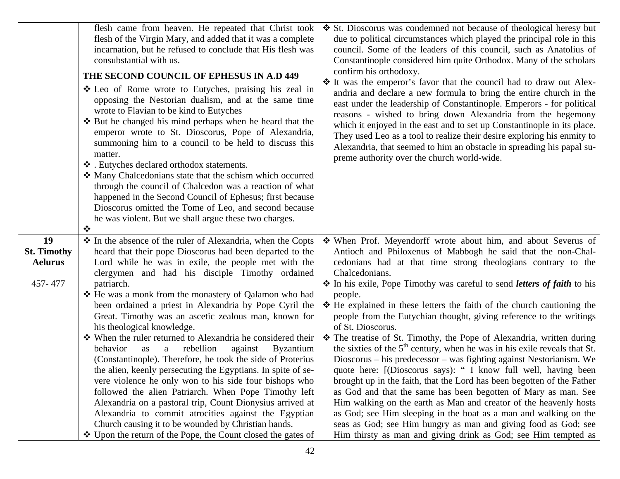|                                                       | flesh came from heaven. He repeated that Christ took<br>flesh of the Virgin Mary, and added that it was a complete<br>incarnation, but he refused to conclude that His flesh was<br>consubstantial with us.<br>THE SECOND COUNCIL OF EPHESUS IN A.D 449<br>❖ Leo of Rome wrote to Eutyches, praising his zeal in<br>opposing the Nestorian dualism, and at the same time<br>wrote to Flavian to be kind to Eutyches<br>❖ But he changed his mind perhaps when he heard that the<br>emperor wrote to St. Dioscorus, Pope of Alexandria,<br>summoning him to a council to be held to discuss this<br>matter.<br>❖ . Eutyches declared orthodox statements.<br>• Many Chalcedonians state that the schism which occurred<br>through the council of Chalcedon was a reaction of what<br>happened in the Second Council of Ephesus; first because<br>Dioscorus omitted the Tome of Leo, and second because<br>he was violent. But we shall argue these two charges.<br>$\bullet^{\bullet}_{\bullet} \bullet$                                                                                | ❖ St. Dioscorus was condemned not because of theological heresy but<br>due to political circumstances which played the principal role in this<br>council. Some of the leaders of this council, such as Anatolius of<br>Constantinople considered him quite Orthodox. Many of the scholars<br>confirm his orthodoxy.<br>* It was the emperor's favor that the council had to draw out Alex-<br>andria and declare a new formula to bring the entire church in the<br>east under the leadership of Constantinople. Emperors - for political<br>reasons - wished to bring down Alexandria from the hegemony<br>which it enjoyed in the east and to set up Constantinople in its place.<br>They used Leo as a tool to realize their desire exploring his enmity to<br>Alexandria, that seemed to him an obstacle in spreading his papal su-<br>preme authority over the church world-wide.                                                                                                                                                                                                                                                                                                                          |
|-------------------------------------------------------|----------------------------------------------------------------------------------------------------------------------------------------------------------------------------------------------------------------------------------------------------------------------------------------------------------------------------------------------------------------------------------------------------------------------------------------------------------------------------------------------------------------------------------------------------------------------------------------------------------------------------------------------------------------------------------------------------------------------------------------------------------------------------------------------------------------------------------------------------------------------------------------------------------------------------------------------------------------------------------------------------------------------------------------------------------------------------------------|-----------------------------------------------------------------------------------------------------------------------------------------------------------------------------------------------------------------------------------------------------------------------------------------------------------------------------------------------------------------------------------------------------------------------------------------------------------------------------------------------------------------------------------------------------------------------------------------------------------------------------------------------------------------------------------------------------------------------------------------------------------------------------------------------------------------------------------------------------------------------------------------------------------------------------------------------------------------------------------------------------------------------------------------------------------------------------------------------------------------------------------------------------------------------------------------------------------------|
| 19<br><b>St. Timothy</b><br><b>Aelurus</b><br>457-477 | ❖ In the absence of the ruler of Alexandria, when the Copts<br>heard that their pope Dioscorus had been departed to the<br>Lord while he was in exile, the people met with the<br>clergymen and had his disciple Timothy ordained<br>patriarch.<br>❖ He was a monk from the monastery of Qalamon who had<br>been ordained a priest in Alexandria by Pope Cyril the<br>Great. Timothy was an ascetic zealous man, known for<br>his theological knowledge.<br>• When the ruler returned to Alexandria he considered their<br>rebellion<br>behavior<br>against<br><b>Byzantium</b><br>as<br>a<br>(Constantinople). Therefore, he took the side of Proterius<br>the alien, keenly persecuting the Egyptians. In spite of se-<br>vere violence he only won to his side four bishops who<br>followed the alien Patriarch. When Pope Timothy left<br>Alexandria on a pastoral trip, Count Dionysius arrived at<br>Alexandria to commit atrocities against the Egyptian<br>Church causing it to be wounded by Christian hands.<br>❖ Upon the return of the Pope, the Count closed the gates of | When Prof. Meyendorff wrote about him, and about Severus of<br>Antioch and Philoxenus of Mabbogh he said that the non-Chal-<br>cedonians had at that time strong theologians contrary to the<br>Chalcedonians.<br>In his exile, Pope Timothy was careful to send <i>letters of faith</i> to his<br>people.<br>$\div$ He explained in these letters the faith of the church cautioning the<br>people from the Eutychian thought, giving reference to the writings<br>of St. Dioscorus.<br>* The treatise of St. Timothy, the Pope of Alexandria, written during<br>the sixties of the $5th$ century, when he was in his exile reveals that St.<br>Dioscorus – his predecessor – was fighting against Nestorianism. We<br>quote here: [(Dioscorus says): " I know full well, having been<br>brought up in the faith, that the Lord has been begotten of the Father<br>as God and that the same has been begotten of Mary as man. See<br>Him walking on the earth as Man and creator of the heavenly hosts<br>as God; see Him sleeping in the boat as a man and walking on the<br>seas as God; see Him hungry as man and giving food as God; see<br>Him thirsty as man and giving drink as God; see Him tempted as |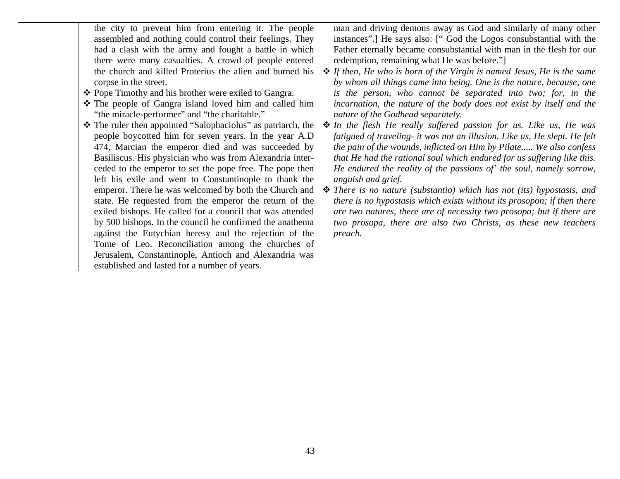| the city to prevent him from entering it. The people<br>assembled and nothing could control their feelings. They<br>had a clash with the army and fought a battle in which<br>there were many casualties. A crowd of people entered<br>the church and killed Proterius the alien and burned his<br>corpse in the street.<br>❖ Pope Timothy and his brother were exiled to Gangra.<br>* The people of Gangra island loved him and called him<br>"the miracle-performer" and "the charitable."<br>❖ The ruler then appointed "Salophaciolus" as patriarch, the<br>people boycotted him for seven years. In the year A.D<br>474, Marcian the emperor died and was succeeded by<br>Basiliscus. His physician who was from Alexandria inter-<br>ceded to the emperor to set the pope free. The pope then<br>left his exile and went to Constantinople to thank the<br>emperor. There he was welcomed by both the Church and<br>state. He requested from the emperor the return of the<br>exiled bishops. He called for a council that was attended<br>by 500 bishops. In the council he confirmed the anathema<br>against the Eutychian heresy and the rejection of the | man and driving demons away as God and similarly of many other<br>instances".] He says also: ["God the Logos consubstantial with the<br>Father eternally became consubstantial with man in the flesh for our<br>redemption, remaining what He was before."<br>$\triangle$ If then, He who is born of the Virgin is named Jesus, He is the same<br>by whom all things came into being. One is the nature, because, one<br>is the person, who cannot be separated into two; for, in the<br>incarnation, the nature of the body does not exist by itself and the<br>nature of the Godhead separately.<br>• In the flesh He really suffered passion for us. Like us, He was<br>fatigued of traveling- it was not an illusion. Like us, He slept. He felt<br>the pain of the wounds, inflicted on Him by Pilate We also confess<br>that He had the rational soul which endured for us suffering like this.<br>He endured the reality of the passions of' the soul, namely sorrow,<br>anguish and grief.<br>$\hat{\mathbf{\cdot}}$ There is no nature (substantio) which has not (its) hypostasis, and<br>there is no hypostasis which exists without its prosopon; if then there<br>are two natures, there are of necessity two prosopa; but if there are<br>two prosopa, there are also two Christs, as these new teachers<br>preach. |
|--------------------------------------------------------------------------------------------------------------------------------------------------------------------------------------------------------------------------------------------------------------------------------------------------------------------------------------------------------------------------------------------------------------------------------------------------------------------------------------------------------------------------------------------------------------------------------------------------------------------------------------------------------------------------------------------------------------------------------------------------------------------------------------------------------------------------------------------------------------------------------------------------------------------------------------------------------------------------------------------------------------------------------------------------------------------------------------------------------------------------------------------------------------------|-----------------------------------------------------------------------------------------------------------------------------------------------------------------------------------------------------------------------------------------------------------------------------------------------------------------------------------------------------------------------------------------------------------------------------------------------------------------------------------------------------------------------------------------------------------------------------------------------------------------------------------------------------------------------------------------------------------------------------------------------------------------------------------------------------------------------------------------------------------------------------------------------------------------------------------------------------------------------------------------------------------------------------------------------------------------------------------------------------------------------------------------------------------------------------------------------------------------------------------------------------------------------------------------------------------------------------------|
|                                                                                                                                                                                                                                                                                                                                                                                                                                                                                                                                                                                                                                                                                                                                                                                                                                                                                                                                                                                                                                                                                                                                                                    |                                                                                                                                                                                                                                                                                                                                                                                                                                                                                                                                                                                                                                                                                                                                                                                                                                                                                                                                                                                                                                                                                                                                                                                                                                                                                                                                   |
| Tome of Leo. Reconciliation among the churches of                                                                                                                                                                                                                                                                                                                                                                                                                                                                                                                                                                                                                                                                                                                                                                                                                                                                                                                                                                                                                                                                                                                  |                                                                                                                                                                                                                                                                                                                                                                                                                                                                                                                                                                                                                                                                                                                                                                                                                                                                                                                                                                                                                                                                                                                                                                                                                                                                                                                                   |
| Jerusalem, Constantinople, Antioch and Alexandria was                                                                                                                                                                                                                                                                                                                                                                                                                                                                                                                                                                                                                                                                                                                                                                                                                                                                                                                                                                                                                                                                                                              |                                                                                                                                                                                                                                                                                                                                                                                                                                                                                                                                                                                                                                                                                                                                                                                                                                                                                                                                                                                                                                                                                                                                                                                                                                                                                                                                   |
| established and lasted for a number of years.                                                                                                                                                                                                                                                                                                                                                                                                                                                                                                                                                                                                                                                                                                                                                                                                                                                                                                                                                                                                                                                                                                                      |                                                                                                                                                                                                                                                                                                                                                                                                                                                                                                                                                                                                                                                                                                                                                                                                                                                                                                                                                                                                                                                                                                                                                                                                                                                                                                                                   |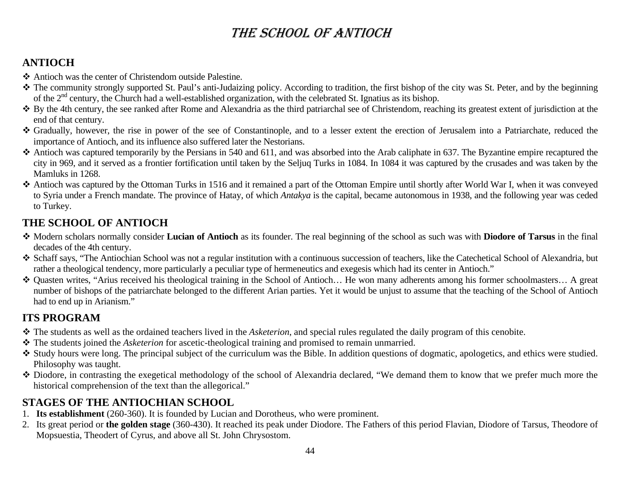# THE SCHOOL OF ANTIOCH

### **ANTIOCH**

- Antioch was the center of Christendom outside Palestine.
- The community strongly supported St. Paul's anti-Judaizing policy. According to tradition, the first bishop of the city was St. Peter, and by the beginning of the 2<sup>nd</sup> century, the Church had a well-established organization, with the celebrated St. Ignatius as its bishop.
- By the 4th century, the see ranked after Rome and Alexandria as the third patriarchal see of Christendom, reaching its greatest extent of jurisdiction at the end of that century.
- Gradually, however, the rise in power of the see of Constantinople, and to a lesser extent the erection of Jerusalem into a Patriarchate, reduced the importance of Antioch, and its influence also suffered later the Nestorians.
- Antioch was captured temporarily by the Persians in 540 and 611, and was absorbed into the Arab caliphate in 637. The Byzantine empire recaptured the city in 969, and it served as a frontier fortification until taken by the Seljuq Turks in 1084. In 1084 it was captured by the crusades and was taken by the Mamluks in 1268.
- Antioch was captured by the Ottoman Turks in 1516 and it remained a part of the Ottoman Empire until shortly after World War I, when it was conveyed to Syria under a French mandate. The province of Hatay, of which *Antakya* is the capital, became autonomous in 1938, and the following year was ceded to Turkey.

### **THE SCHOOL OF ANTIOCH**

- Modern scholars normally consider **Lucian of Antioch** as its founder. The real beginning of the school as such was with **Diodore of Tarsus** in the final decades of the 4th century.
- Schaff says, "The Antiochian School was not a regular institution with a continuous succession of teachers, like the Catechetical School of Alexandria, but rather a theological tendency, more particularly a peculiar type of hermeneutics and exegesis which had its center in Antioch."
- Quasten writes, "Arius received his theological training in the School of Antioch… He won many adherents among his former schoolmasters… A great number of bishops of the patriarchate belonged to the different Arian parties. Yet it would be unjust to assume that the teaching of the School of Antioch had to end up in Arianism."

### **ITS PROGRAM**

- The students as well as the ordained teachers lived in the *Asketerion*, and special rules regulated the daily program of this cenobite.
- The students joined the *Asketerion* for ascetic-theological training and promised to remain unmarried.
- Study hours were long. The principal subject of the curriculum was the Bible. In addition questions of dogmatic, apologetics, and ethics were studied. Philosophy was taught.
- Diodore, in contrasting the exegetical methodology of the school of Alexandria declared, "We demand them to know that we prefer much more the historical comprehension of the text than the allegorical."

### **STAGES OF THE ANTIOCHIAN SCHOOL**

- 1. **Its establishment** (260-360). It is founded by Lucian and Dorotheus, who were prominent.
- 2. Its great period or **the golden stage** (360-430). It reached its peak under Diodore. The Fathers of this period Flavian, Diodore of Tarsus, Theodore of Mopsuestia, Theodert of Cyrus, and above all St. John Chrysostom.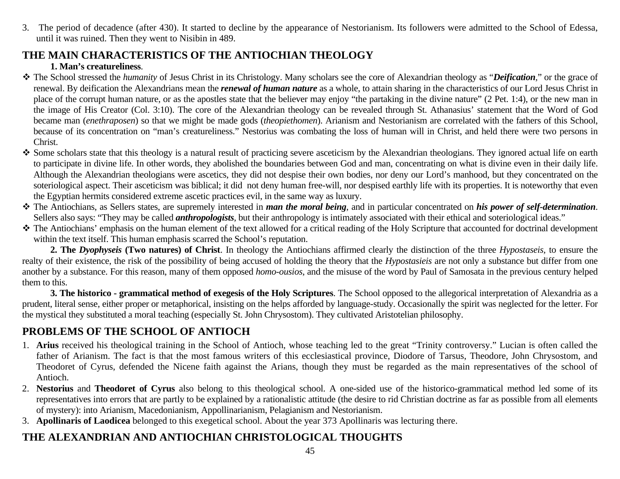3. The period of decadence (after 430). It started to decline by the appearance of Nestorianism. Its followers were admitted to the School of Edessa, until it was ruined. Then they went to Nisibin in 489.

### **THE MAIN CHARACTERISTICS OF THE ANTIOCHIAN THEOLOGY**

#### **1. Man's creatureliness**.

- The School stressed the *humanity* of Jesus Christ in its Christology. Many scholars see the core of Alexandrian theology as "*Deification,*" or the grace of renewal. By deification the Alexandrians mean the *renewal of human nature* as a whole, to attain sharing in the characteristics of our Lord Jesus Christ in place of the corrupt human nature, or as the apostles state that the believer may enjoy "the partaking in the divine nature" (2 Pet. 1:4), or the new man in the image of His Creator (Col. 3:10). The core of the Alexandrian theology can be revealed through St. Athanasius' statement that the Word of God became man (*enethraposen*) so that we might be made gods (*theopiethomen*). Arianism and Nestorianism are correlated with the fathers of this School, because of its concentration on "man's creatureliness." Nestorius was combating the loss of human will in Christ, and held there were two persons in Christ.
- Some scholars state that this theology is a natural result of practicing severe asceticism by the Alexandrian theologians. They ignored actual life on earth to participate in divine life. In other words, they abolished the boundaries between God and man, concentrating on what is divine even in their daily life. Although the Alexandrian theologians were ascetics, they did not despise their own bodies, nor deny our Lord's manhood, but they concentrated on the soteriological aspect. Their asceticism was biblical; it did not deny human free-will, nor despised earthly life with its properties. It is noteworthy that even the Egyptian hermits considered extreme ascetic practices evil, in the same way as luxury.
- The Antiochians, as Sellers states, are supremely interested in *man the moral being*, and in particular concentrated on *his power of self-determination*. Sellers also says: "They may be called *anthropologists*, but their anthropology is intimately associated with their ethical and soteriological ideas."
- The Antiochians' emphasis on the human element of the text allowed for a critical reading of the Holy Scripture that accounted for doctrinal development within the text itself. This human emphasis scarred the School's reputation.

**2. The** *Dyophyseis* **(Two natures) of Christ**. In theology the Antiochians affirmed clearly the distinction of the three *Hypostaseis,* to ensure the realty of their existence, the risk of the possibility of being accused of holding the theory that the *Hypostasieis* are not only a substance but differ from one another by a substance. For this reason, many of them opposed *homo-ousios*, and the misuse of the word by Paul of Samosata in the previous century helped them to this.

**3. The historico - grammatical method of exegesis of the Holy Scriptures**. The School opposed to the allegorical interpretation of Alexandria as a prudent, literal sense, either proper or metaphorical, insisting on the helps afforded by language-study. Occasionally the spirit was neglected for the letter. For the mystical they substituted a moral teaching (especially St. John Chrysostom). They cultivated Aristotelian philosophy.

## **PROBLEMS OF THE SCHOOL OF ANTIOCH**

- 1. **Arius** received his theological training in the School of Antioch, whose teaching led to the great "Trinity controversy." Lucian is often called the father of Arianism. The fact is that the most famous writers of this ecclesiastical province, Diodore of Tarsus, Theodore, John Chrysostom, and Theodoret of Cyrus, defended the Nicene faith against the Arians, though they must be regarded as the main representatives of the school of Antioch.
- 2. **Nestorius** and **Theodoret of Cyrus** also belong to this theological school. A one-sided use of the historico-grammatical method led some of its representatives into errors that are partly to be explained by a rationalistic attitude (the desire to rid Christian doctrine as far as possible from all elements of mystery): into Arianism, Macedonianism, Appollinarianism, Pelagianism and Nestorianism.
- 3. **Apollinaris of Laodicea** belonged to this exegetical school. About the year 373 Apollinaris was lecturing there.

# **THE ALEXANDRIAN AND ANTIOCHIAN CHRISTOLOGICAL THOUGHTS**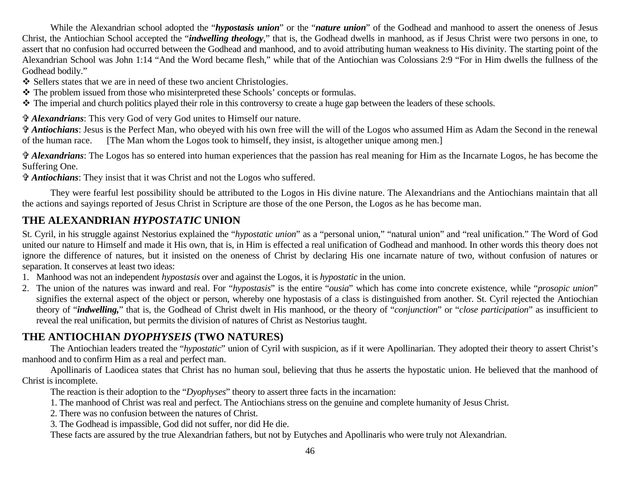While the Alexandrian school adopted the "*hypostasis union*" or the "*nature union*" of the Godhead and manhood to assert the oneness of Jesus Christ, the Antiochian School accepted the "*indwelling theology*," that is, the Godhead dwells in manhood, as if Jesus Christ were two persons in one, to assert that no confusion had occurred between the Godhead and manhood, and to avoid attributing human weakness to His divinity. The starting point of the Alexandrian School was John 1:14 "And the Word became flesh," while that of the Antiochian was Colossians 2:9 "For in Him dwells the fullness of the Godhead bodily."

❖ Sellers states that we are in need of these two ancient Christologies.

The problem issued from those who misinterpreted these Schools' concepts or formulas.

The imperial and church politics played their role in this controversy to create a huge gap between the leaders of these schools.

= *Alexandrians*: This very God of very God unites to Himself our nature.

= *Antiochians*: Jesus is the Perfect Man, who obeyed with his own free will the will of the Logos who assumed Him as Adam the Second in the renewal of the human race. [The Man whom the Logos took to himself, they insist, is altogether unique among men.]

*Alexandrians*: The Logos has so entered into human experiences that the passion has real meaning for Him as the Incarnate Logos, he has become the Suffering One.

= *Antiochians*: They insist that it was Christ and not the Logos who suffered.

 They were fearful lest possibility should be attributed to the Logos in His divine nature. The Alexandrians and the Antiochians maintain that all the actions and sayings reported of Jesus Christ in Scripture are those of the one Person, the Logos as he has become man.

### **THE ALEXANDRIAN** *HYPOSTATIC* **UNION**

St. Cyril, in his struggle against Nestorius explained the "*hypostatic union*" as a "personal union," "natural union" and "real unification." The Word of God united our nature to Himself and made it His own, that is, in Him is effected a real unification of Godhead and manhood. In other words this theory does not ignore the difference of natures, but it insisted on the oneness of Christ by declaring His one incarnate nature of two, without confusion of natures or separation. It conserves at least two ideas:

- 1. Manhood was not an independent *hypostasis* over and against the Logos, it is *hypostatic* in the union.
- 2. The union of the natures was inward and real. For "*hypostasis*" is the entire "*ousia*" which has come into concrete existence, while "*prosopic union*" signifies the external aspect of the object or person, whereby one hypostasis of a class is distinguished from another. St. Cyril rejected the Antiochian theory of "*indwelling,*" that is, the Godhead of Christ dwelt in His manhood, or the theory of "*conjunction*" or "*close participation*" as insufficient to reveal the real unification, but permits the division of natures of Christ as Nestorius taught.

### **THE ANTIOCHIAN** *DYOPHYSEIS* **(TWO NATURES)**

 The Antiochian leaders treated the "*hypostatic*" union of Cyril with suspicion, as if it were Apollinarian. They adopted their theory to assert Christ's manhood and to confirm Him as a real and perfect man.

 Apollinaris of Laodicea states that Christ has no human soul, believing that thus he asserts the hypostatic union. He believed that the manhood of Christ is incomplete.

The reaction is their adoption to the "*Dyophyses*" theory to assert three facts in the incarnation:

- 1. The manhood of Christ was real and perfect. The Antiochians stress on the genuine and complete humanity of Jesus Christ.
- 2. There was no confusion between the natures of Christ.
	- 3. The Godhead is impassible, God did not suffer, nor did He die.

These facts are assured by the true Alexandrian fathers, but not by Eutyches and Apollinaris who were truly not Alexandrian.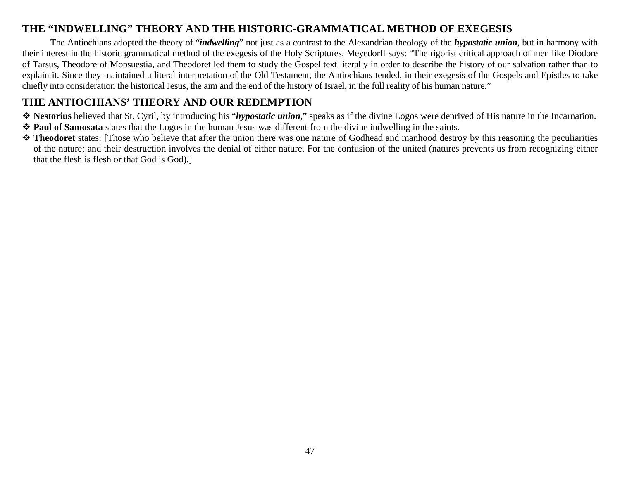### **THE "INDWELLING" THEORY AND THE HISTORIC-GRAMMATICAL METHOD OF EXEGESIS**

 The Antiochians adopted the theory of "*indwelling*" not just as a contrast to the Alexandrian theology of the *hypostatic union*, but in harmony with their interest in the historic grammatical method of the exegesis of the Holy Scriptures. Meyedorff says: "The rigorist critical approach of men like Diodore of Tarsus, Theodore of Mopsuestia, and Theodoret led them to study the Gospel text literally in order to describe the history of our salvation rather than to explain it. Since they maintained a literal interpretation of the Old Testament, the Antiochians tended, in their exegesis of the Gospels and Epistles to take chiefly into consideration the historical Jesus, the aim and the end of the history of Israel, in the full reality of his human nature."

### **THE ANTIOCHIANS' THEORY AND OUR REDEMPTION**

- **Nestorius** believed that St. Cyril, by introducing his "*hypostatic union*," speaks as if the divine Logos were deprived of His nature in the Incarnation.
- **Paul of Samosata** states that the Logos in the human Jesus was different from the divine indwelling in the saints.
- $\triangle$  **Theodoret** states: [Those who believe that after the union there was one nature of Godhead and manhood destroy by this reasoning the peculiarities of the nature; and their destruction involves the denial of either nature. For the confusion of the united (natures prevents us from recognizing either that the flesh is flesh or that God is God).]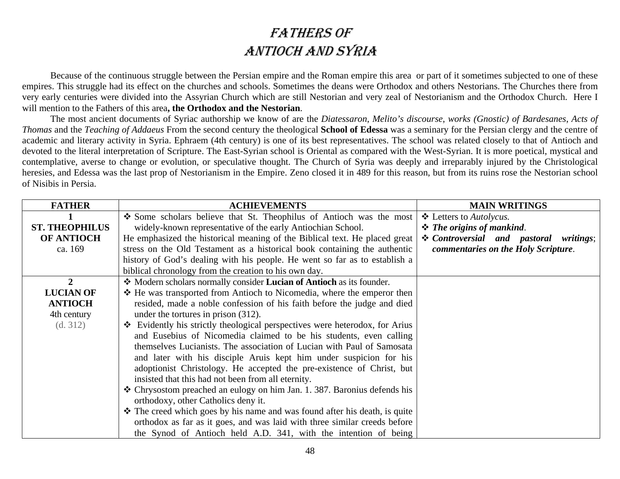# FATHERS OF ANTIOCH AND SYRIA

Because of the continuous struggle between the Persian empire and the Roman empire this area or part of it sometimes subjected to one of these empires. This struggle had its effect on the churches and schools. Sometimes the deans were Orthodox and others Nestorians. The Churches there from very early centuries were divided into the Assyrian Church which are still Nestorian and very zeal of Nestorianism and the Orthodox Church. Here I will mention to the Fathers of this area**, the Orthodox and the Nestorian**.

The most ancient documents of Syriac authorship we know of are the *Diatessaron*, *Melito's discourse*, *works (Gnostic) of Bardesanes*, *Acts of Thomas* and the *Teaching of Addaeus* From the second century the theological **School of Edessa** was a seminary for the Persian clergy and the centre of academic and literary activity in Syria. Ephraem (4th century) is one of its best representatives. The school was related closely to that of Antioch and devoted to the literal interpretation of Scripture. The East-Syrian school is Oriental as compared with the West-Syrian. It is more poetical, mystical and contemplative, averse to change or evolution, or speculative thought. The Church of Syria was deeply and irreparably injured by the Christological heresies, and Edessa was the last prop of Nestorianism in the Empire. Zeno closed it in 489 for this reason, but from its ruins rose the Nestorian school of Nisibis in Persia.

| <b>FATHER</b>         | <b>ACHIEVEMENTS</b>                                                                   | <b>MAIN WRITINGS</b>                   |
|-----------------------|---------------------------------------------------------------------------------------|----------------------------------------|
|                       | Some scholars believe that St. Theophilus of Antioch was the most                     | ❖ Letters to <i>Autolycus</i> .        |
| <b>ST. THEOPHILUS</b> | widely-known representative of the early Antiochian School.                           | $\div$ The origins of mankind.         |
| <b>OF ANTIOCH</b>     | He emphasized the historical meaning of the Biblical text. He placed great            | * Controversial and pastoral writings; |
| ca. 169               | stress on the Old Testament as a historical book containing the authentic             | commentaries on the Holy Scripture.    |
|                       | history of God's dealing with his people. He went so far as to establish a            |                                        |
|                       | biblical chronology from the creation to his own day.                                 |                                        |
| 2                     | Modern scholars normally consider Lucian of Antioch as its founder.                   |                                        |
| <b>LUCIAN OF</b>      | ❖ He was transported from Antioch to Nicomedia, where the emperor then                |                                        |
| <b>ANTIOCH</b>        | resided, made a noble confession of his faith before the judge and died               |                                        |
| 4th century           | under the tortures in prison (312).                                                   |                                        |
| (d. 312)              | $\triangle$ Evidently his strictly theological perspectives were heterodox, for Arius |                                        |
|                       | and Eusebius of Nicomedia claimed to be his students, even calling                    |                                        |
|                       | themselves Lucianists. The association of Lucian with Paul of Samosata                |                                        |
|                       | and later with his disciple Aruis kept him under suspicion for his                    |                                        |
|                       | adoptionist Christology. He accepted the pre-existence of Christ, but                 |                                        |
|                       | insisted that this had not been from all eternity.                                    |                                        |
|                       | * Chrysostom preached an eulogy on him Jan. 1. 387. Baronius defends his              |                                        |
|                       | orthodoxy, other Catholics deny it.                                                   |                                        |
|                       | $\cdot$ The creed which goes by his name and was found after his death, is quite      |                                        |
|                       | orthodox as far as it goes, and was laid with three similar creeds before             |                                        |
|                       | the Synod of Antioch held A.D. 341, with the intention of being                       |                                        |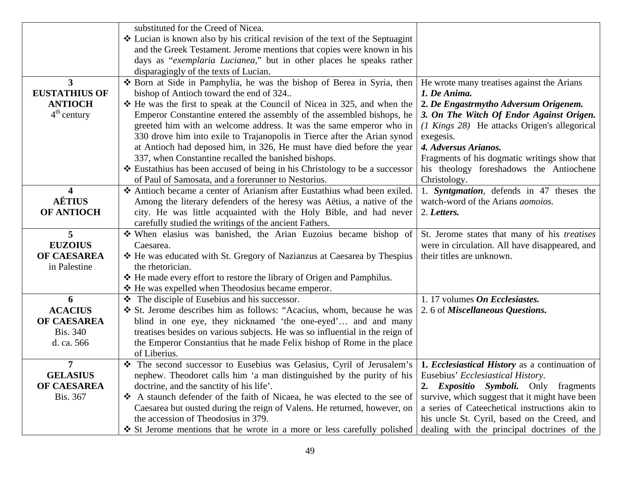|                      | substituted for the Creed of Nicea.                                                                                  |                                                     |
|----------------------|----------------------------------------------------------------------------------------------------------------------|-----------------------------------------------------|
|                      | ❖ Lucian is known also by his critical revision of the text of the Septuagint                                        |                                                     |
|                      | and the Greek Testament. Jerome mentions that copies were known in his                                               |                                                     |
|                      | days as "exemplaria Lucianea," but in other places he speaks rather                                                  |                                                     |
|                      | disparagingly of the texts of Lucian.                                                                                |                                                     |
| 3                    | * Born at Side in Pamphylia, he was the bishop of Berea in Syria, then                                               | He wrote many treatises against the Arians          |
| <b>EUSTATHIUS OF</b> | bishop of Antioch toward the end of 324                                                                              | 1. De Anima.                                        |
| <b>ANTIOCH</b>       | $\div$ He was the first to speak at the Council of Nicea in 325, and when the                                        | 2. De Engastrmytho Adversum Origenem.               |
| $4th$ century        | Emperor Constantine entered the assembly of the assembled bishops, he                                                | 3. On The Witch Of Endor Against Origen.            |
|                      |                                                                                                                      |                                                     |
|                      | greeted him with an welcome address. It was the same emperor who in                                                  | (1 Kings 28) He attacks Origen's allegorical        |
|                      | 330 drove him into exile to Trajanopolis in Tierce after the Arian synod                                             | exegesis.                                           |
|                      | at Antioch had deposed him, in 326, He must have died before the year                                                | 4. Adversus Arianos.                                |
|                      | 337, when Constantine recalled the banished bishops.                                                                 | Fragments of his dogmatic writings show that        |
|                      | * Eustathius has been accused of being in his Christology to be a successor                                          | his theology foreshadows the Antiochene             |
|                      | of Paul of Samosata, and a forerunner to Nestorius.                                                                  | Christology.                                        |
| 4                    | Antioch became a center of Arianism after Eustathius whad been exiled.                                               | 1. Syntgmation, defends in 47 theses the            |
| <b>AËTIUS</b>        | Among the literary defenders of the heresy was Aëtius, a native of the                                               | watch-word of the Arians <i>aomoios</i> .           |
| <b>OF ANTIOCH</b>    | city. He was little acquainted with the Holy Bible, and had never                                                    | 2. Letters.                                         |
|                      | carefully studied the writings of the ancient Fathers.                                                               |                                                     |
| 5                    | When elasius was banished, the Arian Euzoius became bishop of                                                        | St. Jerome states that many of his <i>treatises</i> |
| <b>EUZOIUS</b>       | Caesarea.                                                                                                            | were in circulation. All have disappeared, and      |
| OF CAESAREA          | * He was educated with St. Gregory of Nazianzus at Caesarea by Thespius                                              | their titles are unknown.                           |
| in Palestine         | the rhetorician.                                                                                                     |                                                     |
|                      | * He made every effort to restore the library of Origen and Pamphilus.                                               |                                                     |
|                      | ❖ He was expelled when Theodosius became emperor.                                                                    |                                                     |
| 6                    | $\bullet$ The disciple of Eusebius and his successor.                                                                | 1.17 volumes On Ecclesiastes.                       |
| <b>ACACIUS</b>       | ❖ St. Jerome describes him as follows: "Acacius, whom, because he was                                                | 2.6 of Miscellaneous Questions.                     |
| OF CAESAREA          | blind in one eye, they nicknamed 'the one-eyed' and and many                                                         |                                                     |
| <b>Bis. 340</b>      | treatises besides on various subjects. He was so influential in the reign of                                         |                                                     |
| d. ca. 566           | the Emperor Constantius that he made Felix bishop of Rome in the place                                               |                                                     |
|                      | of Liberius.                                                                                                         |                                                     |
| 7                    | The second successor to Eusebius was Gelasius, Cyril of Jerusalem's   1. Ecclesiastical History as a continuation of |                                                     |
| <b>GELASIUS</b>      | nephew. Theodoret calls him 'a man distinguished by the purity of his                                                | Eusebius' Ecclesiastical History.                   |
| OF CAESAREA          | doctrine, and the sanctity of his life'.                                                                             | 2. Expositio Symboli. Only<br>fragments             |
| <b>Bis. 367</b>      | A staunch defender of the faith of Nicaea, he was elected to the see of                                              | survive, which suggest that it might have been      |
|                      | Caesarea but ousted during the reign of Valens. He returned, however, on                                             | a series of Cateechetical instructions akin to      |
|                      | the accession of Theodosius in 379.                                                                                  | his uncle St. Cyril, based on the Creed, and        |
|                      | ❖ St Jerome mentions that he wrote in a more or less carefully polished                                              | dealing with the principal doctrines of the         |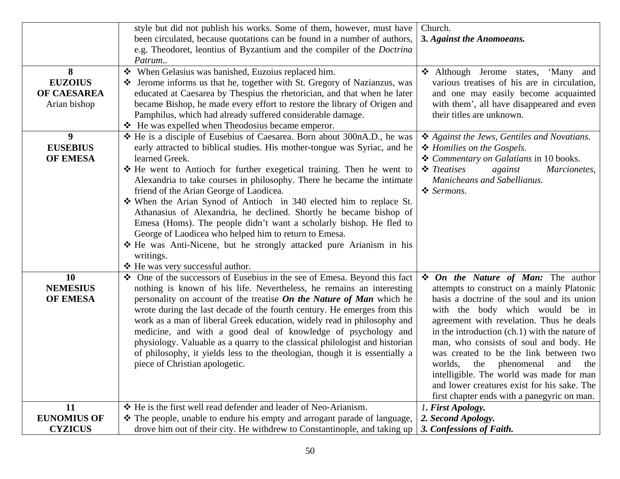|                    | style but did not publish his works. Some of them, however, must have         | Church.                                       |
|--------------------|-------------------------------------------------------------------------------|-----------------------------------------------|
|                    | been circulated, because quotations can be found in a number of authors,      | 3. Against the Anomoeans.                     |
|                    | e.g. Theodoret, leontius of Byzantium and the compiler of the <i>Doctrina</i> |                                               |
|                    | Patrum                                                                        |                                               |
| 8                  | ❖ When Gelasius was banished, Euzoius replaced him.                           | Although Jerome states, 'Many and             |
| <b>EUZOIUS</b>     | ❖ Jerome informs us that he, together with St. Gregory of Nazianzus, was      | various treatises of his are in circulation,  |
| OF CAESAREA        | educated at Caesarea by Thespius the rhetorician, and that when he later      | and one may easily become acquainted          |
| Arian bishop       | became Bishop, he made every effort to restore the library of Origen and      | with them', all have disappeared and even     |
|                    | Pamphilus, which had already suffered considerable damage.                    | their titles are unknown.                     |
|                    | ❖ He was expelled when Theodosius became emperor.                             |                                               |
| 9                  | ❖ He is a disciple of Eusebius of Caesarea. Born about 300nA.D., he was       | ❖ Against the Jews, Gentiles and Novatians.   |
| <b>EUSEBIUS</b>    | early attracted to biblical studies. His mother-tongue was Syriac, and he     | ❖ Homilies on the Gospels.                    |
| <b>OF EMESA</b>    | learned Greek.                                                                | ❖ Commentary on Galatians in 10 books.        |
|                    | ❖ He went to Antioch for further exegetical training. Then he went to         | $\div$ Treatises<br>against<br>Marcionetes,   |
|                    | Alexandria to take courses in philosophy. There he became the intimate        | Manicheans and Sabellianus.                   |
|                    | friend of the Arian George of Laodicea.                                       | ❖ Sermons.                                    |
|                    | When the Arian Synod of Antioch in 340 elected him to replace St.             |                                               |
|                    | Athanasius of Alexandria, he declined. Shortly he became bishop of            |                                               |
|                    | Emesa (Homs). The people didn't want a scholarly bishop. He fled to           |                                               |
|                    | George of Laodicea who helped him to return to Emesa.                         |                                               |
|                    | * He was Anti-Nicene, but he strongly attacked pure Arianism in his           |                                               |
|                    | writings.                                                                     |                                               |
|                    | ❖ He was very successful author.                                              |                                               |
| <b>10</b>          | • One of the successors of Eusebius in the see of Emesa. Beyond this fact     | $\div$ On the Nature of Man: The author       |
| <b>NEMESIUS</b>    | nothing is known of his life. Nevertheless, he remains an interesting         | attempts to construct on a mainly Platonic    |
| OF EMESA           | personality on account of the treatise On the Nature of Man which he          | basis a doctrine of the soul and its union    |
|                    | wrote during the last decade of the fourth century. He emerges from this      | with the body which would be in               |
|                    | work as a man of liberal Greek education, widely read in philosophy and       | agreement with revelation. Thus he deals      |
|                    | medicine, and with a good deal of knowledge of psychology and                 | in the introduction (ch.1) with the nature of |
|                    | physiology. Valuable as a quarry to the classical philologist and historian   | man, who consists of soul and body. He        |
|                    | of philosophy, it yields less to the theologian, though it is essentially a   | was created to be the link between two        |
|                    | piece of Christian apologetic.                                                | worlds,<br>the phenomenal<br>and<br>the       |
|                    |                                                                               | intelligible. The world was made for man      |
|                    |                                                                               | and lower creatures exist for his sake. The   |
|                    |                                                                               | first chapter ends with a panegyric on man.   |
| 11                 | ❖ He is the first well read defender and leader of Neo-Arianism.              | 1. First Apology.                             |
| <b>EUNOMIUS OF</b> | ❖ The people, unable to endure his empty and arrogant parade of language,     | 2. Second Apology.                            |
| <b>CYZICUS</b>     | drove him out of their city. He withdrew to Constantinople, and taking up     | 3. Confessions of Faith.                      |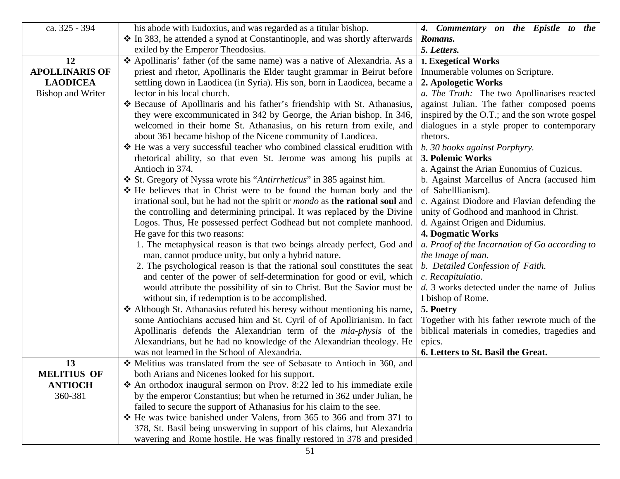| ca. 325 - 394            | his abode with Eudoxius, and was regarded as a titular bishop.                             | 4. Commentary on the Epistle to the            |
|--------------------------|--------------------------------------------------------------------------------------------|------------------------------------------------|
|                          | ❖ In 383, he attended a synod at Constantinople, and was shortly afterwards                | Romans.                                        |
|                          | exiled by the Emperor Theodosius.                                                          | 5. Letters.                                    |
| 12                       | ❖ Apollinaris' father (of the same name) was a native of Alexandria. As a                  | 1. Exegetical Works                            |
| <b>APOLLINARIS OF</b>    | priest and rhetor, Apollinaris the Elder taught grammar in Beirut before                   | Innumerable volumes on Scripture.              |
| <b>LAODICEA</b>          | settling down in Laodicea (in Syria). His son, born in Laodicea, became a                  | 2. Apologetic Works                            |
| <b>Bishop and Writer</b> | lector in his local church.                                                                | a. The Truth: The two Apollinarises reacted    |
|                          | * Because of Apollinaris and his father's friendship with St. Athanasius,                  | against Julian. The father composed poems      |
|                          | they were excommunicated in 342 by George, the Arian bishop. In 346,                       | inspired by the O.T.; and the son wrote gospel |
|                          | welcomed in their home St. Athanasius, on his return from exile, and                       | dialogues in a style proper to contemporary    |
|                          | about 361 became bishop of the Nicene community of Laodicea.                               | rhetors.                                       |
|                          | ❖ He was a very successful teacher who combined classical erudition with                   | b. 30 books against Porphyry.                  |
|                          | rhetorical ability, so that even St. Jerome was among his pupils at                        | 3. Polemic Works                               |
|                          | Antioch in 374.                                                                            | a. Against the Arian Eunomius of Cuzicus.      |
|                          | ❖ St. Gregory of Nyssa wrote his "Antirrheticus" in 385 against him.                       | b. Against Marcellus of Ancra (accused him     |
|                          | * He believes that in Christ were to be found the human body and the                       | of Sabelllianism).                             |
|                          | irrational soul, but he had not the spirit or <i>mondo</i> as <b>the rational soul</b> and | c. Against Diodore and Flavian defending the   |
|                          | the controlling and determining principal. It was replaced by the Divine                   | unity of Godhood and manhood in Christ.        |
|                          | Logos. Thus, He possessed perfect Godhead but not complete manhood.                        | d. Against Origen and Didumius.                |
|                          | He gave for this two reasons:                                                              | <b>4. Dogmatic Works</b>                       |
|                          | 1. The metaphysical reason is that two beings already perfect, God and                     | a. Proof of the Incarnation of Go according to |
|                          | man, cannot produce unity, but only a hybrid nature.                                       | the Image of man.                              |
|                          | 2. The psychological reason is that the rational soul constitutes the seat                 | b. Detailed Confession of Faith.               |
|                          | and center of the power of self-determination for good or evil, which                      | c. Recapitulatio.                              |
|                          | would attribute the possibility of sin to Christ. But the Savior must be                   | d. 3 works detected under the name of Julius   |
|                          | without sin, if redemption is to be accomplished.                                          | I bishop of Rome.                              |
|                          | Although St. Athanasius refuted his heresy without mentioning his name,                    | 5. Poetry                                      |
|                          | some Antiochians accused him and St. Cyril of of Apollirianism. In fact                    | Together with his father rewrote much of the   |
|                          | Apollinaris defends the Alexandrian term of the <i>mia-physis</i> of the                   | biblical materials in comedies, tragedies and  |
|                          | Alexandrians, but he had no knowledge of the Alexandrian theology. He                      | epics.                                         |
|                          | was not learned in the School of Alexandria.                                               | 6. Letters to St. Basil the Great.             |
| 13                       | ❖ Melitius was translated from the see of Sebasate to Antioch in 360, and                  |                                                |
| <b>MELITIUS OF</b>       | both Arians and Nicenes looked for his support.                                            |                                                |
| <b>ANTIOCH</b>           | $\triangle$ An orthodox inaugural sermon on Prov. 8:22 led to his immediate exile          |                                                |
| 360-381                  | by the emperor Constantius; but when he returned in 362 under Julian, he                   |                                                |
|                          | failed to secure the support of Athanasius for his claim to the see.                       |                                                |
|                          | * He was twice banished under Valens, from 365 to 366 and from 371 to                      |                                                |
|                          | 378, St. Basil being unswerving in support of his claims, but Alexandria                   |                                                |
|                          | wavering and Rome hostile. He was finally restored in 378 and presided                     |                                                |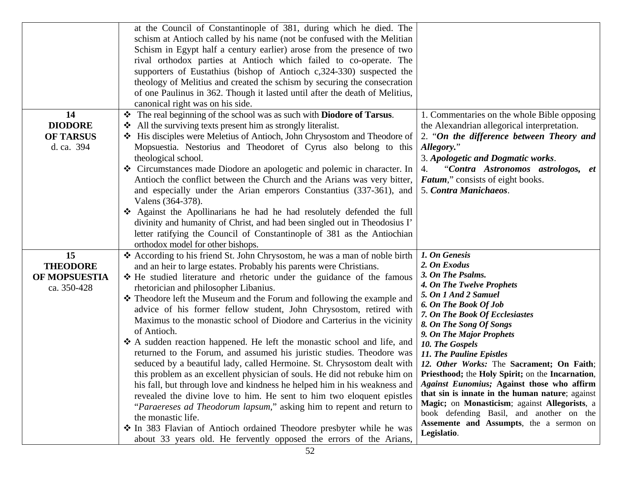|                                                        | at the Council of Constantinople of 381, during which he died. The<br>schism at Antioch called by his name (not be confused with the Melitian<br>Schism in Egypt half a century earlier) arose from the presence of two<br>rival orthodox parties at Antioch which failed to co-operate. The<br>supporters of Eustathius (bishop of Antioch c, 324-330) suspected the<br>theology of Melitius and created the schism by securing the consecration<br>of one Paulinus in 362. Though it lasted until after the death of Melitius,<br>canonical right was on his side.                                                                                                                                                                                                                                                                                                                                                                                                                                                                                                                                                                                                                                                        |                                                                                                                                                                                                                                                                                                                                                                                                                                                                                                                                                                                                                                          |
|--------------------------------------------------------|-----------------------------------------------------------------------------------------------------------------------------------------------------------------------------------------------------------------------------------------------------------------------------------------------------------------------------------------------------------------------------------------------------------------------------------------------------------------------------------------------------------------------------------------------------------------------------------------------------------------------------------------------------------------------------------------------------------------------------------------------------------------------------------------------------------------------------------------------------------------------------------------------------------------------------------------------------------------------------------------------------------------------------------------------------------------------------------------------------------------------------------------------------------------------------------------------------------------------------|------------------------------------------------------------------------------------------------------------------------------------------------------------------------------------------------------------------------------------------------------------------------------------------------------------------------------------------------------------------------------------------------------------------------------------------------------------------------------------------------------------------------------------------------------------------------------------------------------------------------------------------|
| 14<br><b>DIODORE</b><br><b>OF TARSUS</b><br>d. ca. 394 | The real beginning of the school was as such with <b>Diodore of Tarsus</b> .<br>All the surviving texts present him as strongly literalist.<br>❖<br>❖ His disciples were Meletius of Antioch, John Chrysostom and Theodore of<br>Mopsuestia. Nestorius and Theodoret of Cyrus also belong to this<br>theological school.<br>Circumstances made Diodore an apologetic and polemic in character. In<br>Antioch the conflict between the Church and the Arians was very bitter,<br>and especially under the Arian emperors Constantius (337-361), and<br>Valens (364-378).<br>Against the Apollinarians he had he had resolutely defended the full<br>divinity and humanity of Christ, and had been singled out in Theodosius I'<br>letter ratifying the Council of Constantinople of 381 as the Antiochian<br>orthodox model for other bishops.                                                                                                                                                                                                                                                                                                                                                                               | 1. Commentaries on the whole Bible opposing<br>the Alexandrian allegorical interpretation.<br>2. "On the difference between Theory and<br>Allegory."<br>3. Apologetic and Dogmatic works.<br>"Contra Astronomos astrologos, et<br>4.<br>Fatum," consists of eight books.<br>5. Contra Manichaeos.                                                                                                                                                                                                                                                                                                                                        |
| 15<br><b>THEODORE</b><br>OF MOPSUESTIA<br>ca. 350-428  | * According to his friend St. John Chrysostom, he was a man of noble birth<br>and an heir to large estates. Probably his parents were Christians.<br>* He studied literature and rhetoric under the guidance of the famous<br>rhetorician and philosopher Libanius.<br>* Theodore left the Museum and the Forum and following the example and<br>advice of his former fellow student, John Chrysostom, retired with<br>Maximus to the monastic school of Diodore and Carterius in the vicinity<br>of Antioch.<br>❖ A sudden reaction happened. He left the monastic school and life, and<br>returned to the Forum, and assumed his juristic studies. Theodore was<br>seduced by a beautiful lady, called Hermoine. St. Chrysostom dealt with<br>this problem as an excellent physician of souls. He did not rebuke him on<br>his fall, but through love and kindness he helped him in his weakness and<br>revealed the divine love to him. He sent to him two eloquent epistles<br>"Paraereses ad Theodorum lapsum," asking him to repent and return to<br>the monastic life.<br>• In 383 Flavian of Antioch ordained Theodore presbyter while he was<br>about 33 years old. He fervently opposed the errors of the Arians, | 1. On Genesis<br>2. On Exodus<br>3. On The Psalms.<br>4. On The Twelve Prophets<br>5. On 1 And 2 Samuel<br><b>6. On The Book Of Job</b><br>7. On The Book Of Ecclesiastes<br>8. On The Song Of Songs<br>9. On The Major Prophets<br>10. The Gospels<br>11. The Pauline Epistles<br>12. Other Works: The Sacrament; On Faith;<br>Priesthood; the Holy Spirit; on the Incarnation,<br>Against Eunomius; Against those who affirm<br>that sin is innate in the human nature; against<br>Magic; on Monasticism; against Allegorists, a<br>book defending Basil, and another on the<br>Assemente and Assumpts, the a sermon on<br>Legislatio. |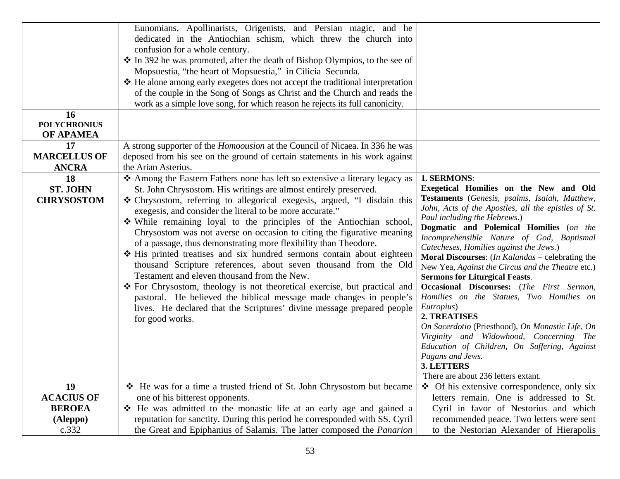|                                               | Eunomians, Apollinarists, Origenists, and Persian magic, and he<br>dedicated in the Antiochian schism, which threw the church into<br>confusion for a whole century.<br>* In 392 he was promoted, after the death of Bishop Olympios, to the see of<br>Mopsuestia, "the heart of Mopsuestia," in Cilicia Secunda.<br>❖ He alone among early exegetes does not accept the traditional interpretation<br>of the couple in the Song of Songs as Christ and the Church and reads the<br>work as a simple love song, for which reason he rejects its full canonicity.                                                                                                                                                                                                                                                                                                                                                                                         |                                                                                                                                                                                                                                                                                                                                                                                                                                                                                                                                                                                                                                                                                                                                                                                                                                          |
|-----------------------------------------------|----------------------------------------------------------------------------------------------------------------------------------------------------------------------------------------------------------------------------------------------------------------------------------------------------------------------------------------------------------------------------------------------------------------------------------------------------------------------------------------------------------------------------------------------------------------------------------------------------------------------------------------------------------------------------------------------------------------------------------------------------------------------------------------------------------------------------------------------------------------------------------------------------------------------------------------------------------|------------------------------------------------------------------------------------------------------------------------------------------------------------------------------------------------------------------------------------------------------------------------------------------------------------------------------------------------------------------------------------------------------------------------------------------------------------------------------------------------------------------------------------------------------------------------------------------------------------------------------------------------------------------------------------------------------------------------------------------------------------------------------------------------------------------------------------------|
| 16<br><b>POLYCHRONIUS</b><br><b>OF APAMEA</b> |                                                                                                                                                                                                                                                                                                                                                                                                                                                                                                                                                                                                                                                                                                                                                                                                                                                                                                                                                          |                                                                                                                                                                                                                                                                                                                                                                                                                                                                                                                                                                                                                                                                                                                                                                                                                                          |
| 17<br><b>MARCELLUS OF</b><br><b>ANCRA</b>     | A strong supporter of the <i>Homoousion</i> at the Council of Nicaea. In 336 he was<br>deposed from his see on the ground of certain statements in his work against<br>the Arian Asterius.                                                                                                                                                                                                                                                                                                                                                                                                                                                                                                                                                                                                                                                                                                                                                               |                                                                                                                                                                                                                                                                                                                                                                                                                                                                                                                                                                                                                                                                                                                                                                                                                                          |
| 18<br><b>ST. JOHN</b><br><b>CHRYSOSTOM</b>    | ❖ Among the Eastern Fathers none has left so extensive a literary legacy as<br>St. John Chrysostom. His writings are almost entirely preserved.<br>* Chrysostom, referring to allegorical exegesis, argued, "I disdain this<br>exegesis, and consider the literal to be more accurate."<br>While remaining loyal to the principles of the Antiochian school,<br>Chrysostom was not averse on occasion to citing the figurative meaning<br>of a passage, thus demonstrating more flexibility than Theodore.<br>* His printed treatises and six hundred sermons contain about eighteen<br>thousand Scripture references, about seven thousand from the Old<br>Testament and eleven thousand from the New.<br>❖ For Chrysostom, theology is not theoretical exercise, but practical and<br>pastoral. He believed the biblical message made changes in people's<br>lives. He declared that the Scriptures' divine message prepared people<br>for good works. | 1. SERMONS:<br>Exegetical Homilies on the New and Old<br>Testaments (Genesis, psalms, Isaiah, Matthew,<br>John, Acts of the Apostles, all the epistles of St.<br>Paul including the Hebrews.)<br>Dogmatic and Polemical Homilies (on the<br>Incomprehensible Nature of God, Baptismal<br>Catecheses, Homilies against the Jews.)<br><b>Moral Discourses:</b> (In Kalandas – celebrating the<br>New Yea, Against the Circus and the Theatre etc.)<br><b>Sermons for Liturgical Feasts.</b><br>Occasional Discourses: (The First Sermon,<br>Homilies on the Statues, Two Homilies on<br>Eutropius)<br>2. TREATISES<br>On Sacerdotio (Priesthood), On Monastic Life, On<br>Virginity and Widowhood, Concerning The<br>Education of Children, On Suffering, Against<br>Pagans and Jews.<br>3. LETTERS<br>There are about 236 letters extant. |
| 19<br><b>ACACIUS OF</b>                       | ❖ He was for a time a trusted friend of St. John Chrysostom but became<br>one of his bitterest opponents.                                                                                                                                                                                                                                                                                                                                                                                                                                                                                                                                                                                                                                                                                                                                                                                                                                                | $\triangleleft$ Of his extensive correspondence, only six<br>letters remain. One is addressed to St.                                                                                                                                                                                                                                                                                                                                                                                                                                                                                                                                                                                                                                                                                                                                     |
| <b>BEROEA</b><br>(Aleppo)<br>c.332            | ❖ He was admitted to the monastic life at an early age and gained a<br>reputation for sanctity. During this period he corresponded with SS. Cyril<br>the Great and Epiphanius of Salamis. The latter composed the <i>Panarion</i>                                                                                                                                                                                                                                                                                                                                                                                                                                                                                                                                                                                                                                                                                                                        | Cyril in favor of Nestorius and which<br>recommended peace. Two letters were sent<br>to the Nestorian Alexander of Hierapolis                                                                                                                                                                                                                                                                                                                                                                                                                                                                                                                                                                                                                                                                                                            |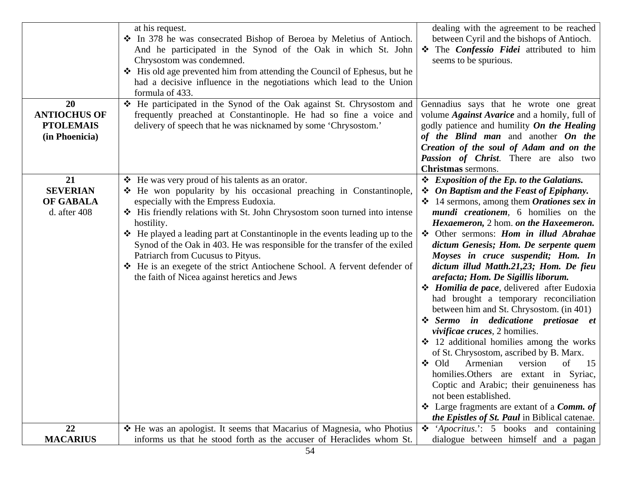|                                                                 | at his request.<br>In 378 he was consecrated Bishop of Beroea by Meletius of Antioch.<br>And he participated in the Synod of the Oak in which St. John<br>Chrysostom was condemned.<br>❖ His old age prevented him from attending the Council of Ephesus, but he<br>had a decisive influence in the negotiations which lead to the Union<br>formula of 433.                                                                                                                                                                                                                              | dealing with the agreement to be reached<br>between Cyril and the bishops of Antioch.<br>The Confessio Fidei attributed to him<br>seems to be spurious.                                                                                                                                                                                                                                                                                                                                                                                                                                                                                                                                                                                                                                                                                                                                                                                                                                                                                                |
|-----------------------------------------------------------------|------------------------------------------------------------------------------------------------------------------------------------------------------------------------------------------------------------------------------------------------------------------------------------------------------------------------------------------------------------------------------------------------------------------------------------------------------------------------------------------------------------------------------------------------------------------------------------------|--------------------------------------------------------------------------------------------------------------------------------------------------------------------------------------------------------------------------------------------------------------------------------------------------------------------------------------------------------------------------------------------------------------------------------------------------------------------------------------------------------------------------------------------------------------------------------------------------------------------------------------------------------------------------------------------------------------------------------------------------------------------------------------------------------------------------------------------------------------------------------------------------------------------------------------------------------------------------------------------------------------------------------------------------------|
| 20<br><b>ANTIOCHUS OF</b><br><b>PTOLEMAIS</b><br>(in Phoenicia) | ❖ He participated in the Synod of the Oak against St. Chrysostom and<br>frequently preached at Constantinople. He had so fine a voice and<br>delivery of speech that he was nicknamed by some 'Chrysostom.'                                                                                                                                                                                                                                                                                                                                                                              | Gennadius says that he wrote one great<br>volume <i>Against Avarice</i> and a homily, full of<br>godly patience and humility On the Healing<br>of the Blind man and another On the<br>Creation of the soul of Adam and on the<br><b>Passion of Christ.</b> There are also two<br>Christmas sermons.                                                                                                                                                                                                                                                                                                                                                                                                                                                                                                                                                                                                                                                                                                                                                    |
| 21<br><b>SEVERIAN</b><br><b>OF GABALA</b><br>d. after 408       | ❖ He was very proud of his talents as an orator.<br>• He won popularity by his occasional preaching in Constantinople,<br>especially with the Empress Eudoxia.<br>His friendly relations with St. John Chrysostom soon turned into intense<br>hostility.<br>❖ He played a leading part at Constantinople in the events leading up to the<br>Synod of the Oak in 403. He was responsible for the transfer of the exiled<br>Patriarch from Cucusus to Pityus.<br>❖ He is an exegete of the strict Antiochene School. A fervent defender of<br>the faith of Nicea against heretics and Jews | ❖ Exposition of the Ep. to the Galatians.<br>$\div$ On Baptism and the Feast of Epiphany.<br>$\div$ 14 sermons, among them <i>Orationes sex in</i><br><i>mundi creationem</i> , 6 homilies on the<br>Hexaemeron, 2 hom. on the Haxeemeron.<br>❖ Other sermons: Hom in illud Abrahae<br>dictum Genesis; Hom. De serpente quem<br>Moyses in cruce suspendit; Hom. In<br>dictum illud Matth.21,23; Hom. De fieu<br>arefacta; Hom. De Sigillis liborum.<br><i><b>❖</b> Homilia de pace</i> , delivered after Eudoxia<br>had brought a temporary reconciliation<br>between him and St. Chrysostom. (in 401)<br>Sermo in dedicatione pretiosae et<br><i>vivificae cruces</i> , 2 homilies.<br>$\div$ 12 additional homilies among the works<br>of St. Chrysostom, ascribed by B. Marx.<br>❖ Old<br>Armenian<br>version<br>of<br>15<br>homilies. Others are extant in Syriac,<br>Coptic and Arabic; their genuineness has<br>not been established.<br>$\div$ Large fragments are extant of a <i>Comm. of</i><br>the Epistles of St. Paul in Biblical catenae. |
| 22<br><b>MACARIUS</b>                                           | * He was an apologist. It seems that Macarius of Magnesia, who Photius<br>informs us that he stood forth as the accuser of Heraclides whom St.                                                                                                                                                                                                                                                                                                                                                                                                                                           | $\triangleleft$ 'Apocritus.': 5 books and containing<br>dialogue between himself and a pagan                                                                                                                                                                                                                                                                                                                                                                                                                                                                                                                                                                                                                                                                                                                                                                                                                                                                                                                                                           |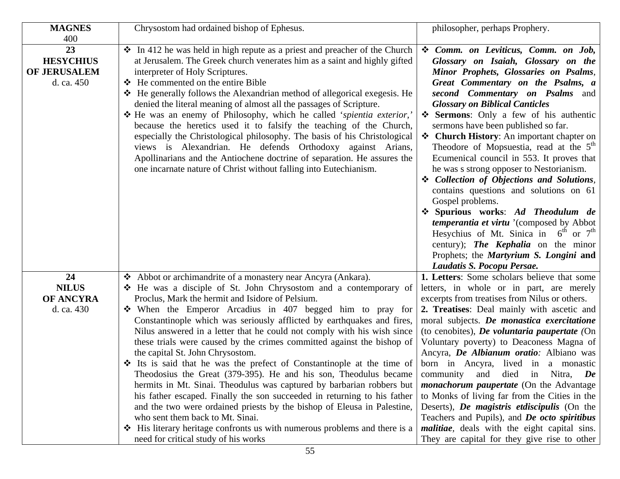| <b>MAGNES</b>                                               | Chrysostom had ordained bishop of Ephesus.                                                                                                                                                                                                                                                                                                                                                                                                                                                                                                                                                                                                                                                                                                                                                                                                                                                                                                                                                                                                                             | philosopher, perhaps Prophery.                                                                                                                                                                                                                                                                                                                                                                                                                                                                                                                                                                                                                                                                                                                                                                                                                                                           |
|-------------------------------------------------------------|------------------------------------------------------------------------------------------------------------------------------------------------------------------------------------------------------------------------------------------------------------------------------------------------------------------------------------------------------------------------------------------------------------------------------------------------------------------------------------------------------------------------------------------------------------------------------------------------------------------------------------------------------------------------------------------------------------------------------------------------------------------------------------------------------------------------------------------------------------------------------------------------------------------------------------------------------------------------------------------------------------------------------------------------------------------------|------------------------------------------------------------------------------------------------------------------------------------------------------------------------------------------------------------------------------------------------------------------------------------------------------------------------------------------------------------------------------------------------------------------------------------------------------------------------------------------------------------------------------------------------------------------------------------------------------------------------------------------------------------------------------------------------------------------------------------------------------------------------------------------------------------------------------------------------------------------------------------------|
| 400<br>23<br><b>HESYCHIUS</b><br>OF JERUSALEM<br>d. ca. 450 | $\cdot$ In 412 he was held in high repute as a priest and preacher of the Church<br>at Jerusalem. The Greek church venerates him as a saint and highly gifted<br>interpreter of Holy Scriptures.<br>❖ He commented on the entire Bible<br>❖ He generally follows the Alexandrian method of allegorical exegesis. He<br>denied the literal meaning of almost all the passages of Scripture.<br>* He was an enemy of Philosophy, which he called 'spientia exterior,'<br>because the heretics used it to falsify the teaching of the Church,<br>especially the Christological philosophy. The basis of his Christological<br>views is Alexandrian. He defends Orthodoxy against Arians,<br>Apollinarians and the Antiochene doctrine of separation. He assures the<br>one incarnate nature of Christ without falling into Eutechianism.                                                                                                                                                                                                                                  | Comm. on Leviticus, Comm. on Job,<br>Glossary on Isaiah, Glossary on the<br>Minor Prophets, Glossaries on Psalms,<br>Great Commentary on the Psalms, a<br>second Commentary on Psalms and<br><b>Glossary on Biblical Canticles</b><br>Sermons: Only a few of his authentic<br>sermons have been published so far.<br>❖ Church History: An important chapter on<br>Theodore of Mopsuestia, read at the 5 <sup>th</sup><br>Ecumenical council in 553. It proves that<br>he was s strong opposer to Nestorianism.<br>❖ Collection of Objections and Solutions,<br>contains questions and solutions on 61<br>Gospel problems.<br>Spurious works: Ad Theodulum de<br><i>temperantia et virtu</i> '(composed by Abbot<br>Hesychius of Mt. Sinica in $6^{th}$ or $7^{th}$<br>century); The Kephalia on the minor<br>Prophets; the <i>Martyrium S. Longini</i> and<br>Laudatis S. Pocopu Persae. |
| 24<br><b>NILUS</b><br><b>OF ANCYRA</b><br>d. ca. 430        | ❖ Abbot or archimandrite of a monastery near Ancyra (Ankara).<br>He was a disciple of St. John Chrysostom and a contemporary of<br>Proclus, Mark the hermit and Isidore of Pelsium.<br>$\div$ When the Emperor Arcadius in 407 begged him to pray for<br>Constantinople which was seriously afflicted by earthquakes and fires,<br>Nilus answered in a letter that he could not comply with his wish since<br>these trials were caused by the crimes committed against the bishop of<br>the capital St. John Chrysostom.<br>$\cdot$ Its is said that he was the prefect of Constantinople at the time of<br>Theodosius the Great (379-395). He and his son, Theodulus became<br>hermits in Mt. Sinai. Theodulus was captured by barbarian robbers but<br>his father escaped. Finally the son succeeded in returning to his father<br>and the two were ordained priests by the bishop of Eleusa in Palestine,<br>who sent them back to Mt. Sinai.<br>❖ His literary heritage confronts us with numerous problems and there is a<br>need for critical study of his works | 1. Letters: Some scholars believe that some<br>letters, in whole or in part, are merely<br>excerpts from treatises from Nilus or others.<br>2. Treatises: Deal mainly with ascetic and<br>moral subjects. De monastica exercitatione<br>(to cenobites), <i>De voluntaria paupertate</i> (On<br>Voluntary poverty) to Deaconess Magna of<br>Ancyra, De Albianum oratio: Albiano was<br>born in Ancyra, lived in a monastic<br>and died in Nitra, De<br>community<br><i>monachorum paupertate</i> (On the Advantage<br>to Monks of living far from the Cities in the<br>Deserts), De magistris etdiscipulis (On the<br>Teachers and Pupils), and De octo spiritibus<br><i>malitiae</i> , deals with the eight capital sins.<br>They are capital for they give rise to other                                                                                                                |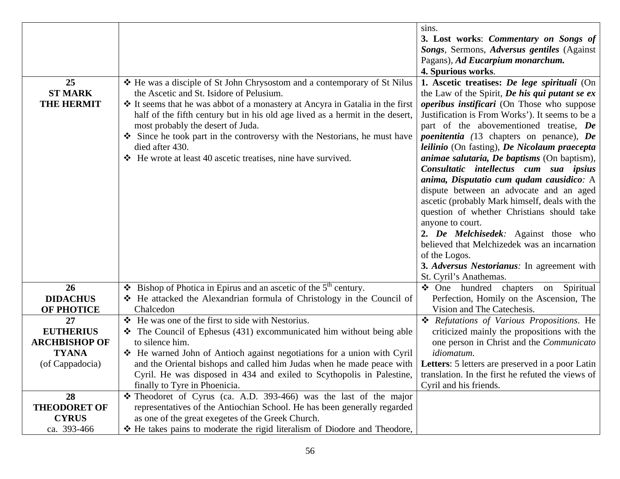|                      |                                                                                   | sins.                                              |
|----------------------|-----------------------------------------------------------------------------------|----------------------------------------------------|
|                      |                                                                                   | 3. Lost works: Commentary on Songs of              |
|                      |                                                                                   | Songs, Sermons, Adversus gentiles (Against         |
|                      |                                                                                   | Pagans), Ad Eucarpium monarchum.                   |
|                      |                                                                                   | 4. Spurious works.                                 |
| 25                   | ❖ He was a disciple of St John Chrysostom and a contemporary of St Nilus          | 1. Ascetic treatises: De lege spirituali (On       |
| <b>ST MARK</b>       | the Ascetic and St. Isidore of Pelusium.                                          | the Law of the Spirit, De his qui putant se ex     |
| <b>THE HERMIT</b>    | ❖ It seems that he was abbot of a monastery at Ancyra in Gatalia in the first     | <i>operibus instificari</i> (On Those who suppose  |
|                      | half of the fifth century but in his old age lived as a hermit in the desert,     | Justification is From Works'). It seems to be a    |
|                      | most probably the desert of Juda.                                                 | part of the abovementioned treatise, De            |
|                      | Since he took part in the controversy with the Nestorians, he must have           | <i>poenitentia</i> (13 chapters on penance), De    |
|                      | died after 430.                                                                   | leilinio (On fasting), De Nicolaum praecepta       |
|                      | ❖ He wrote at least 40 ascetic treatises, nine have survived.                     | <i>animae salutaria, De baptisms</i> (On baptism), |
|                      |                                                                                   | Consultatic intellectus cum sua ipsius             |
|                      |                                                                                   | anima, Disputatio cum qudam causidico: A           |
|                      |                                                                                   | dispute between an advocate and an aged            |
|                      |                                                                                   | ascetic (probably Mark himself, deals with the     |
|                      |                                                                                   | question of whether Christians should take         |
|                      |                                                                                   | anyone to court.                                   |
|                      |                                                                                   | 2. De Melchisedek: Against those who               |
|                      |                                                                                   | believed that Melchizedek was an incarnation       |
|                      |                                                                                   | of the Logos.                                      |
|                      |                                                                                   | 3. Adversus Nestorianus: In agreement with         |
|                      |                                                                                   | St. Cyril's Anathemas.                             |
| 26                   | $\div$ Bishop of Photica in Epirus and an ascetic of the 5 <sup>th</sup> century. | • One hundred chapters on Spiritual                |
| <b>DIDACHUS</b>      | ❖ He attacked the Alexandrian formula of Christology in the Council of            | Perfection, Homily on the Ascension, The           |
| <b>OF PHOTICE</b>    | Chalcedon                                                                         | Vision and The Catechesis.                         |
| 27                   | He was one of the first to side with Nestorius.                                   | * Refutations of Various Propositions. He          |
| <b>EUTHERIUS</b>     | $\div$ The Council of Ephesus (431) excommunicated him without being able         | criticized mainly the propositions with the        |
| <b>ARCHBISHOP OF</b> | to silence him.                                                                   | one person in Christ and the Communicato           |
| <b>TYANA</b>         | ❖ He warned John of Antioch against negotiations for a union with Cyril           | idiomatum.                                         |
| (of Cappadocia)      | and the Oriental bishops and called him Judas when he made peace with             | Letters: 5 letters are preserved in a poor Latin   |
|                      | Cyril. He was disposed in 434 and exiled to Scythopolis in Palestine,             | translation. In the first he refuted the views of  |
|                      | finally to Tyre in Phoenicia.                                                     | Cyril and his friends.                             |
| 28                   | $\div$ Theodoret of Cyrus (ca. A.D. 393-466) was the last of the major            |                                                    |
| <b>THEODORET OF</b>  | representatives of the Antiochian School. He has been generally regarded          |                                                    |
| <b>CYRUS</b>         | as one of the great exegetes of the Greek Church.                                 |                                                    |
| ca. 393-466          | * He takes pains to moderate the rigid literalism of Diodore and Theodore,        |                                                    |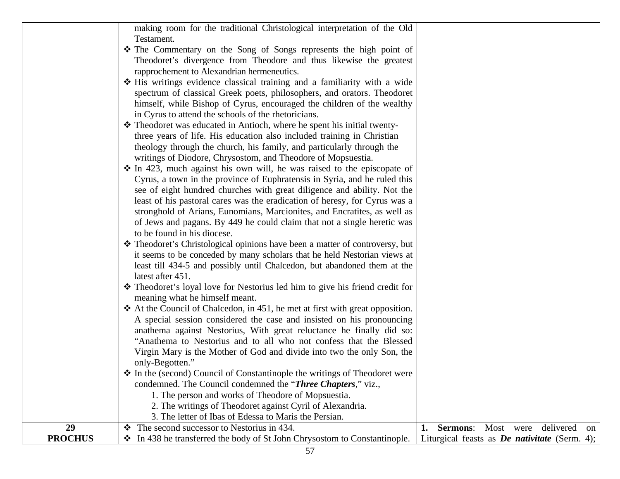|                | making room for the traditional Christological interpretation of the Old      |    |                                                      |           |              |  |
|----------------|-------------------------------------------------------------------------------|----|------------------------------------------------------|-----------|--------------|--|
|                | Testament.                                                                    |    |                                                      |           |              |  |
|                | The Commentary on the Song of Songs represents the high point of              |    |                                                      |           |              |  |
|                | Theodoret's divergence from Theodore and thus likewise the greatest           |    |                                                      |           |              |  |
|                | rapprochement to Alexandrian hermeneutics.                                    |    |                                                      |           |              |  |
|                | ❖ His writings evidence classical training and a familiarity with a wide      |    |                                                      |           |              |  |
|                | spectrum of classical Greek poets, philosophers, and orators. Theodoret       |    |                                                      |           |              |  |
|                | himself, while Bishop of Cyrus, encouraged the children of the wealthy        |    |                                                      |           |              |  |
|                | in Cyrus to attend the schools of the rhetoricians.                           |    |                                                      |           |              |  |
|                | * Theodoret was educated in Antioch, where he spent his initial twenty-       |    |                                                      |           |              |  |
|                | three years of life. His education also included training in Christian        |    |                                                      |           |              |  |
|                | theology through the church, his family, and particularly through the         |    |                                                      |           |              |  |
|                | writings of Diodore, Chrysostom, and Theodore of Mopsuestia.                  |    |                                                      |           |              |  |
|                | $\cdot$ In 423, much against his own will, he was raised to the episcopate of |    |                                                      |           |              |  |
|                | Cyrus, a town in the province of Euphratensis in Syria, and he ruled this     |    |                                                      |           |              |  |
|                | see of eight hundred churches with great diligence and ability. Not the       |    |                                                      |           |              |  |
|                | least of his pastoral cares was the eradication of heresy, for Cyrus was a    |    |                                                      |           |              |  |
|                | stronghold of Arians, Eunomians, Marcionites, and Encratites, as well as      |    |                                                      |           |              |  |
|                | of Jews and pagans. By 449 he could claim that not a single heretic was       |    |                                                      |           |              |  |
|                | to be found in his diocese.                                                   |    |                                                      |           |              |  |
|                | * Theodoret's Christological opinions have been a matter of controversy, but  |    |                                                      |           |              |  |
|                | it seems to be conceded by many scholars that he held Nestorian views at      |    |                                                      |           |              |  |
|                | least till 434-5 and possibly until Chalcedon, but abandoned them at the      |    |                                                      |           |              |  |
|                | latest after 451.                                                             |    |                                                      |           |              |  |
|                | * Theodoret's loyal love for Nestorius led him to give his friend credit for  |    |                                                      |           |              |  |
|                | meaning what he himself meant.                                                |    |                                                      |           |              |  |
|                | ❖ At the Council of Chalcedon, in 451, he met at first with great opposition. |    |                                                      |           |              |  |
|                | A special session considered the case and insisted on his pronouncing         |    |                                                      |           |              |  |
|                | anathema against Nestorius, With great reluctance he finally did so:          |    |                                                      |           |              |  |
|                | "Anathema to Nestorius and to all who not confess that the Blessed            |    |                                                      |           |              |  |
|                | Virgin Mary is the Mother of God and divide into two the only Son, the        |    |                                                      |           |              |  |
|                | only-Begotten."                                                               |    |                                                      |           |              |  |
|                | * In the (second) Council of Constantinople the writings of Theodoret were    |    |                                                      |           |              |  |
|                | condemned. The Council condemned the "Three Chapters," viz.,                  |    |                                                      |           |              |  |
|                | 1. The person and works of Theodore of Mopsuestia.                            |    |                                                      |           |              |  |
|                | 2. The writings of Theodoret against Cyril of Alexandria.                     |    |                                                      |           |              |  |
|                | 3. The letter of Ibas of Edessa to Maris the Persian.                         |    |                                                      |           |              |  |
| 29             | The second successor to Nestorius in 434.<br>$\mathbf{v}$                     | 1. | <b>Sermons:</b>                                      | Most were | delivered on |  |
| <b>PROCHUS</b> | In 438 he transferred the body of St John Chrysostom to Constantinople.       |    | Liturgical feasts as <i>De nativitate</i> (Serm. 4); |           |              |  |